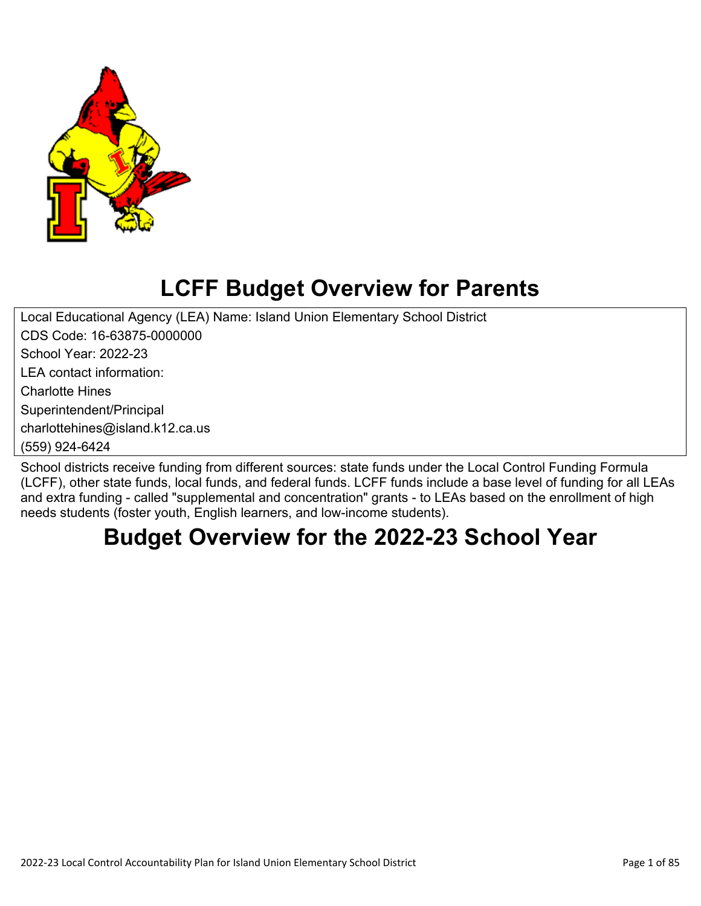

# **LCFF Budget Overview for Parents**

Local Educational Agency (LEA) Name: Island Union Elementary School District CDS Code: 16-63875-0000000

School Year: 2022-23

LEA contact information:

Charlotte Hines

Superintendent/Principal

charlottehines@island.k12.ca.us

(559) 924-6424

School districts receive funding from different sources: state funds under the Local Control Funding Formula (LCFF), other state funds, local funds, and federal funds. LCFF funds include a base level of funding for all LEAs and extra funding - called "supplemental and concentration" grants - to LEAs based on the enrollment of high needs students (foster youth, English learners, and low-income students).

# **Budget Overview for the 2022-23 School Year**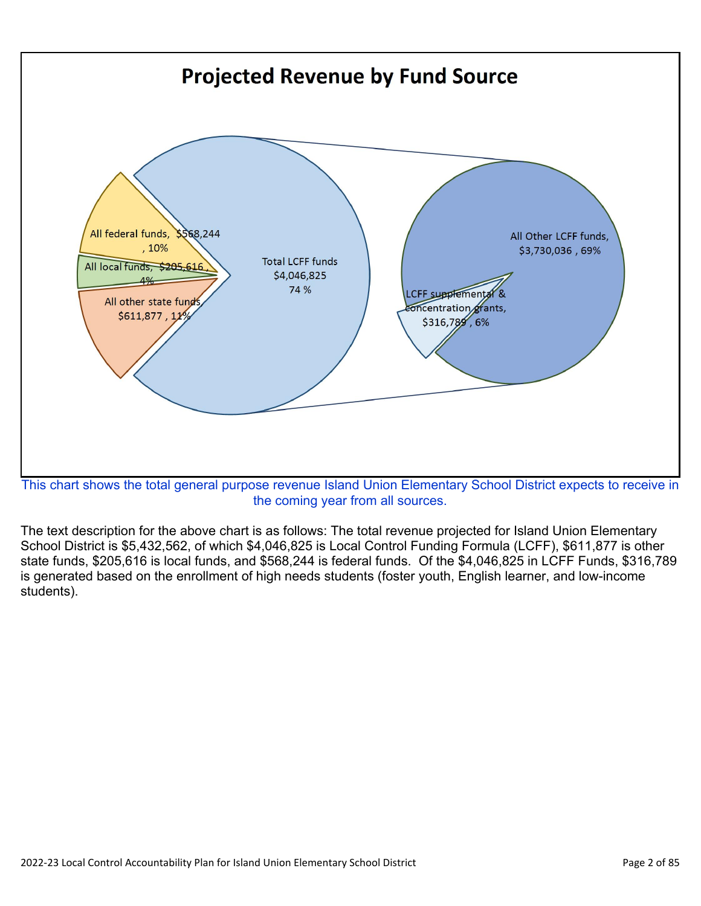

the coming year from all sources.

The text description for the above chart is as follows: The total revenue projected for Island Union Elementary School District is \$5,432,562, of which \$4,046,825 is Local Control Funding Formula (LCFF), \$611,877 is other state funds, \$205,616 is local funds, and \$568,244 is federal funds. Of the \$4,046,825 in LCFF Funds, \$316,789 is generated based on the enrollment of high needs students (foster youth, English learner, and low-income students).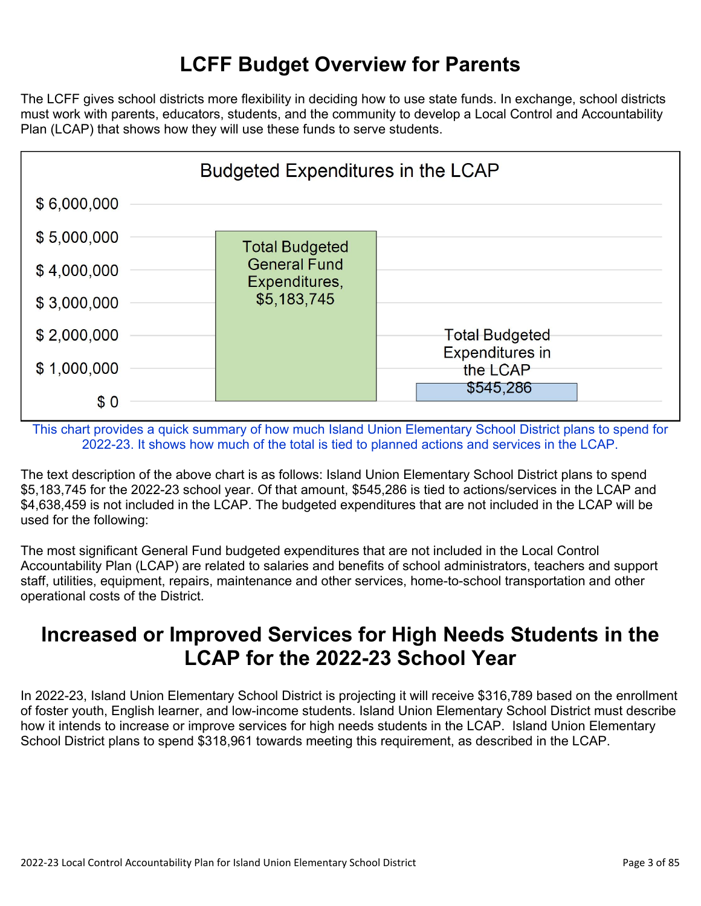## **LCFF Budget Overview for Parents**

The LCFF gives school districts more flexibility in deciding how to use state funds. In exchange, school districts must work with parents, educators, students, and the community to develop a Local Control and Accountability Plan (LCAP) that shows how they will use these funds to serve students.



This chart provides a quick summary of how much Island Union Elementary School District plans to spend for 2022-23. It shows how much of the total is tied to planned actions and services in the LCAP.

The text description of the above chart is as follows: Island Union Elementary School District plans to spend \$5,183,745 for the 2022-23 school year. Of that amount, \$545,286 is tied to actions/services in the LCAP and \$4,638,459 is not included in the LCAP. The budgeted expenditures that are not included in the LCAP will be used for the following:

The most significant General Fund budgeted expenditures that are not included in the Local Control Accountability Plan (LCAP) are related to salaries and benefits of school administrators, teachers and support staff, utilities, equipment, repairs, maintenance and other services, home-to-school transportation and other operational costs of the District.

## **Increased or Improved Services for High Needs Students in the LCAP for the 2022-23 School Year**

In 2022-23, Island Union Elementary School District is projecting it will receive \$316,789 based on the enrollment of foster youth, English learner, and low-income students. Island Union Elementary School District must describe how it intends to increase or improve services for high needs students in the LCAP. Island Union Elementary School District plans to spend \$318,961 towards meeting this requirement, as described in the LCAP.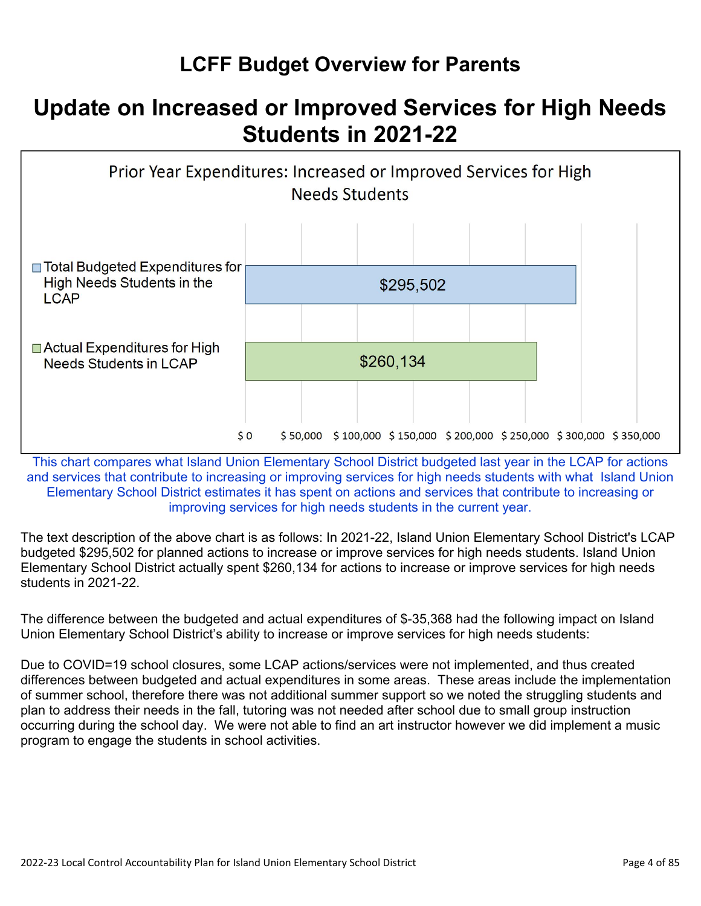## **LCFF Budget Overview for Parents**

## **Update on Increased or Improved Services for High Needs Students in 2021-22**



This chart compares what Island Union Elementary School District budgeted last year in the LCAP for actions and services that contribute to increasing or improving services for high needs students with what Island Union Elementary School District estimates it has spent on actions and services that contribute to increasing or improving services for high needs students in the current year.

The text description of the above chart is as follows: In 2021-22, Island Union Elementary School District's LCAP budgeted \$295,502 for planned actions to increase or improve services for high needs students. Island Union Elementary School District actually spent \$260,134 for actions to increase or improve services for high needs students in 2021-22.

The difference between the budgeted and actual expenditures of \$-35,368 had the following impact on Island Union Elementary School District's ability to increase or improve services for high needs students:

Due to COVID=19 school closures, some LCAP actions/services were not implemented, and thus created differences between budgeted and actual expenditures in some areas. These areas include the implementation of summer school, therefore there was not additional summer support so we noted the struggling students and plan to address their needs in the fall, tutoring was not needed after school due to small group instruction occurring during the school day. We were not able to find an art instructor however we did implement a music program to engage the students in school activities.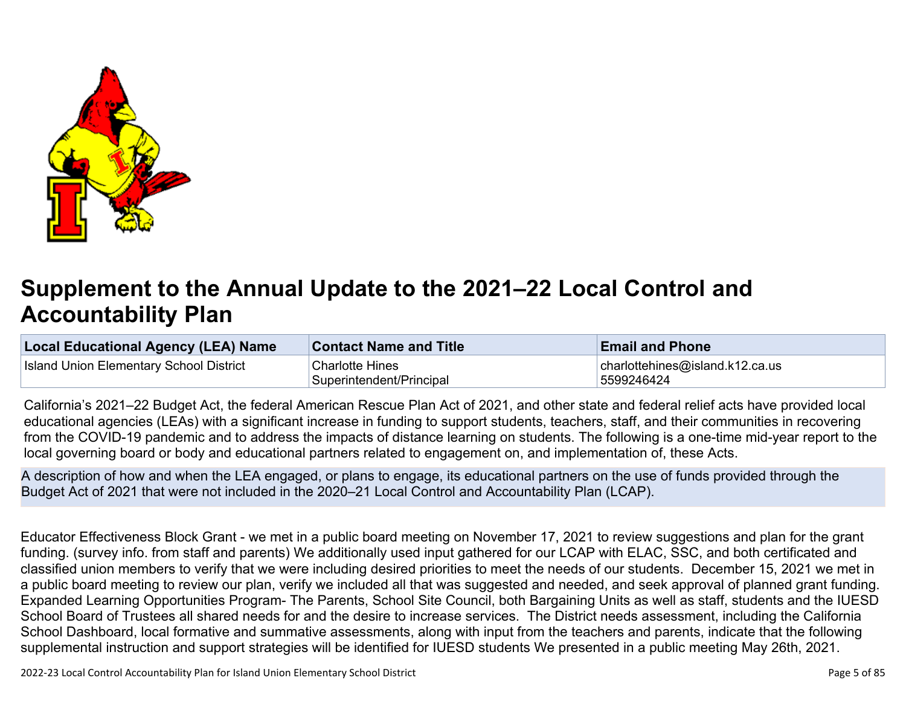

# **Supplement to the Annual Update to the 2021–22 Local Control and Accountability Plan**

| <b>Local Educational Agency (LEA) Name</b>     | <b>Contact Name and Title</b> | <b>Email and Phone</b>              |
|------------------------------------------------|-------------------------------|-------------------------------------|
| <b>Island Union Elementary School District</b> | <b>Charlotte Hines</b>        | $ $ charlottehines@island.k12.ca.us |
|                                                | Superintendent/Principal      | 5599246424                          |

California's 2021–22 Budget Act, the federal American Rescue Plan Act of 2021, and other state and federal relief acts have provided local educational agencies (LEAs) with a significant increase in funding to support students, teachers, staff, and their communities in recovering from the COVID-19 pandemic and to address the impacts of distance learning on students. The following is a one-time mid-year report to the local governing board or body and educational partners related to engagement on, and implementation of, these Acts.

A description of how and when the LEA engaged, or plans to engage, its educational partners on the use of funds provided through the Budget Act of 2021 that were not included in the 2020–21 Local Control and Accountability Plan (LCAP).

Educator Effectiveness Block Grant - we met in a public board meeting on November 17, 2021 to review suggestions and plan for the grant funding. (survey info. from staff and parents) We additionally used input gathered for our LCAP with ELAC, SSC, and both certificated and classified union members to verify that we were including desired priorities to meet the needs of our students. December 15, 2021 we met in a public board meeting to review our plan, verify we included all that was suggested and needed, and seek approval of planned grant funding. Expanded Learning Opportunities Program- The Parents, School Site Council, both Bargaining Units as well as staff, students and the IUESD School Board of Trustees all shared needs for and the desire to increase services. The District needs assessment, including the California School Dashboard, local formative and summative assessments, along with input from the teachers and parents, indicate that the following supplemental instruction and support strategies will be identified for IUESD students We presented in a public meeting May 26th, 2021.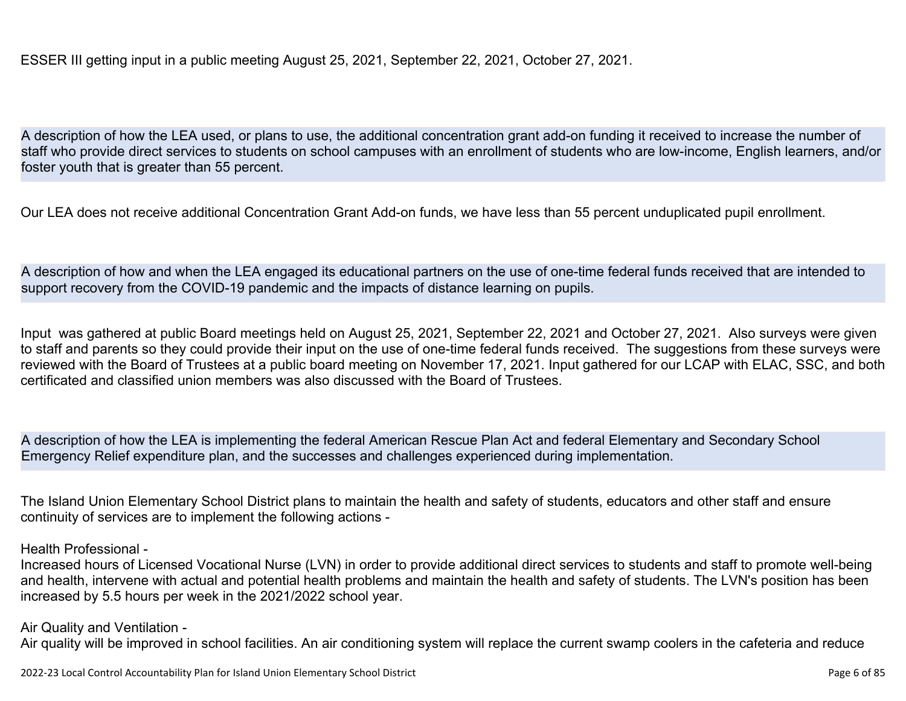ESSER III getting input in a public meeting August 25, 2021, September 22, 2021, October 27, 2021.

A description of how the LEA used, or plans to use, the additional concentration grant add-on funding it received to increase the number of staff who provide direct services to students on school campuses with an enrollment of students who are low-income, English learners, and/or foster youth that is greater than 55 percent.

Our LEA does not receive additional Concentration Grant Add-on funds, we have less than 55 percent unduplicated pupil enrollment.

A description of how and when the LEA engaged its educational partners on the use of one-time federal funds received that are intended to support recovery from the COVID-19 pandemic and the impacts of distance learning on pupils.

Input was gathered at public Board meetings held on August 25, 2021, September 22, 2021 and October 27, 2021. Also surveys were given to staff and parents so they could provide their input on the use of one-time federal funds received. The suggestions from these surveys were reviewed with the Board of Trustees at a public board meeting on November 17, 2021. Input gathered for our LCAP with ELAC, SSC, and both certificated and classified union members was also discussed with the Board of Trustees.

A description of how the LEA is implementing the federal American Rescue Plan Act and federal Elementary and Secondary School Emergency Relief expenditure plan, and the successes and challenges experienced during implementation.

The Island Union Elementary School District plans to maintain the health and safety of students, educators and other staff and ensure continuity of services are to implement the following actions -

Health Professional -

Increased hours of Licensed Vocational Nurse (LVN) in order to provide additional direct services to students and staff to promote well-being and health, intervene with actual and potential health problems and maintain the health and safety of students. The LVN's position has been increased by 5.5 hours per week in the 2021/2022 school year.

Air Quality and Ventilation -

Air quality will be improved in school facilities. An air conditioning system will replace the current swamp coolers in the cafeteria and reduce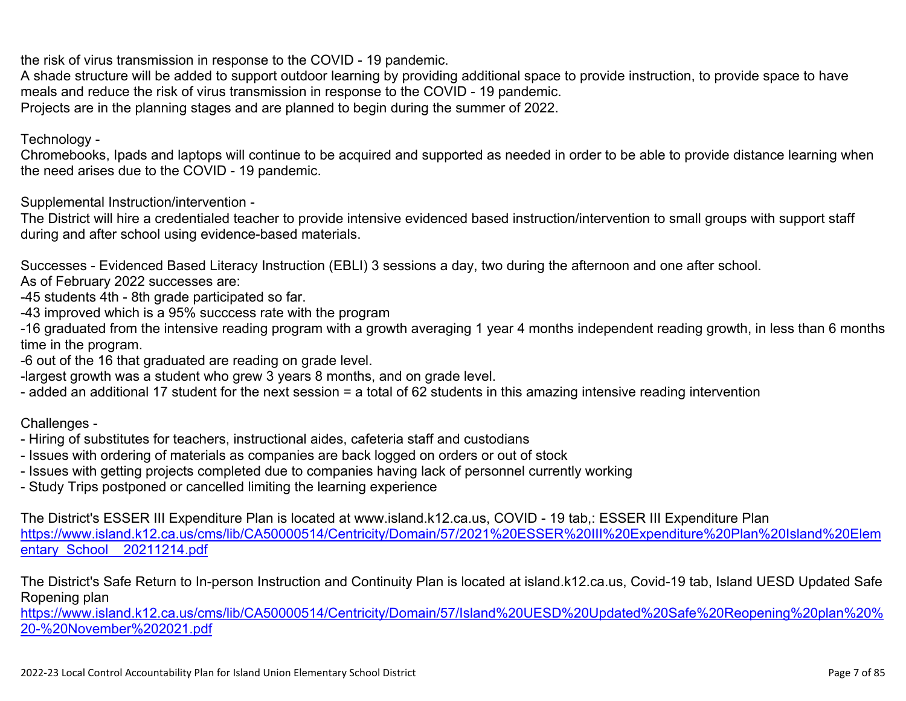the risk of virus transmission in response to the COVID - 19 pandemic.

A shade structure will be added to support outdoor learning by providing additional space to provide instruction, to provide space to have meals and reduce the risk of virus transmission in response to the COVID - 19 pandemic. Projects are in the planning stages and are planned to begin during the summer of 2022.

Technology -

Chromebooks, Ipads and laptops will continue to be acquired and supported as needed in order to be able to provide distance learning when the need arises due to the COVID - 19 pandemic.

Supplemental Instruction/intervention -

The District will hire a credentialed teacher to provide intensive evidenced based instruction/intervention to small groups with support staff during and after school using evidence-based materials.

Successes - Evidenced Based Literacy Instruction (EBLI) 3 sessions a day, two during the afternoon and one after school.

As of February 2022 successes are:

-45 students 4th - 8th grade participated so far.

-43 improved which is a 95% succcess rate with the program

-16 graduated from the intensive reading program with a growth averaging 1 year 4 months independent reading growth, in less than 6 months time in the program.

-6 out of the 16 that graduated are reading on grade level.

-largest growth was a student who grew 3 years 8 months, and on grade level.

- added an additional 17 student for the next session = a total of 62 students in this amazing intensive reading intervention

Challenges -

- Hiring of substitutes for teachers, instructional aides, cafeteria staff and custodians
- Issues with ordering of materials as companies are back logged on orders or out of stock
- Issues with getting projects completed due to companies having lack of personnel currently working
- Study Trips postponed or cancelled limiting the learning experience

The District's ESSER III Expenditure Plan is located at www.island.k12.ca.us, COVID - 19 tab,: ESSER III Expenditure Plan [https://www.island.k12.ca.us/cms/lib/CA50000514/Centricity/Domain/57/2021%20ESSER%20III%20Expenditure%20Plan%20Island%20Elem](https://www.island.k12.ca.us/cms/lib/CA50000514/Centricity/Domain/57/2021%20ESSER%20III%20Expenditure%20Plan%20Island%20Elementary_School__20211214.pdf) entary School 20211214.pdf

The District's Safe Return to In-person Instruction and Continuity Plan is located at island.k12.ca.us, Covid-19 tab, Island UESD Updated Safe Ropening plan

[https://www.island.k12.ca.us/cms/lib/CA50000514/Centricity/Domain/57/Island%20UESD%20Updated%20Safe%20Reopening%20plan%20%](https://www.island.k12.ca.us/cms/lib/CA50000514/Centricity/Domain/57/Island%20UESD%20Updated%20Safe%20Reopening%20plan%20%20-%20November%202021.pdf) [20-%20November%202021.pdf](https://www.island.k12.ca.us/cms/lib/CA50000514/Centricity/Domain/57/Island%20UESD%20Updated%20Safe%20Reopening%20plan%20%20-%20November%202021.pdf)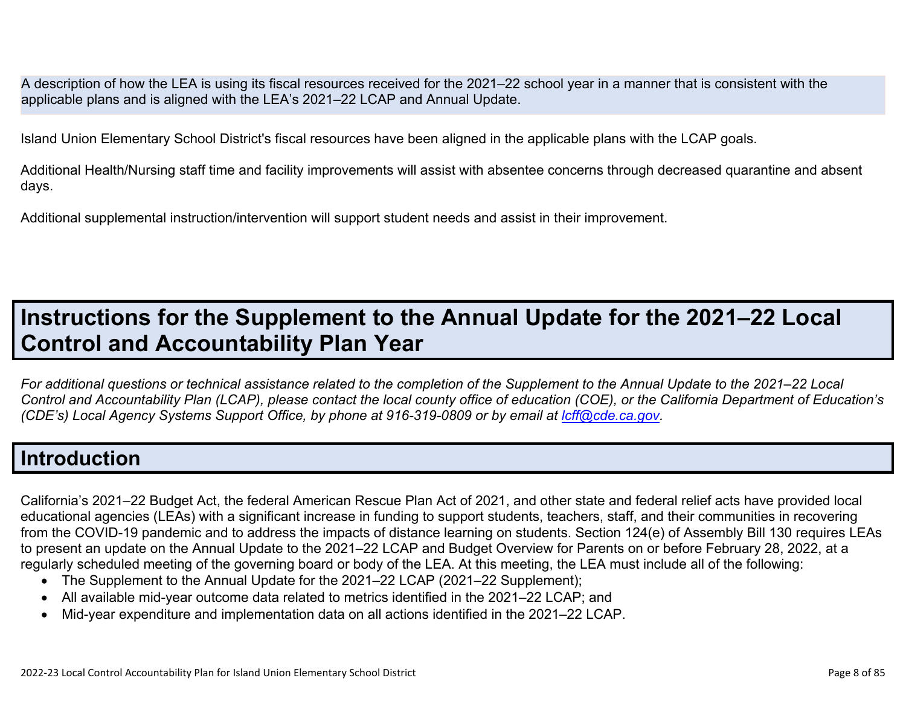A description of how the LEA is using its fiscal resources received for the 2021–22 school year in a manner that is consistent with the applicable plans and is aligned with the LEA's 2021–22 LCAP and Annual Update.

Island Union Elementary School District's fiscal resources have been aligned in the applicable plans with the LCAP goals.

Additional Health/Nursing staff time and facility improvements will assist with absentee concerns through decreased quarantine and absent days.

Additional supplemental instruction/intervention will support student needs and assist in their improvement.

## **Instructions for the Supplement to the Annual Update for the 2021–22 Local Control and Accountability Plan Year**

*For additional questions or technical assistance related to the completion of the Supplement to the Annual Update to the 2021–22 Local Control and Accountability Plan (LCAP), please contact the local county office of education (COE), or the California Department of Education's (CDE's)* Local Agency Systems Support Office, by phone at 916-319-0809 or by email at *[lcff@cde.ca.gov](mailto:lcff@cde.ca.gov)*.

### **Introduction**

California's 2021–22 Budget Act, the federal American Rescue Plan Act of 2021, and other state and federal relief acts have provided local educational agencies (LEAs) with a significant increase in funding to support students, teachers, staff, and their communities in recovering from the COVID-19 pandemic and to address the impacts of distance learning on students. Section 124(e) of Assembly Bill 130 requires LEAs to present an update on the Annual Update to the 2021–22 LCAP and Budget Overview for Parents on or before February 28, 2022, at a regularly scheduled meeting of the governing board or body of the LEA. At this meeting, the LEA must include all of the following:

- The Supplement to the Annual Update for the 2021–22 LCAP (2021–22 Supplement);
- All available mid-year outcome data related to metrics identified in the 2021–22 LCAP; and
- Mid-year expenditure and implementation data on all actions identified in the 2021–22 LCAP.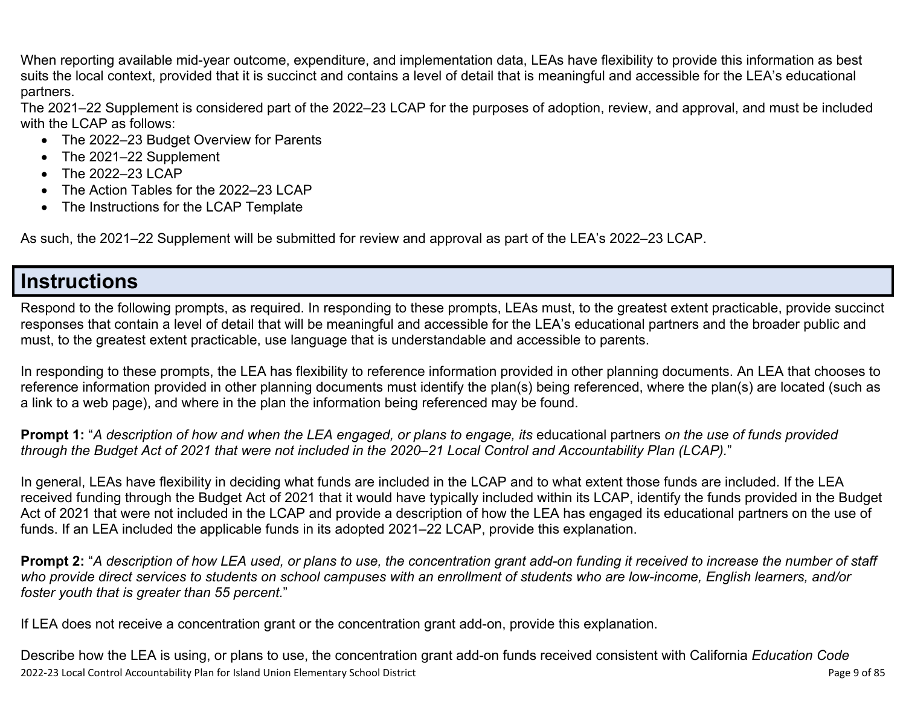When reporting available mid-year outcome, expenditure, and implementation data, LEAs have flexibility to provide this information as best suits the local context, provided that it is succinct and contains a level of detail that is meaningful and accessible for the LEA's educational partners.

The 2021–22 Supplement is considered part of the 2022–23 LCAP for the purposes of adoption, review, and approval, and must be included with the LCAP as follows:

- The 2022–23 Budget Overview for Parents
- The 2021–22 Supplement
- The 2022-23 LCAP
- The Action Tables for the 2022–23 LCAP
- The Instructions for the LCAP Template

As such, the 2021–22 Supplement will be submitted for review and approval as part of the LEA's 2022–23 LCAP.

## **Instructions**

Respond to the following prompts, as required. In responding to these prompts, LEAs must, to the greatest extent practicable, provide succinct responses that contain a level of detail that will be meaningful and accessible for the LEA's educational partners and the broader public and must, to the greatest extent practicable, use language that is understandable and accessible to parents.

In responding to these prompts, the LEA has flexibility to reference information provided in other planning documents. An LEA that chooses to reference information provided in other planning documents must identify the plan(s) being referenced, where the plan(s) are located (such as a link to a web page), and where in the plan the information being referenced may be found.

**Prompt 1:** "*A description of how and when the LEA engaged, or plans to engage, its* educational partners *on the use of funds provided through the Budget Act of 2021 that were not included in the 2020–21 Local Control and Accountability Plan (LCAP).*"

In general, LEAs have flexibility in deciding what funds are included in the LCAP and to what extent those funds are included. If the LEA received funding through the Budget Act of 2021 that it would have typically included within its LCAP, identify the funds provided in the Budget Act of 2021 that were not included in the LCAP and provide a description of how the LEA has engaged its educational partners on the use of funds. If an LEA included the applicable funds in its adopted 2021–22 LCAP, provide this explanation.

**Prompt 2:** "*A description of how LEA used, or plans to use, the concentration grant add-on funding it received to increase the number of staff who provide direct services to students on school campuses with an enrollment of students who are low-income, English learners, and/or foster youth that is greater than 55 percent.*"

If LEA does not receive a concentration grant or the concentration grant add-on, provide this explanation.

2022-23 Local Control Accountability Plan for Island Union Elementary School District **Page 1 of 85** and 2022-23 Local Control Accountability Plan for Island Union Elementary School District Describe how the LEA is using, or plans to use, the concentration grant add-on funds received consistent with California *Education Code*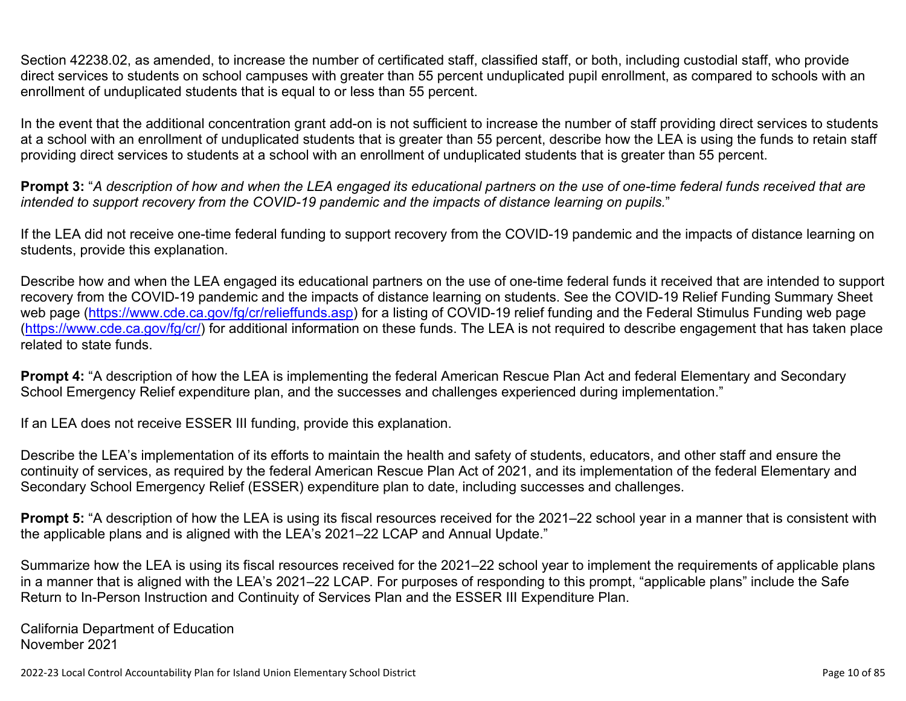Section 42238.02, as amended, to increase the number of certificated staff, classified staff, or both, including custodial staff, who provide direct services to students on school campuses with greater than 55 percent unduplicated pupil enrollment, as compared to schools with an enrollment of unduplicated students that is equal to or less than 55 percent.

In the event that the additional concentration grant add-on is not sufficient to increase the number of staff providing direct services to students at a school with an enrollment of unduplicated students that is greater than 55 percent, describe how the LEA is using the funds to retain staff providing direct services to students at a school with an enrollment of unduplicated students that is greater than 55 percent.

**Prompt 3:** "*A description of how and when the LEA engaged its educational partners on the use of one-time federal funds received that are intended to support recovery from the COVID-19 pandemic and the impacts of distance learning on pupils.*"

If the LEA did not receive one-time federal funding to support recovery from the COVID-19 pandemic and the impacts of distance learning on students, provide this explanation.

Describe how and when the LEA engaged its educational partners on the use of one-time federal funds it received that are intended to support recovery from the COVID-19 pandemic and the impacts of distance learning on students. See the COVID-19 Relief Funding Summary Sheet web page [\(https://www.cde.ca.gov/fg/cr/relieffunds.asp\)](https://www.cde.ca.gov/fg/cr/relieffunds.asp) for a listing of COVID-19 relief funding and the Federal Stimulus Funding web page (<https://www.cde.ca.gov/fg/cr/>) for additional information on these funds. The LEA is not required to describe engagement that has taken place related to state funds.

**Prompt 4:** "A description of how the LEA is implementing the federal American Rescue Plan Act and federal Elementary and Secondary School Emergency Relief expenditure plan, and the successes and challenges experienced during implementation."

If an LEA does not receive ESSER III funding, provide this explanation.

Describe the LEA's implementation of its efforts to maintain the health and safety of students, educators, and other staff and ensure the continuity of services, as required by the federal American Rescue Plan Act of 2021, and its implementation of the federal Elementary and Secondary School Emergency Relief (ESSER) expenditure plan to date, including successes and challenges.

**Prompt 5:** "A description of how the LEA is using its fiscal resources received for the 2021–22 school year in a manner that is consistent with the applicable plans and is aligned with the LEA's 2021–22 LCAP and Annual Update."

Summarize how the LEA is using its fiscal resources received for the 2021–22 school year to implement the requirements of applicable plans in a manner that is aligned with the LEA's 2021–22 LCAP. For purposes of responding to this prompt, "applicable plans" include the Safe Return to In-Person Instruction and Continuity of Services Plan and the ESSER III Expenditure Plan.

California Department of Education November 2021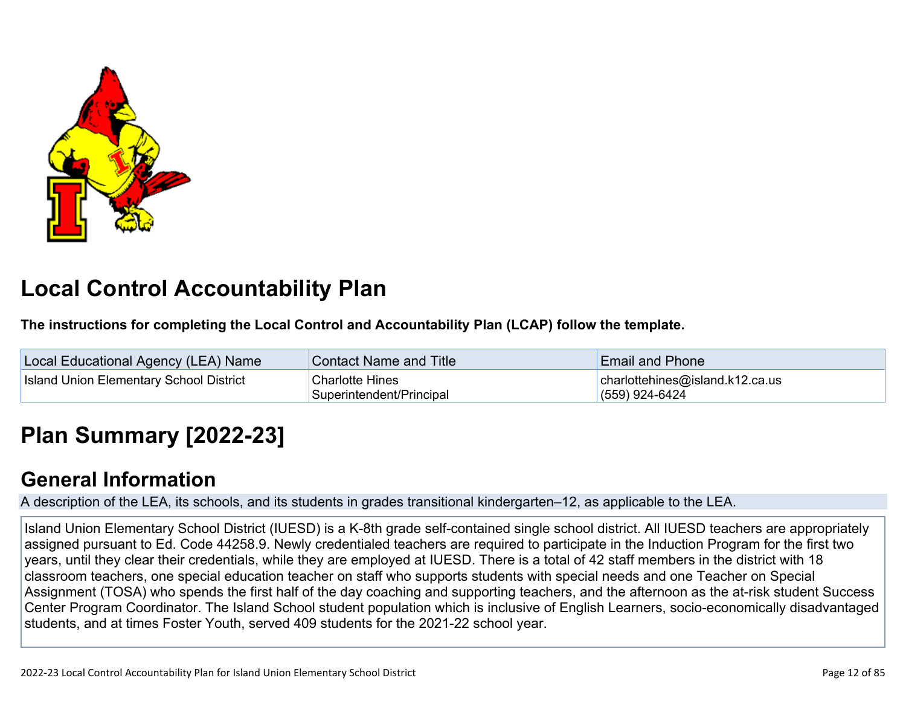

# **Local Control Accountability Plan**

**The instructions for completing the Local Control and Accountability Plan (LCAP) follow the template.**

| Local Educational Agency (LEA) Name            | Contact Name and Title                             | <b>Email and Phone</b>                                  |
|------------------------------------------------|----------------------------------------------------|---------------------------------------------------------|
| <b>Island Union Elementary School District</b> | <b>Charlotte Hines</b><br>Superintendent/Principal | $ $ charlottehines@island.k12.ca.us<br>$(559)$ 924-6424 |

# **[Plan Summary \[2022-23\]](http://www.doc-tracking.com/screenshots/22LCAP/Instructions/22LCAPInstructions.htm#PlanSummary)**

## **[General Information](http://www.doc-tracking.com/screenshots/22LCAP/Instructions/22LCAPInstructions.htm#generalinformation)**

A description of the LEA, its schools, and its students in grades transitional kindergarten–12, as applicable to the LEA.

Island Union Elementary School District (IUESD) is a K-8th grade self-contained single school district. All IUESD teachers are appropriately assigned pursuant to Ed. Code 44258.9. Newly credentialed teachers are required to participate in the Induction Program for the first two years, until they clear their credentials, while they are employed at IUESD. There is a total of 42 staff members in the district with 18 classroom teachers, one special education teacher on staff who supports students with special needs and one Teacher on Special Assignment (TOSA) who spends the first half of the day coaching and supporting teachers, and the afternoon as the at-risk student Success Center Program Coordinator. The Island School student population which is inclusive of English Learners, socio-economically disadvantaged students, and at times Foster Youth, served 409 students for the 2021-22 school year.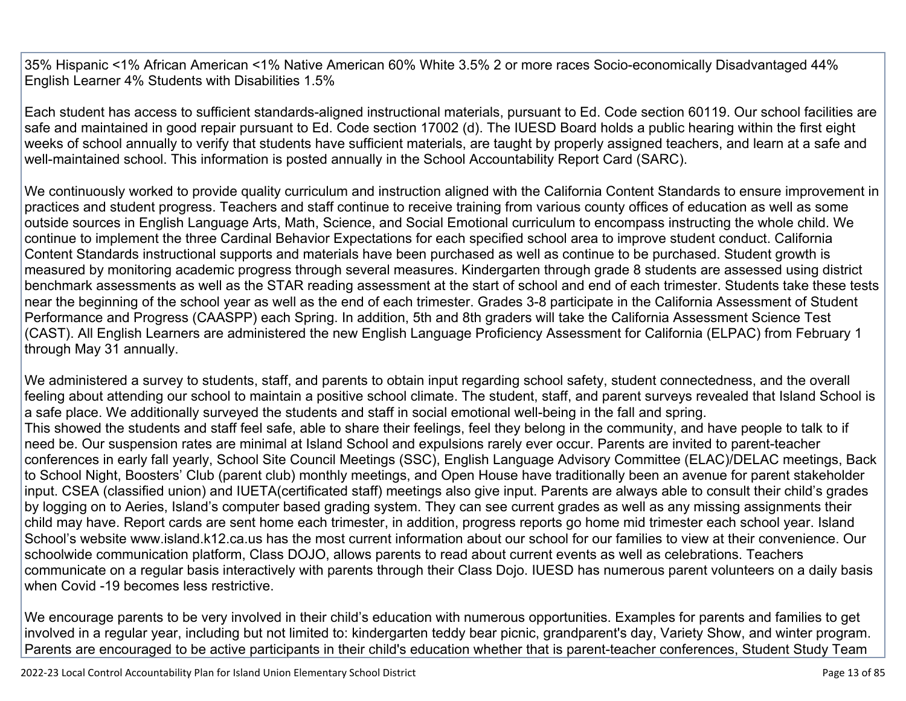35% Hispanic <1% African American <1% Native American 60% White 3.5% 2 or more races Socio-economically Disadvantaged 44% English Learner 4% Students with Disabilities 1.5%

Each student has access to sufficient standards-aligned instructional materials, pursuant to Ed. Code section 60119. Our school facilities are safe and maintained in good repair pursuant to Ed. Code section 17002 (d). The IUESD Board holds a public hearing within the first eight weeks of school annually to verify that students have sufficient materials, are taught by properly assigned teachers, and learn at a safe and well-maintained school. This information is posted annually in the School Accountability Report Card (SARC).

We continuously worked to provide quality curriculum and instruction aligned with the California Content Standards to ensure improvement in practices and student progress. Teachers and staff continue to receive training from various county offices of education as well as some outside sources in English Language Arts, Math, Science, and Social Emotional curriculum to encompass instructing the whole child. We continue to implement the three Cardinal Behavior Expectations for each specified school area to improve student conduct. California Content Standards instructional supports and materials have been purchased as well as continue to be purchased. Student growth is measured by monitoring academic progress through several measures. Kindergarten through grade 8 students are assessed using district benchmark assessments as well as the STAR reading assessment at the start of school and end of each trimester. Students take these tests near the beginning of the school year as well as the end of each trimester. Grades 3-8 participate in the California Assessment of Student Performance and Progress (CAASPP) each Spring. In addition, 5th and 8th graders will take the California Assessment Science Test (CAST). All English Learners are administered the new English Language Proficiency Assessment for California (ELPAC) from February 1 through May 31 annually.

We administered a survey to students, staff, and parents to obtain input regarding school safety, student connectedness, and the overall feeling about attending our school to maintain a positive school climate. The student, staff, and parent surveys revealed that Island School is a safe place. We additionally surveyed the students and staff in social emotional well-being in the fall and spring. This showed the students and staff feel safe, able to share their feelings, feel they belong in the community, and have people to talk to if need be. Our suspension rates are minimal at Island School and expulsions rarely ever occur. Parents are invited to parent-teacher conferences in early fall yearly, School Site Council Meetings (SSC), English Language Advisory Committee (ELAC)/DELAC meetings, Back to School Night, Boosters' Club (parent club) monthly meetings, and Open House have traditionally been an avenue for parent stakeholder input. CSEA (classified union) and IUETA(certificated staff) meetings also give input. Parents are always able to consult their child's grades by logging on to Aeries, Island's computer based grading system. They can see current grades as well as any missing assignments their child may have. Report cards are sent home each trimester, in addition, progress reports go home mid trimester each school year. Island School's website www.island.k12.ca.us has the most current information about our school for our families to view at their convenience. Our schoolwide communication platform, Class DOJO, allows parents to read about current events as well as celebrations. Teachers communicate on a regular basis interactively with parents through their Class Dojo. IUESD has numerous parent volunteers on a daily basis when Covid -19 becomes less restrictive.

We encourage parents to be very involved in their child's education with numerous opportunities. Examples for parents and families to get involved in a regular year, including but not limited to: kindergarten teddy bear picnic, grandparent's day, Variety Show, and winter program. Parents are encouraged to be active participants in their child's education whether that is parent-teacher conferences, Student Study Team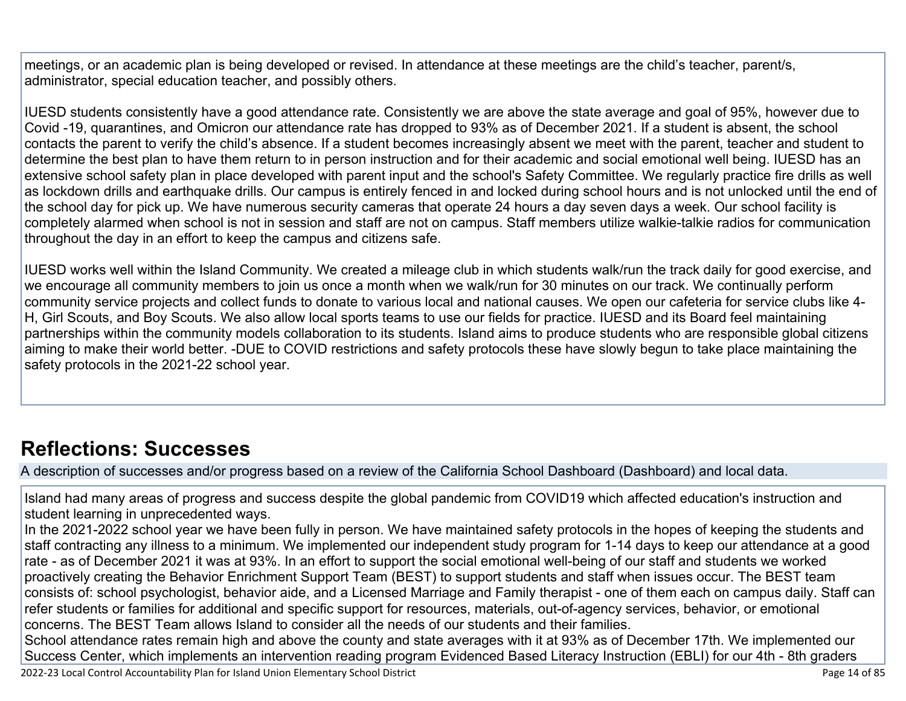meetings, or an academic plan is being developed or revised. In attendance at these meetings are the child's teacher, parent/s, administrator, special education teacher, and possibly others.

IUESD students consistently have a good attendance rate. Consistently we are above the state average and goal of 95%, however due to Covid -19, quarantines, and Omicron our attendance rate has dropped to 93% as of December 2021. If a student is absent, the school contacts the parent to verify the child's absence. If a student becomes increasingly absent we meet with the parent, teacher and student to determine the best plan to have them return to in person instruction and for their academic and social emotional well being. IUESD has an extensive school safety plan in place developed with parent input and the school's Safety Committee. We regularly practice fire drills as well as lockdown drills and earthquake drills. Our campus is entirely fenced in and locked during school hours and is not unlocked until the end of the school day for pick up. We have numerous security cameras that operate 24 hours a day seven days a week. Our school facility is completely alarmed when school is not in session and staff are not on campus. Staff members utilize walkie-talkie radios for communication throughout the day in an effort to keep the campus and citizens safe.

IUESD works well within the Island Community. We created a mileage club in which students walk/run the track daily for good exercise, and we encourage all community members to join us once a month when we walk/run for 30 minutes on our track. We continually perform community service projects and collect funds to donate to various local and national causes. We open our cafeteria for service clubs like 4- H, Girl Scouts, and Boy Scouts. We also allow local sports teams to use our fields for practice. IUESD and its Board feel maintaining partnerships within the community models collaboration to its students. Island aims to produce students who are responsible global citizens aiming to make their world better. -DUE to COVID restrictions and safety protocols these have slowly begun to take place maintaining the safety protocols in the 2021-22 school year.

## **[Reflections: Successes](http://www.doc-tracking.com/screenshots/22LCAP/Instructions/22LCAPInstructions.htm#ReflectionsSuccesses)**

A description of successes and/or progress based on a review of the California School Dashboard (Dashboard) and local data.

Island had many areas of progress and success despite the global pandemic from COVID19 which affected education's instruction and student learning in unprecedented ways.

In the 2021-2022 school year we have been fully in person. We have maintained safety protocols in the hopes of keeping the students and staff contracting any illness to a minimum. We implemented our independent study program for 1-14 days to keep our attendance at a good rate - as of December 2021 it was at 93%. In an effort to support the social emotional well-being of our staff and students we worked proactively creating the Behavior Enrichment Support Team (BEST) to support students and staff when issues occur. The BEST team consists of: school psychologist, behavior aide, and a Licensed Marriage and Family therapist - one of them each on campus daily. Staff can refer students or families for additional and specific support for resources, materials, out-of-agency services, behavior, or emotional concerns. The BEST Team allows Island to consider all the needs of our students and their families.

School attendance rates remain high and above the county and state averages with it at 93% as of December 17th. We implemented our Success Center, which implements an intervention reading program Evidenced Based Literacy Instruction (EBLI) for our 4th - 8th graders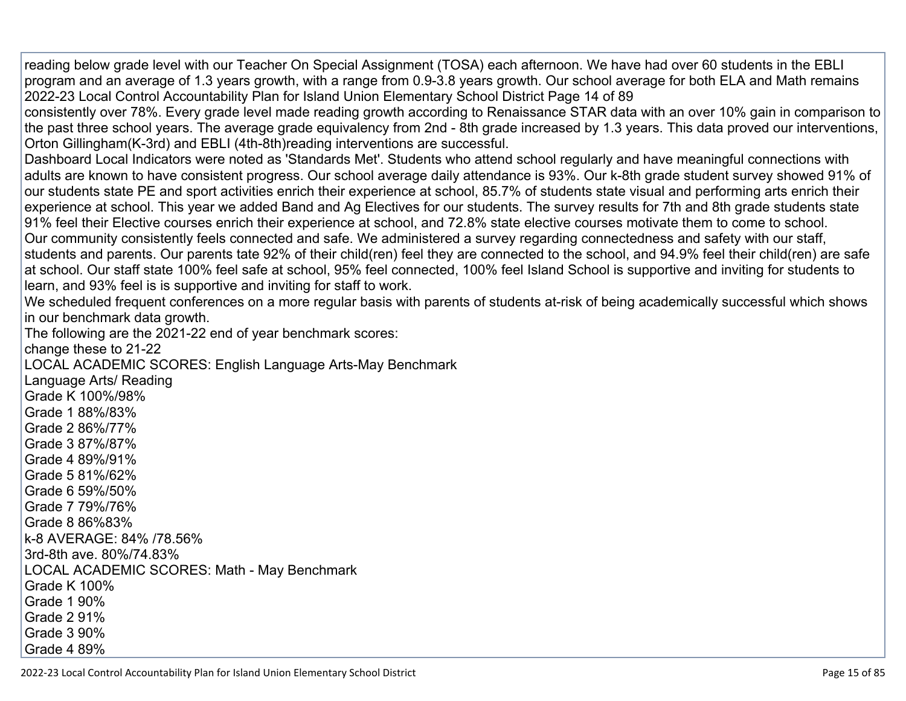reading below grade level with our Teacher On Special Assignment (TOSA) each afternoon. We have had over 60 students in the EBLI program and an average of 1.3 years growth, with a range from 0.9-3.8 years growth. Our school average for both ELA and Math remains 2022-23 Local Control Accountability Plan for Island Union Elementary School District Page 14 of 89

consistently over 78%. Every grade level made reading growth according to Renaissance STAR data with an over 10% gain in comparison to the past three school years. The average grade equivalency from 2nd - 8th grade increased by 1.3 years. This data proved our interventions, Orton Gillingham(K-3rd) and EBLI (4th-8th)reading interventions are successful.

Dashboard Local Indicators were noted as 'Standards Met'. Students who attend school regularly and have meaningful connections with adults are known to have consistent progress. Our school average daily attendance is 93%. Our k-8th grade student survey showed 91% of our students state PE and sport activities enrich their experience at school, 85.7% of students state visual and performing arts enrich their experience at school. This year we added Band and Ag Electives for our students. The survey results for 7th and 8th grade students state 91% feel their Elective courses enrich their experience at school, and 72.8% state elective courses motivate them to come to school. Our community consistently feels connected and safe. We administered a survey regarding connectedness and safety with our staff, students and parents. Our parents tate 92% of their child(ren) feel they are connected to the school, and 94.9% feel their child(ren) are safe at school. Our staff state 100% feel safe at school, 95% feel connected, 100% feel Island School is supportive and inviting for students to learn, and 93% feel is is supportive and inviting for staff to work.

We scheduled frequent conferences on a more regular basis with parents of students at-risk of being academically successful which shows in our benchmark data growth.

The following are the 2021-22 end of year benchmark scores:

change these to 21-22

LOCAL ACADEMIC SCORES: English Language Arts-May Benchmark

Language Arts/ Reading Grade K 100%/98% Grade 1 88%/83% Grade 2 86%/77% Grade 3 87%/87% Grade 4 89%/91% Grade 5 81%/62% Grade 6 59%/50% Grade 7 79%/76% Grade 8 86%83% k-8 AVERAGE: 84% /78.56% 3rd-8th ave. 80%/74.83% LOCAL ACADEMIC SCORES: Math - May Benchmark Grade K 100% Grade 1 90% Grade 2 91% Grade 3 90% Grade 4 89%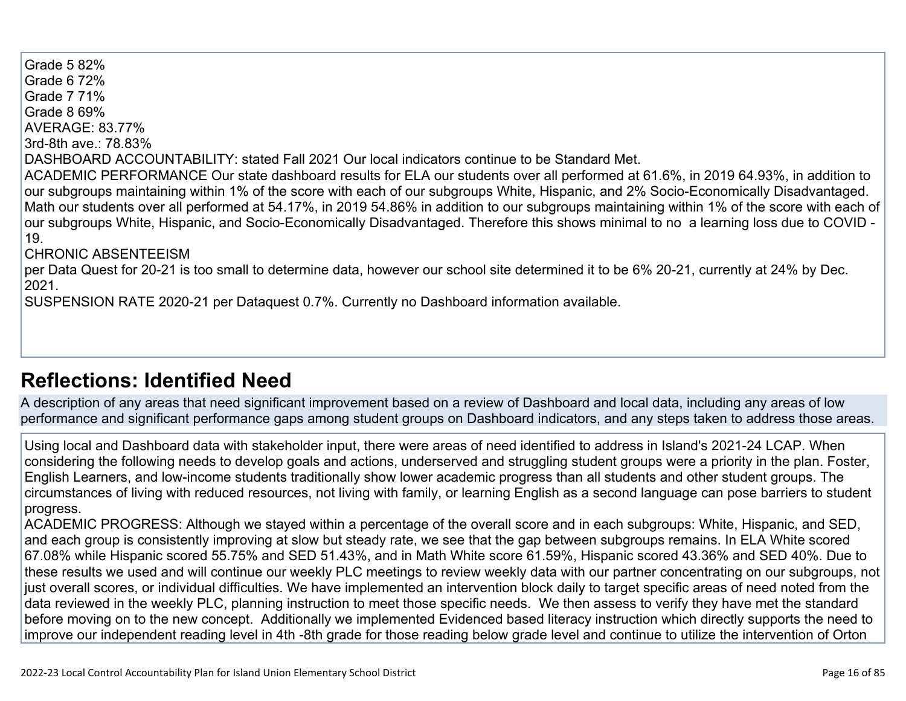Grade 5 82% Grade 6 72% Grade 7 71% Grade 8 69% AVERAGE: 83.77% 3rd-8th ave.: 78.83% DASHBOARD ACCOUNTABILITY: stated Fall 2021 Our local indicators continue to be Standard Met. ACADEMIC PERFORMANCE Our state dashboard results for ELA our students over all performed at 61.6%, in 2019 64.93%, in addition to our subgroups maintaining within 1% of the score with each of our subgroups White, Hispanic, and 2% Socio-Economically Disadvantaged. Math our students over all performed at 54.17%, in 2019 54.86% in addition to our subgroups maintaining within 1% of the score with each of our subgroups White, Hispanic, and Socio-Economically Disadvantaged. Therefore this shows minimal to no a learning loss due to COVID - 19. CHRONIC ABSENTEEISM per Data Quest for 20-21 is too small to determine data, however our school site determined it to be 6% 20-21, currently at 24% by Dec. 2021. SUSPENSION RATE 2020-21 per Dataquest 0.7%. Currently no Dashboard information available.

## **[Reflections: Identified Need](http://www.doc-tracking.com/screenshots/22LCAP/Instructions/22LCAPInstructions.htm#ReflectionsIdentifiedNeed)**

A description of any areas that need significant improvement based on a review of Dashboard and local data, including any areas of low performance and significant performance gaps among student groups on Dashboard indicators, and any steps taken to address those areas.

Using local and Dashboard data with stakeholder input, there were areas of need identified to address in Island's 2021-24 LCAP. When considering the following needs to develop goals and actions, underserved and struggling student groups were a priority in the plan. Foster, English Learners, and low-income students traditionally show lower academic progress than all students and other student groups. The circumstances of living with reduced resources, not living with family, or learning English as a second language can pose barriers to student progress.

ACADEMIC PROGRESS: Although we stayed within a percentage of the overall score and in each subgroups: White, Hispanic, and SED, and each group is consistently improving at slow but steady rate, we see that the gap between subgroups remains. In ELA White scored 67.08% while Hispanic scored 55.75% and SED 51.43%, and in Math White score 61.59%, Hispanic scored 43.36% and SED 40%. Due to these results we used and will continue our weekly PLC meetings to review weekly data with our partner concentrating on our subgroups, not just overall scores, or individual difficulties. We have implemented an intervention block daily to target specific areas of need noted from the data reviewed in the weekly PLC, planning instruction to meet those specific needs. We then assess to verify they have met the standard before moving on to the new concept. Additionally we implemented Evidenced based literacy instruction which directly supports the need to improve our independent reading level in 4th -8th grade for those reading below grade level and continue to utilize the intervention of Orton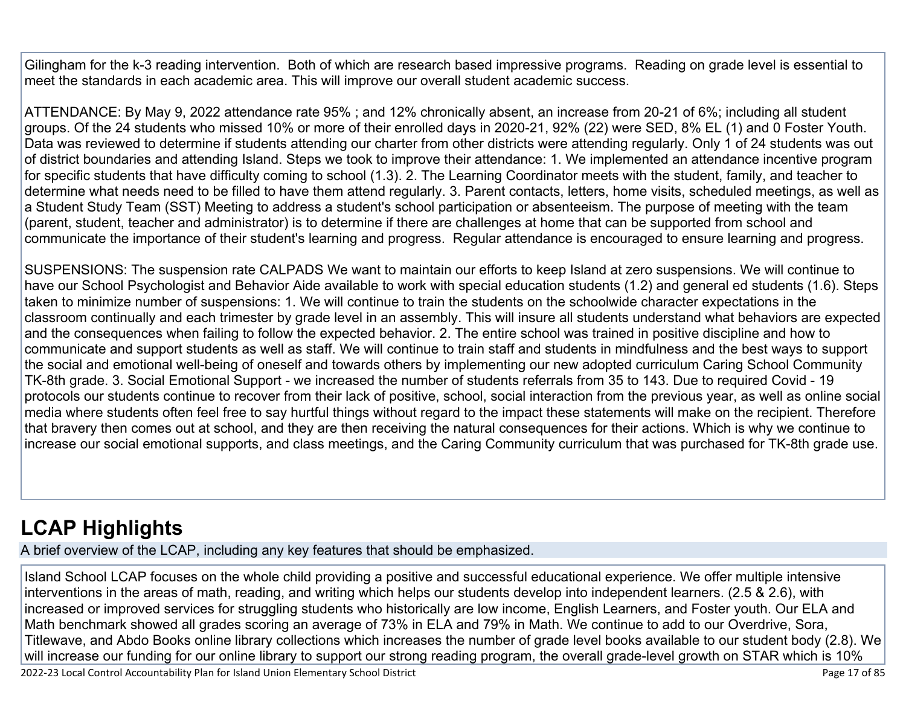Gilingham for the k-3 reading intervention. Both of which are research based impressive programs. Reading on grade level is essential to meet the standards in each academic area. This will improve our overall student academic success.

ATTENDANCE: By May 9, 2022 attendance rate 95% ; and 12% chronically absent, an increase from 20-21 of 6%; including all student groups. Of the 24 students who missed 10% or more of their enrolled days in 2020-21, 92% (22) were SED, 8% EL (1) and 0 Foster Youth. Data was reviewed to determine if students attending our charter from other districts were attending regularly. Only 1 of 24 students was out of district boundaries and attending Island. Steps we took to improve their attendance: 1. We implemented an attendance incentive program for specific students that have difficulty coming to school (1.3). 2. The Learning Coordinator meets with the student, family, and teacher to determine what needs need to be filled to have them attend regularly. 3. Parent contacts, letters, home visits, scheduled meetings, as well as a Student Study Team (SST) Meeting to address a student's school participation or absenteeism. The purpose of meeting with the team (parent, student, teacher and administrator) is to determine if there are challenges at home that can be supported from school and communicate the importance of their student's learning and progress. Regular attendance is encouraged to ensure learning and progress.

SUSPENSIONS: The suspension rate CALPADS We want to maintain our efforts to keep Island at zero suspensions. We will continue to have our School Psychologist and Behavior Aide available to work with special education students (1.2) and general ed students (1.6). Steps taken to minimize number of suspensions: 1. We will continue to train the students on the schoolwide character expectations in the classroom continually and each trimester by grade level in an assembly. This will insure all students understand what behaviors are expected and the consequences when failing to follow the expected behavior. 2. The entire school was trained in positive discipline and how to communicate and support students as well as staff. We will continue to train staff and students in mindfulness and the best ways to support the social and emotional well-being of oneself and towards others by implementing our new adopted curriculum Caring School Community TK-8th grade. 3. Social Emotional Support - we increased the number of students referrals from 35 to 143. Due to required Covid - 19 protocols our students continue to recover from their lack of positive, school, social interaction from the previous year, as well as online social media where students often feel free to say hurtful things without regard to the impact these statements will make on the recipient. Therefore that bravery then comes out at school, and they are then receiving the natural consequences for their actions. Which is why we continue to increase our social emotional supports, and class meetings, and the Caring Community curriculum that was purchased for TK-8th grade use.

# **[LCAP Highlights](http://www.doc-tracking.com/screenshots/22LCAP/Instructions/22LCAPInstructions.htm#LCAPHighlights)**

A brief overview of the LCAP, including any key features that should be emphasized.

Island School LCAP focuses on the whole child providing a positive and successful educational experience. We offer multiple intensive interventions in the areas of math, reading, and writing which helps our students develop into independent learners. (2.5 & 2.6), with increased or improved services for struggling students who historically are low income, English Learners, and Foster youth. Our ELA and Math benchmark showed all grades scoring an average of 73% in ELA and 79% in Math. We continue to add to our Overdrive, Sora, Titlewave, and Abdo Books online library collections which increases the number of grade level books available to our student body (2.8). We will increase our funding for our online library to support our strong reading program, the overall grade-level growth on STAR which is 10%

2022-23 Local Control Accountability Plan for Island Union Elementary School District **Page 17** of 85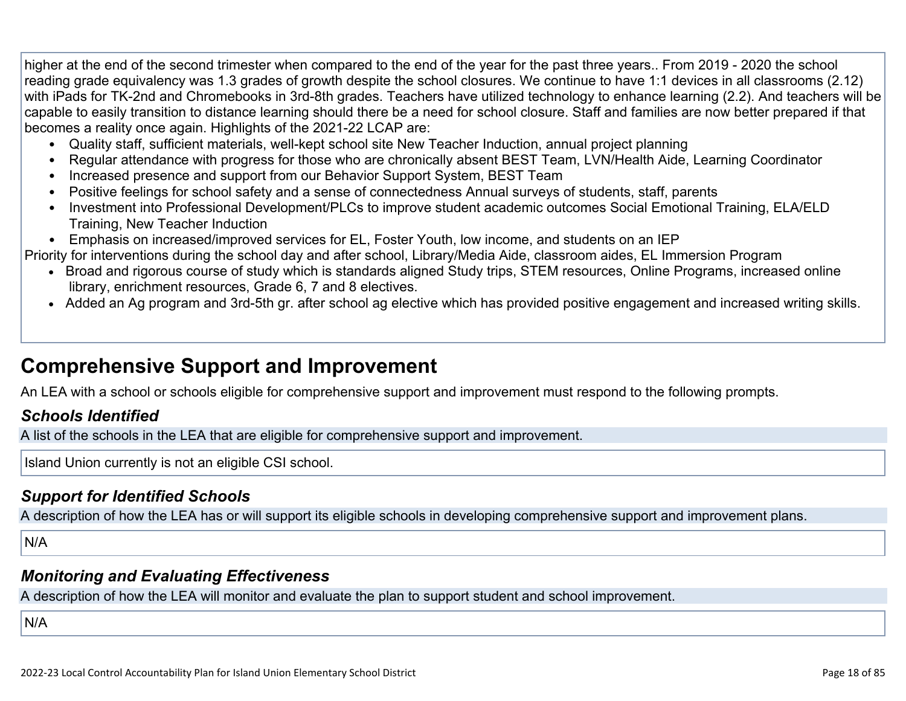higher at the end of the second trimester when compared to the end of the year for the past three years.. From 2019 - 2020 the school reading grade equivalency was 1.3 grades of growth despite the school closures. We continue to have 1:1 devices in all classrooms (2.12) with iPads for TK-2nd and Chromebooks in 3rd-8th grades. Teachers have utilized technology to enhance learning (2.2). And teachers will be capable to easily transition to distance learning should there be a need for school closure. Staff and families are now better prepared if that becomes a reality once again. Highlights of the 2021-22 LCAP are:

- Quality staff, sufficient materials, well-kept school site New Teacher Induction, annual project planning
- Regular attendance with progress for those who are chronically absent BEST Team, LVN/Health Aide, Learning Coordinator
- Increased presence and support from our Behavior Support System, BEST Team
- Positive feelings for school safety and a sense of connectedness Annual surveys of students, staff, parents
- Investment into Professional Development/PLCs to improve student academic outcomes Social Emotional Training, ELA/ELD Training, New Teacher Induction
- Emphasis on increased/improved services for EL, Foster Youth, low income, and students on an IEP

Priority for interventions during the school day and after school, Library/Media Aide, classroom aides, EL Immersion Program

- Broad and rigorous course of study which is standards aligned Study trips, STEM resources, Online Programs, increased online library, enrichment resources, Grade 6, 7 and 8 electives.
- Added an Ag program and 3rd-5th gr. after school ag elective which has provided positive engagement and increased writing skills.

## **Comprehensive Support and Improvement**

An LEA with a school or schools eligible for comprehensive support and improvement must respond to the following prompts.

#### *[Schools Identified](http://www.doc-tracking.com/screenshots/22LCAP/Instructions/22LCAPInstructions.htm#SchoolsIdentified)*

A list of the schools in the LEA that are eligible for comprehensive support and improvement.

Island Union currently is not an eligible CSI school.

### *[Support for Identified Schools](http://www.doc-tracking.com/screenshots/22LCAP/Instructions/22LCAPInstructions.htm#SupportforIdentifiedSchools)*

A description of how the LEA has or will support its eligible schools in developing comprehensive support and improvement plans.

N/A

#### *[Monitoring and Evaluating Effectiveness](http://www.doc-tracking.com/screenshots/22LCAP/Instructions/22LCAPInstructions.htm#MonitoringandEvaluatingEffectiveness)*

A description of how the LEA will monitor and evaluate the plan to support student and school improvement.

N/A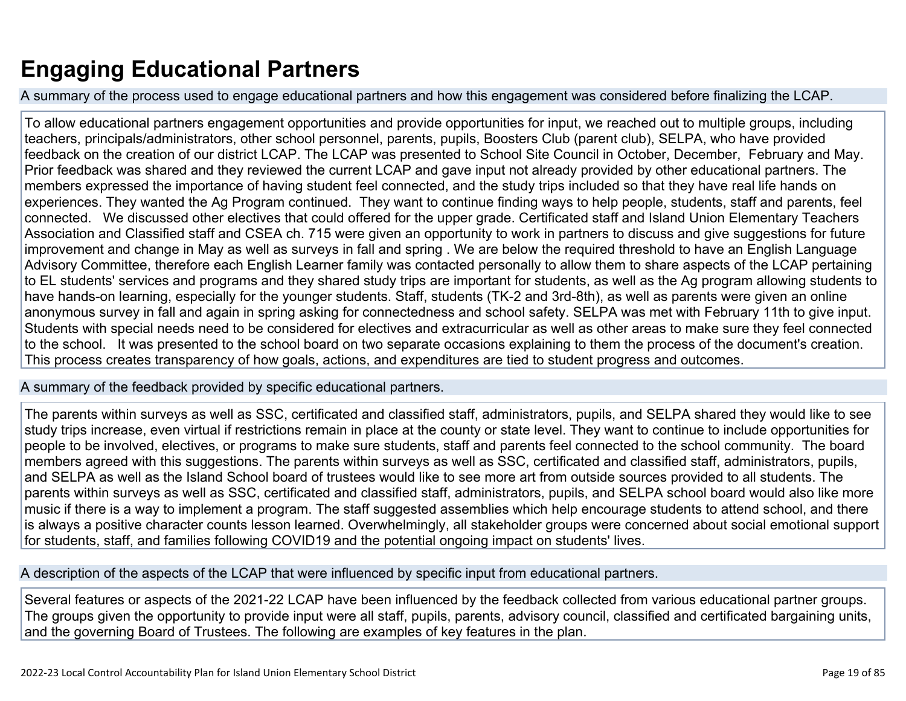# **Engaging Educational Partners**

A summary of the process used to engage educational partners and how this engagement was considered before finalizing the LCAP.

To allow educational partners engagement opportunities and provide opportunities for input, we reached out to multiple groups, including teachers, principals/administrators, other school personnel, parents, pupils, Boosters Club (parent club), SELPA, who have provided feedback on the creation of our district LCAP. The LCAP was presented to School Site Council in October, December, February and May. Prior feedback was shared and they reviewed the current LCAP and gave input not already provided by other educational partners. The members expressed the importance of having student feel connected, and the study trips included so that they have real life hands on experiences. They wanted the Ag Program continued. They want to continue finding ways to help people, students, staff and parents, feel connected. We discussed other electives that could offered for the upper grade. Certificated staff and Island Union Elementary Teachers Association and Classified staff and CSEA ch. 715 were given an opportunity to work in partners to discuss and give suggestions for future improvement and change in May as well as surveys in fall and spring . We are below the required threshold to have an English Language Advisory Committee, therefore each English Learner family was contacted personally to allow them to share aspects of the LCAP pertaining to EL students' services and programs and they shared study trips are important for students, as well as the Ag program allowing students to have hands-on learning, especially for the younger students. Staff, students (TK-2 and 3rd-8th), as well as parents were given an online anonymous survey in fall and again in spring asking for connectedness and school safety. SELPA was met with February 11th to give input. Students with special needs need to be considered for electives and extracurricular as well as other areas to make sure they feel connected to the school. It was presented to the school board on two separate occasions explaining to them the process of the document's creation. This process creates transparency of how goals, actions, and expenditures are tied to student progress and outcomes.

A summary of the feedback provided by specific educational partners.

The parents within surveys as well as SSC, certificated and classified staff, administrators, pupils, and SELPA shared they would like to see study trips increase, even virtual if restrictions remain in place at the county or state level. They want to continue to include opportunities for people to be involved, electives, or programs to make sure students, staff and parents feel connected to the school community. The board members agreed with this suggestions. The parents within surveys as well as SSC, certificated and classified staff, administrators, pupils, and SELPA as well as the Island School board of trustees would like to see more art from outside sources provided to all students. The parents within surveys as well as SSC, certificated and classified staff, administrators, pupils, and SELPA school board would also like more music if there is a way to implement a program. The staff suggested assemblies which help encourage students to attend school, and there is always a positive character counts lesson learned. Overwhelmingly, all stakeholder groups were concerned about social emotional support for students, staff, and families following COVID19 and the potential ongoing impact on students' lives.

A description of the aspects of the LCAP that were influenced by specific input from educational partners.

Several features or aspects of the 2021-22 LCAP have been influenced by the feedback collected from various educational partner groups. The groups given the opportunity to provide input were all staff, pupils, parents, advisory council, classified and certificated bargaining units, and the governing Board of Trustees. The following are examples of key features in the plan.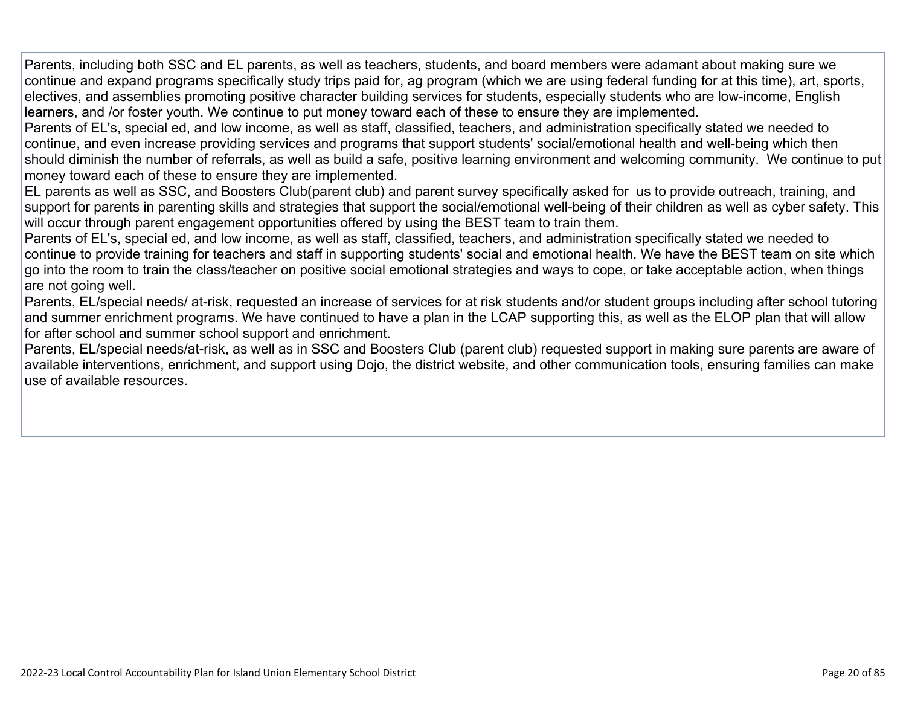Parents, including both SSC and EL parents, as well as teachers, students, and board members were adamant about making sure we continue and expand programs specifically study trips paid for, ag program (which we are using federal funding for at this time), art, sports, electives, and assemblies promoting positive character building services for students, especially students who are low-income, English learners, and /or foster youth. We continue to put money toward each of these to ensure they are implemented.

Parents of EL's, special ed, and low income, as well as staff, classified, teachers, and administration specifically stated we needed to continue, and even increase providing services and programs that support students' social/emotional health and well-being which then should diminish the number of referrals, as well as build a safe, positive learning environment and welcoming community. We continue to put money toward each of these to ensure they are implemented.

EL parents as well as SSC, and Boosters Club(parent club) and parent survey specifically asked for us to provide outreach, training, and support for parents in parenting skills and strategies that support the social/emotional well-being of their children as well as cyber safety. This will occur through parent engagement opportunities offered by using the BEST team to train them.

Parents of EL's, special ed, and low income, as well as staff, classified, teachers, and administration specifically stated we needed to continue to provide training for teachers and staff in supporting students' social and emotional health. We have the BEST team on site which go into the room to train the class/teacher on positive social emotional strategies and ways to cope, or take acceptable action, when things are not going well.

Parents, EL/special needs/ at-risk, requested an increase of services for at risk students and/or student groups including after school tutoring and summer enrichment programs. We have continued to have a plan in the LCAP supporting this, as well as the ELOP plan that will allow for after school and summer school support and enrichment.

Parents, EL/special needs/at-risk, as well as in SSC and Boosters Club (parent club) requested support in making sure parents are aware of available interventions, enrichment, and support using Dojo, the district website, and other communication tools, ensuring families can make use of available resources.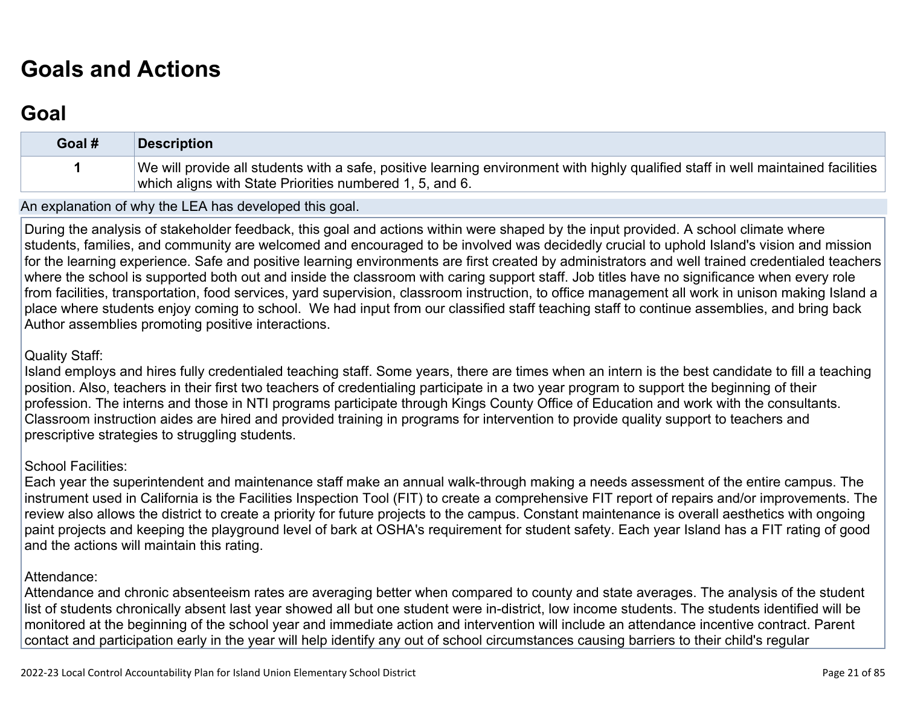# **[Goals and Actions](http://www.doc-tracking.com/screenshots/22LCAP/Instructions/22LCAPInstructions.htm#GoalsandActions)**

## **[Goal](http://www.doc-tracking.com/screenshots/22LCAP/Instructions/22LCAPInstructions.htm#goalDescription)**

| Goal # | Description                                                                                                                                                                                   |
|--------|-----------------------------------------------------------------------------------------------------------------------------------------------------------------------------------------------|
|        | We will provide all students with a safe, positive learning environment with highly qualified staff in well maintained facilities<br>which aligns with State Priorities numbered 1, 5, and 6. |

An explanation of why the LEA has developed this goal.

During the analysis of stakeholder feedback, this goal and actions within were shaped by the input provided. A school climate where students, families, and community are welcomed and encouraged to be involved was decidedly crucial to uphold Island's vision and mission for the learning experience. Safe and positive learning environments are first created by administrators and well trained credentialed teachers where the school is supported both out and inside the classroom with caring support staff. Job titles have no significance when every role from facilities, transportation, food services, yard supervision, classroom instruction, to office management all work in unison making Island a place where students enjoy coming to school. We had input from our classified staff teaching staff to continue assemblies, and bring back Author assemblies promoting positive interactions.

#### Quality Staff:

Island employs and hires fully credentialed teaching staff. Some years, there are times when an intern is the best candidate to fill a teaching position. Also, teachers in their first two teachers of credentialing participate in a two year program to support the beginning of their profession. The interns and those in NTI programs participate through Kings County Office of Education and work with the consultants. Classroom instruction aides are hired and provided training in programs for intervention to provide quality support to teachers and prescriptive strategies to struggling students.

#### School Facilities:

Each year the superintendent and maintenance staff make an annual walk-through making a needs assessment of the entire campus. The instrument used in California is the Facilities Inspection Tool (FIT) to create a comprehensive FIT report of repairs and/or improvements. The review also allows the district to create a priority for future projects to the campus. Constant maintenance is overall aesthetics with ongoing paint projects and keeping the playground level of bark at OSHA's requirement for student safety. Each year Island has a FIT rating of good and the actions will maintain this rating.

#### Attendance:

Attendance and chronic absenteeism rates are averaging better when compared to county and state averages. The analysis of the student list of students chronically absent last year showed all but one student were in-district, low income students. The students identified will be monitored at the beginning of the school year and immediate action and intervention will include an attendance incentive contract. Parent contact and participation early in the year will help identify any out of school circumstances causing barriers to their child's regular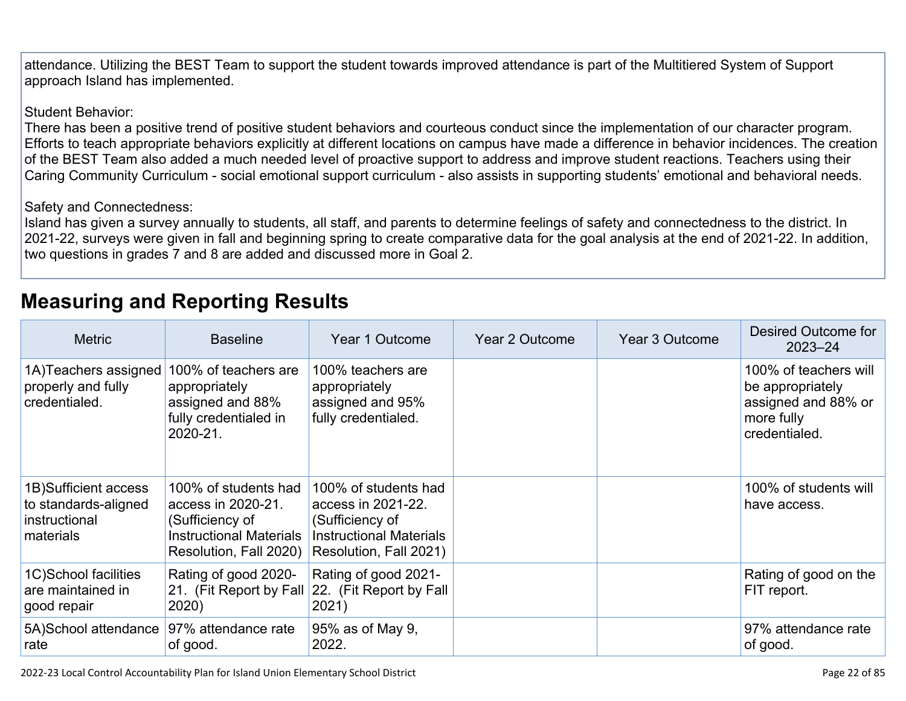attendance. Utilizing the BEST Team to support the student towards improved attendance is part of the Multitiered System of Support approach Island has implemented.

#### Student Behavior:

There has been a positive trend of positive student behaviors and courteous conduct since the implementation of our character program. Efforts to teach appropriate behaviors explicitly at different locations on campus have made a difference in behavior incidences. The creation of the BEST Team also added a much needed level of proactive support to address and improve student reactions. Teachers using their Caring Community Curriculum - social emotional support curriculum - also assists in supporting students' emotional and behavioral needs.

#### Safety and Connectedness:

Island has given a survey annually to students, all staff, and parents to determine feelings of safety and connectedness to the district. In 2021-22, surveys were given in fall and beginning spring to create comparative data for the goal analysis at the end of 2021-22. In addition, two questions in grades 7 and 8 are added and discussed more in Goal 2.

## **[Measuring and Reporting Results](http://www.doc-tracking.com/screenshots/22LCAP/Instructions/22LCAPInstructions.htm#MeasuringandReportingResults)**

| <b>Metric</b>                                                               | <b>Baseline</b>                                                                                                           | Year 1 Outcome                                                                                                            | Year 2 Outcome | Year 3 Outcome | Desired Outcome for<br>$2023 - 24$                                                              |
|-----------------------------------------------------------------------------|---------------------------------------------------------------------------------------------------------------------------|---------------------------------------------------------------------------------------------------------------------------|----------------|----------------|-------------------------------------------------------------------------------------------------|
| 1A) Teachers assigned<br>properly and fully<br>credentialed.                | 100% of teachers are<br>appropriately<br>assigned and 88%<br>fully credentialed in<br>2020-21.                            | 100% teachers are<br>appropriately<br>assigned and 95%<br>fully credentialed.                                             |                |                | 100% of teachers will<br>be appropriately<br>assigned and 88% or<br>more fully<br>credentialed. |
| 1B) Sufficient access<br>to standards-aligned<br>instructional<br>materials | 100% of students had<br>access in 2020-21.<br>(Sufficiency of<br><b>Instructional Materials</b><br>Resolution, Fall 2020) | 100% of students had<br>access in 2021-22.<br>(Sufficiency of<br><b>Instructional Materials</b><br>Resolution, Fall 2021) |                |                | 100% of students will<br>have access.                                                           |
| 1C)School facilities<br>are maintained in<br>good repair                    | Rating of good 2020-<br>2020)                                                                                             | Rating of good 2021-<br>21. (Fit Report by Fall 22. (Fit Report by Fall<br>2021)                                          |                |                | Rating of good on the<br>FIT report.                                                            |
| 5A) School attendance<br>rate                                               | 97% attendance rate<br>of good.                                                                                           | 95% as of May 9,<br>2022.                                                                                                 |                |                | 97% attendance rate<br>of good.                                                                 |

2022-23 Local Control Accountability Plan for Island Union Elementary School District **Page 22** of 85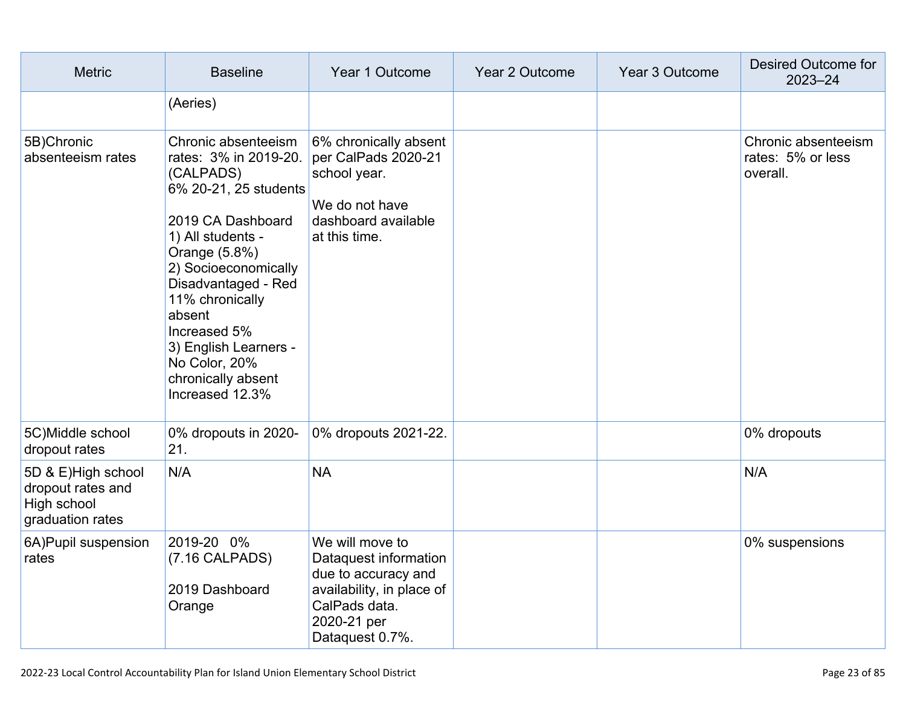| <b>Metric</b>                                                              | <b>Baseline</b>                                                                                                                                                                                                                                                                                                              | Year 1 Outcome                                                                                                                                  | Year 2 Outcome | Year 3 Outcome | <b>Desired Outcome for</b><br>$2023 - 24$            |
|----------------------------------------------------------------------------|------------------------------------------------------------------------------------------------------------------------------------------------------------------------------------------------------------------------------------------------------------------------------------------------------------------------------|-------------------------------------------------------------------------------------------------------------------------------------------------|----------------|----------------|------------------------------------------------------|
|                                                                            | (Aeries)                                                                                                                                                                                                                                                                                                                     |                                                                                                                                                 |                |                |                                                      |
| 5B)Chronic<br>absenteeism rates                                            | Chronic absenteeism<br>rates: 3% in 2019-20.<br>(CALPADS)<br>6% 20-21, 25 students<br>2019 CA Dashboard<br>1) All students -<br>Orange (5.8%)<br>2) Socioeconomically<br>Disadvantaged - Red<br>11% chronically<br>absent<br>Increased 5%<br>3) English Learners -<br>No Color, 20%<br>chronically absent<br>Increased 12.3% | 6% chronically absent<br>per CalPads 2020-21<br>school year.<br>We do not have<br>dashboard available<br>at this time.                          |                |                | Chronic absenteeism<br>rates: 5% or less<br>overall. |
| 5C) Middle school<br>dropout rates                                         | 0% dropouts in 2020-<br>21.                                                                                                                                                                                                                                                                                                  | 0% dropouts 2021-22.                                                                                                                            |                |                | 0% dropouts                                          |
| 5D & E)High school<br>dropout rates and<br>High school<br>graduation rates | N/A                                                                                                                                                                                                                                                                                                                          | <b>NA</b>                                                                                                                                       |                |                | N/A                                                  |
| 6A) Pupil suspension<br>rates                                              | 2019-20 0%<br>(7.16 CALPADS)<br>2019 Dashboard<br>Orange                                                                                                                                                                                                                                                                     | We will move to<br>Dataquest information<br>due to accuracy and<br>availability, in place of<br>CalPads data.<br>2020-21 per<br>Dataquest 0.7%. |                |                | 0% suspensions                                       |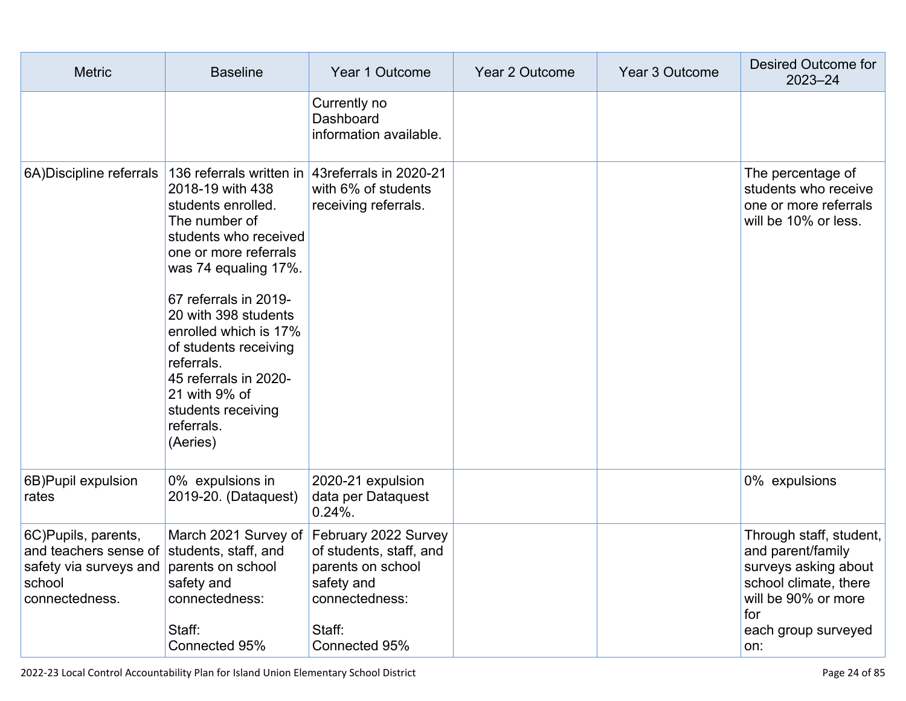| <b>Metric</b>                                                                                                           | <b>Baseline</b>                                                                                                                                                                                                                                                                                                                                                                                  | Year 1 Outcome                                                                                                                                       | Year 2 Outcome | Year 3 Outcome | Desired Outcome for<br>2023-24                                                                                                                            |
|-------------------------------------------------------------------------------------------------------------------------|--------------------------------------------------------------------------------------------------------------------------------------------------------------------------------------------------------------------------------------------------------------------------------------------------------------------------------------------------------------------------------------------------|------------------------------------------------------------------------------------------------------------------------------------------------------|----------------|----------------|-----------------------------------------------------------------------------------------------------------------------------------------------------------|
|                                                                                                                         |                                                                                                                                                                                                                                                                                                                                                                                                  | Currently no<br>Dashboard<br>information available.                                                                                                  |                |                |                                                                                                                                                           |
| 6A) Discipline referrals                                                                                                | 136 referrals written in 43 referrals in 2020-21<br>2018-19 with 438<br>students enrolled.<br>The number of<br>students who received<br>one or more referrals<br>was 74 equaling 17%.<br>67 referrals in 2019-<br>20 with 398 students<br>enrolled which is 17%<br>of students receiving<br>referrals.<br>45 referrals in 2020-<br>21 with 9% of<br>students receiving<br>referrals.<br>(Aeries) | with 6% of students<br>receiving referrals.                                                                                                          |                |                | The percentage of<br>students who receive<br>one or more referrals<br>will be 10% or less.                                                                |
| 6B) Pupil expulsion<br>rates                                                                                            | 0% expulsions in<br>2019-20. (Dataquest)                                                                                                                                                                                                                                                                                                                                                         | 2020-21 expulsion<br>data per Dataquest<br>$0.24%$ .                                                                                                 |                |                | 0% expulsions                                                                                                                                             |
| 6C)Pupils, parents,<br>and teachers sense of students, staff, and<br>safety via surveys and<br>school<br>connectedness. | parents on school<br>safety and<br>connectedness:<br>Staff:<br>Connected 95%                                                                                                                                                                                                                                                                                                                     | March 2021 Survey of February 2022 Survey<br>of students, staff, and<br>parents on school<br>safety and<br>connectedness:<br>Staff:<br>Connected 95% |                |                | Through staff, student,<br>and parent/family<br>surveys asking about<br>school climate, there<br>will be 90% or more<br>for<br>each group surveyed<br>on: |

2022-23 Local Control Accountability Plan for Island Union Elementary School District Page 24 of 85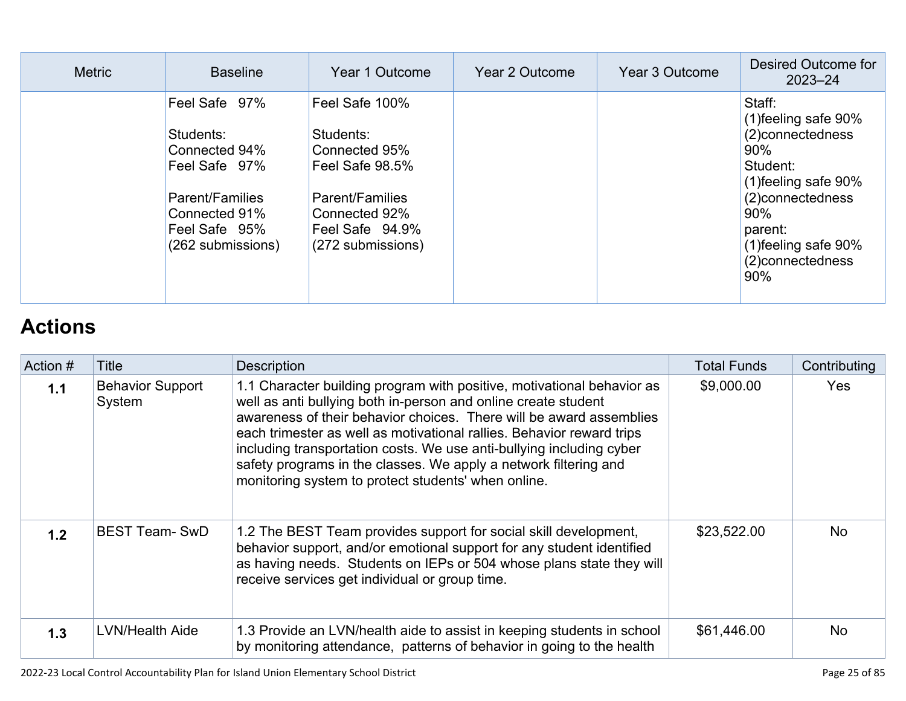| <b>Metric</b> | <b>Baseline</b>                                                                                                                               | Year 1 Outcome                                                                                                                              | Year 2 Outcome | Year 3 Outcome | Desired Outcome for<br>$2023 - 24$                                                                                                                                                              |
|---------------|-----------------------------------------------------------------------------------------------------------------------------------------------|---------------------------------------------------------------------------------------------------------------------------------------------|----------------|----------------|-------------------------------------------------------------------------------------------------------------------------------------------------------------------------------------------------|
|               | Feel Safe 97%<br>Students:<br>Connected 94%<br>Feel Safe 97%<br><b>Parent/Families</b><br>Connected 91%<br>Feel Safe 95%<br>(262 submissions) | Feel Safe 100%<br>Students:<br>Connected 95%<br>Feel Safe 98.5%<br>Parent/Families<br>Connected 92%<br>Feel Safe 94.9%<br>(272 submissions) |                |                | Staff:<br>(1) feeling safe 90%<br>(2) connectedness<br>$90\%$<br>Student:<br>(1) feeling safe 90%<br>(2) connectedness<br>$90\%$<br>parent:<br>(1) feeling safe 90%<br>(2) connectedness<br>90% |

# **[Actions](http://www.doc-tracking.com/screenshots/22LCAP/Instructions/22LCAPInstructions.htm#actions)**

| Action # | Title                             | <b>Description</b>                                                                                                                                                                                                                                                                                                                                                                                                                                                                          | <b>Total Funds</b> | Contributing |
|----------|-----------------------------------|---------------------------------------------------------------------------------------------------------------------------------------------------------------------------------------------------------------------------------------------------------------------------------------------------------------------------------------------------------------------------------------------------------------------------------------------------------------------------------------------|--------------------|--------------|
| 1.1      | <b>Behavior Support</b><br>System | 1.1 Character building program with positive, motivational behavior as<br>well as anti bullying both in-person and online create student<br>awareness of their behavior choices. There will be award assemblies<br>each trimester as well as motivational rallies. Behavior reward trips<br>including transportation costs. We use anti-bullying including cyber<br>safety programs in the classes. We apply a network filtering and<br>monitoring system to protect students' when online. | \$9,000.00         | Yes          |
| 1.2      | <b>BEST Team- SwD</b>             | 1.2 The BEST Team provides support for social skill development,<br>behavior support, and/or emotional support for any student identified<br>as having needs. Students on IEPs or 504 whose plans state they will<br>receive services get individual or group time.                                                                                                                                                                                                                         | \$23,522.00        | <b>No</b>    |
| 1.3      | LVN/Health Aide                   | 1.3 Provide an LVN/health aide to assist in keeping students in school<br>by monitoring attendance, patterns of behavior in going to the health                                                                                                                                                                                                                                                                                                                                             | \$61,446.00        | <b>No</b>    |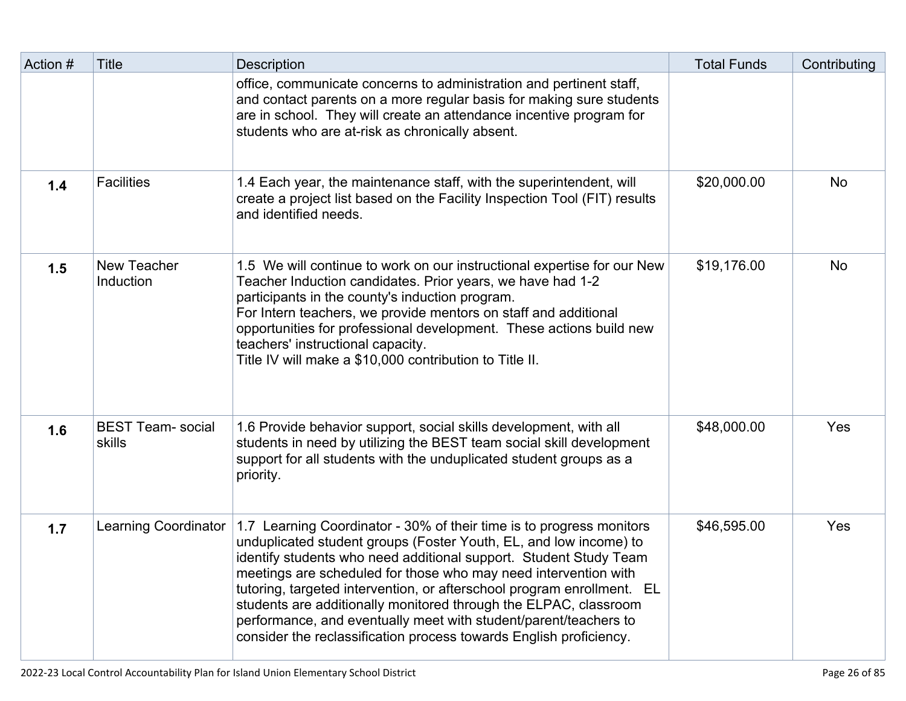| Action # | <b>Title</b>                       | <b>Description</b>                                                                                                                                                                                                                                                                                                                                                                                                                                                                                                                                                        | <b>Total Funds</b> | Contributing |
|----------|------------------------------------|---------------------------------------------------------------------------------------------------------------------------------------------------------------------------------------------------------------------------------------------------------------------------------------------------------------------------------------------------------------------------------------------------------------------------------------------------------------------------------------------------------------------------------------------------------------------------|--------------------|--------------|
|          |                                    | office, communicate concerns to administration and pertinent staff,<br>and contact parents on a more regular basis for making sure students<br>are in school. They will create an attendance incentive program for<br>students who are at-risk as chronically absent.                                                                                                                                                                                                                                                                                                     |                    |              |
| 1.4      | <b>Facilities</b>                  | 1.4 Each year, the maintenance staff, with the superintendent, will<br>create a project list based on the Facility Inspection Tool (FIT) results<br>and identified needs.                                                                                                                                                                                                                                                                                                                                                                                                 | \$20,000.00        | <b>No</b>    |
| 1.5      | <b>New Teacher</b><br>Induction    | 1.5 We will continue to work on our instructional expertise for our New<br>Teacher Induction candidates. Prior years, we have had 1-2<br>participants in the county's induction program.<br>For Intern teachers, we provide mentors on staff and additional<br>opportunities for professional development. These actions build new<br>teachers' instructional capacity.<br>Title IV will make a \$10,000 contribution to Title II.                                                                                                                                        | \$19,176.00        | <b>No</b>    |
| 1.6      | <b>BEST Team-</b> social<br>skills | 1.6 Provide behavior support, social skills development, with all<br>students in need by utilizing the BEST team social skill development<br>support for all students with the unduplicated student groups as a<br>priority.                                                                                                                                                                                                                                                                                                                                              | \$48,000.00        | Yes          |
| 1.7      | <b>Learning Coordinator</b>        | 1.7 Learning Coordinator - 30% of their time is to progress monitors<br>unduplicated student groups (Foster Youth, EL, and low income) to<br>identify students who need additional support. Student Study Team<br>meetings are scheduled for those who may need intervention with<br>tutoring, targeted intervention, or afterschool program enrollment. EL<br>students are additionally monitored through the ELPAC, classroom<br>performance, and eventually meet with student/parent/teachers to<br>consider the reclassification process towards English proficiency. | \$46,595.00        | Yes          |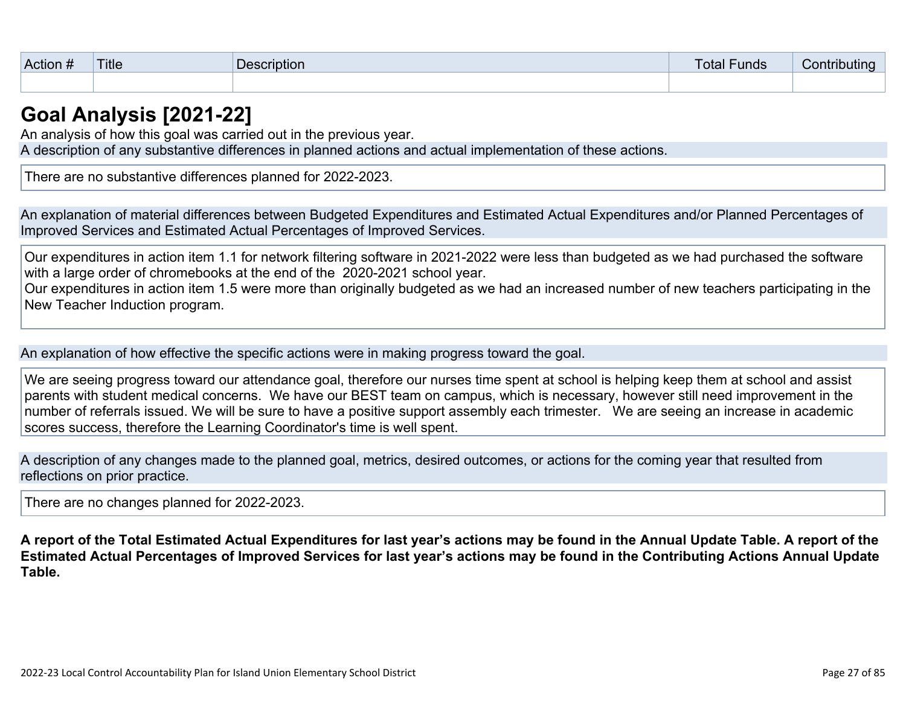| <br><b>Action</b><br>$\bm{\pi}$ | <b>Title</b> | escription<br>Je: | '−unds<br><b>l</b> otal | Jonti<br><b>*ributing</b> |
|---------------------------------|--------------|-------------------|-------------------------|---------------------------|
|                                 |              |                   |                         |                           |

### **[Goal Analysis \[2021-22\]](http://www.doc-tracking.com/screenshots/22LCAP/Instructions/22LCAPInstructions.htm#GoalAnalysis)**

An analysis of how this goal was carried out in the previous year.

A description of any substantive differences in planned actions and actual implementation of these actions.

There are no substantive differences planned for 2022-2023.

An explanation of material differences between Budgeted Expenditures and Estimated Actual Expenditures and/or Planned Percentages of Improved Services and Estimated Actual Percentages of Improved Services.

Our expenditures in action item 1.1 for network filtering software in 2021-2022 were less than budgeted as we had purchased the software with a large order of chromebooks at the end of the 2020-2021 school year.

Our expenditures in action item 1.5 were more than originally budgeted as we had an increased number of new teachers participating in the New Teacher Induction program.

An explanation of how effective the specific actions were in making progress toward the goal.

We are seeing progress toward our attendance goal, therefore our nurses time spent at school is helping keep them at school and assist parents with student medical concerns. We have our BEST team on campus, which is necessary, however still need improvement in the number of referrals issued. We will be sure to have a positive support assembly each trimester. We are seeing an increase in academic scores success, therefore the Learning Coordinator's time is well spent.

A description of any changes made to the planned goal, metrics, desired outcomes, or actions for the coming year that resulted from reflections on prior practice.

There are no changes planned for 2022-2023.

**A report of the Total Estimated Actual Expenditures for last year's actions may be found in the Annual Update Table. A report of the Estimated Actual Percentages of Improved Services for last year's actions may be found in the Contributing Actions Annual Update Table.**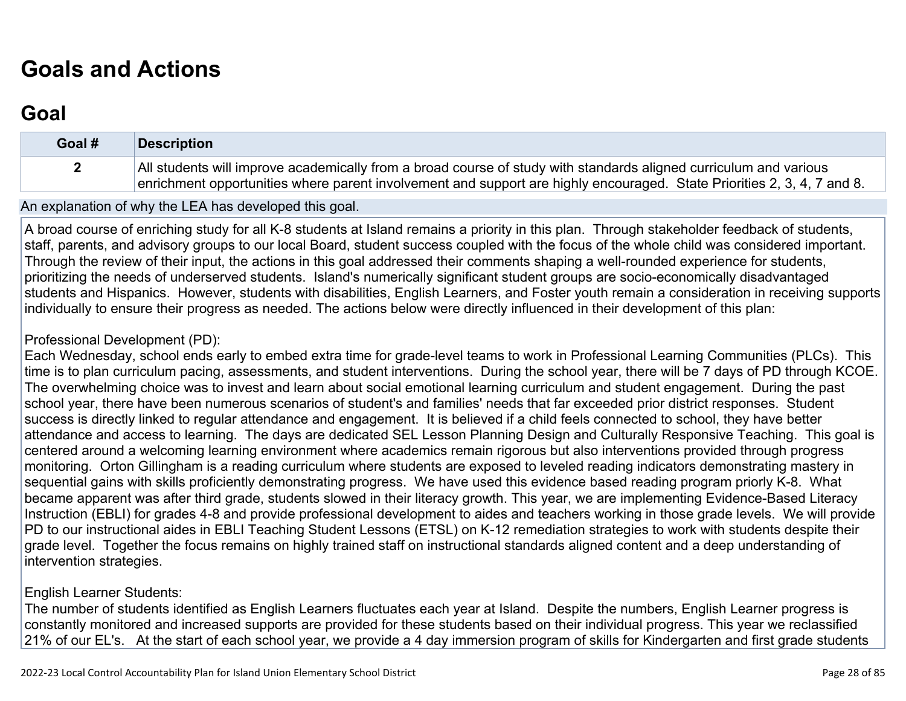# **[Goals and Actions](http://www.doc-tracking.com/screenshots/22LCAP/Instructions/22LCAPInstructions.htm#GoalsandActions)**

## **[Goal](http://www.doc-tracking.com/screenshots/22LCAP/Instructions/22LCAPInstructions.htm#goalDescription)**

| Goal # | <b>Description</b>                                                                                                                                                                                                                           |
|--------|----------------------------------------------------------------------------------------------------------------------------------------------------------------------------------------------------------------------------------------------|
|        | All students will improve academically from a broad course of study with standards aligned curriculum and various<br>enrichment opportunities where parent involvement and support are highly encouraged. State Priorities 2, 3, 4, 7 and 8. |

#### An explanation of why the LEA has developed this goal.

A broad course of enriching study for all K-8 students at Island remains a priority in this plan. Through stakeholder feedback of students, staff, parents, and advisory groups to our local Board, student success coupled with the focus of the whole child was considered important. Through the review of their input, the actions in this goal addressed their comments shaping a well-rounded experience for students, prioritizing the needs of underserved students. Island's numerically significant student groups are socio-economically disadvantaged students and Hispanics. However, students with disabilities, English Learners, and Foster youth remain a consideration in receiving supports individually to ensure their progress as needed. The actions below were directly influenced in their development of this plan:

#### Professional Development (PD):

Each Wednesday, school ends early to embed extra time for grade-level teams to work in Professional Learning Communities (PLCs). This time is to plan curriculum pacing, assessments, and student interventions. During the school year, there will be 7 days of PD through KCOE. The overwhelming choice was to invest and learn about social emotional learning curriculum and student engagement. During the past school year, there have been numerous scenarios of student's and families' needs that far exceeded prior district responses. Student success is directly linked to regular attendance and engagement. It is believed if a child feels connected to school, they have better attendance and access to learning. The days are dedicated SEL Lesson Planning Design and Culturally Responsive Teaching. This goal is centered around a welcoming learning environment where academics remain rigorous but also interventions provided through progress monitoring. Orton Gillingham is a reading curriculum where students are exposed to leveled reading indicators demonstrating mastery in sequential gains with skills proficiently demonstrating progress. We have used this evidence based reading program priorly K-8. What became apparent was after third grade, students slowed in their literacy growth. This year, we are implementing Evidence-Based Literacy Instruction (EBLI) for grades 4-8 and provide professional development to aides and teachers working in those grade levels. We will provide PD to our instructional aides in EBLI Teaching Student Lessons (ETSL) on K-12 remediation strategies to work with students despite their grade level. Together the focus remains on highly trained staff on instructional standards aligned content and a deep understanding of intervention strategies.

#### English Learner Students:

The number of students identified as English Learners fluctuates each year at Island. Despite the numbers, English Learner progress is constantly monitored and increased supports are provided for these students based on their individual progress. This year we reclassified 21% of our EL's. At the start of each school year, we provide a 4 day immersion program of skills for Kindergarten and first grade students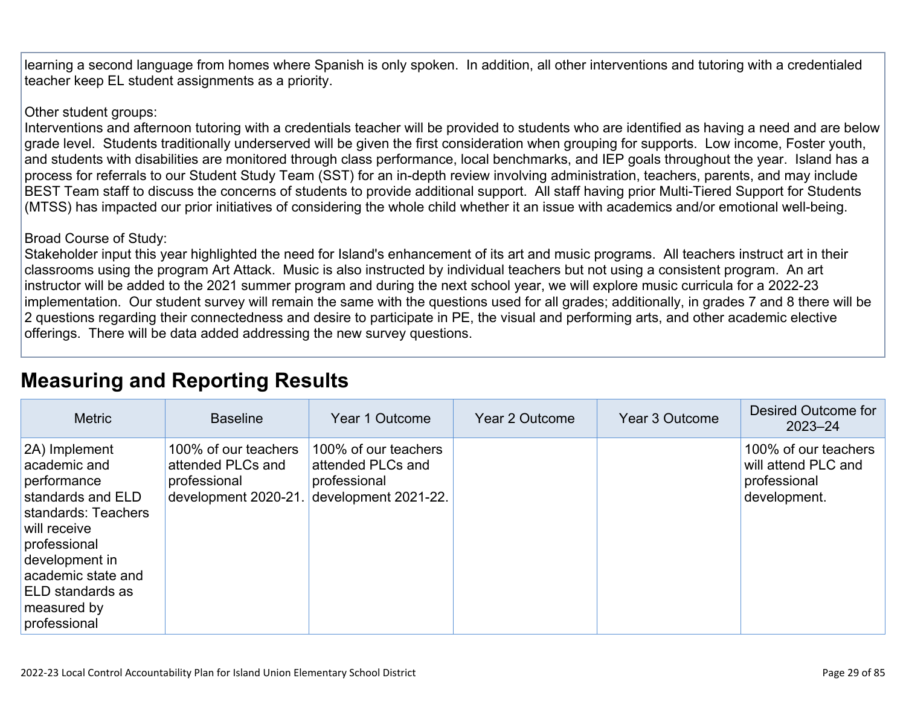learning a second language from homes where Spanish is only spoken. In addition, all other interventions and tutoring with a credentialed teacher keep EL student assignments as a priority.

#### Other student groups:

Interventions and afternoon tutoring with a credentials teacher will be provided to students who are identified as having a need and are below grade level. Students traditionally underserved will be given the first consideration when grouping for supports. Low income, Foster youth, and students with disabilities are monitored through class performance, local benchmarks, and IEP goals throughout the year. Island has a process for referrals to our Student Study Team (SST) for an in-depth review involving administration, teachers, parents, and may include BEST Team staff to discuss the concerns of students to provide additional support. All staff having prior Multi-Tiered Support for Students (MTSS) has impacted our prior initiatives of considering the whole child whether it an issue with academics and/or emotional well-being.

#### Broad Course of Study:

Stakeholder input this year highlighted the need for Island's enhancement of its art and music programs. All teachers instruct art in their classrooms using the program Art Attack. Music is also instructed by individual teachers but not using a consistent program. An art instructor will be added to the 2021 summer program and during the next school year, we will explore music curricula for a 2022-23 implementation. Our student survey will remain the same with the questions used for all grades; additionally, in grades 7 and 8 there will be 2 questions regarding their connectedness and desire to participate in PE, the visual and performing arts, and other academic elective offerings. There will be data added addressing the new survey questions.

## **[Measuring and Reporting Results](http://www.doc-tracking.com/screenshots/22LCAP/Instructions/22LCAPInstructions.htm#MeasuringandReportingResults)**

| <b>Metric</b>                                                                                                                                                                                                       | <b>Baseline</b>                                                                   | Year 1 Outcome                                                                    | Year 2 Outcome | Year 3 Outcome | Desired Outcome for<br>$2023 - 24$                                          |
|---------------------------------------------------------------------------------------------------------------------------------------------------------------------------------------------------------------------|-----------------------------------------------------------------------------------|-----------------------------------------------------------------------------------|----------------|----------------|-----------------------------------------------------------------------------|
| 2A) Implement<br>academic and<br>performance<br>standards and ELD<br>standards: Teachers<br>will receive<br>professional<br>development in<br>academic state and<br>ELD standards as<br>measured by<br>professional | 100% of our teachers<br>attended PLCs and<br>professional<br>development 2020-21. | 100% of our teachers<br>attended PLCs and<br>professional<br>development 2021-22. |                |                | 100% of our teachers<br>will attend PLC and<br>professional<br>development. |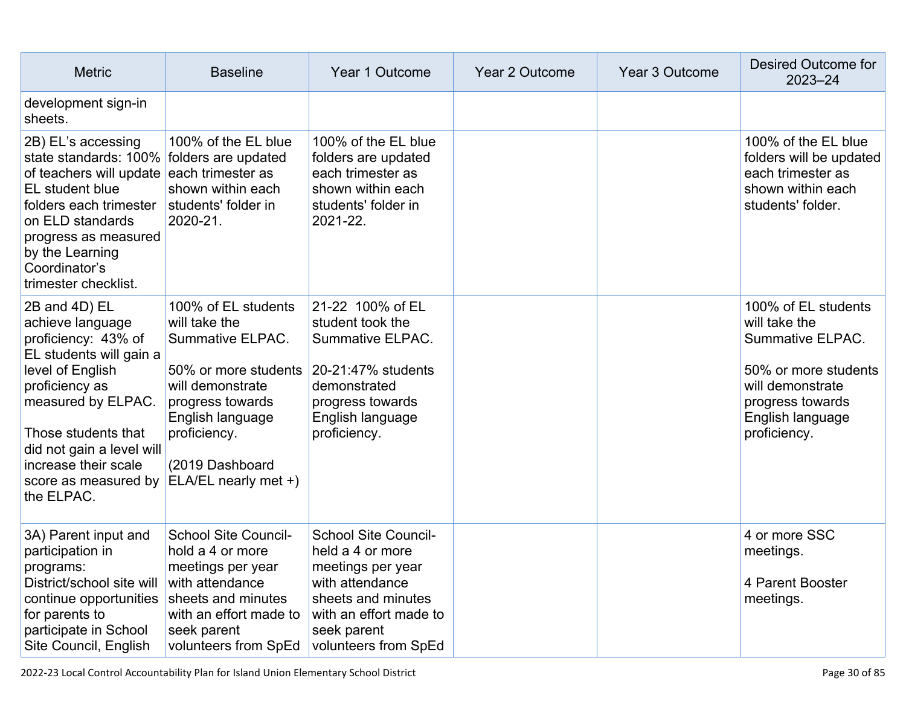| <b>Metric</b>                                                                                                                                                                                                                                                     | <b>Baseline</b>                                                                                                                                                                                         | Year 1 Outcome                                                                                                                                                                 | Year 2 Outcome | Year 3 Outcome | Desired Outcome for<br>$2023 - 24$                                                                                                                           |
|-------------------------------------------------------------------------------------------------------------------------------------------------------------------------------------------------------------------------------------------------------------------|---------------------------------------------------------------------------------------------------------------------------------------------------------------------------------------------------------|--------------------------------------------------------------------------------------------------------------------------------------------------------------------------------|----------------|----------------|--------------------------------------------------------------------------------------------------------------------------------------------------------------|
| development sign-in<br>sheets.                                                                                                                                                                                                                                    |                                                                                                                                                                                                         |                                                                                                                                                                                |                |                |                                                                                                                                                              |
| 2B) EL's accessing<br>state standards: 100%<br>of teachers will update each trimester as<br>EL student blue<br>folders each trimester<br>on ELD standards<br>progress as measured<br>by the Learning<br>Coordinator's<br>trimester checklist.                     | 100% of the EL blue<br>folders are updated<br>shown within each<br>students' folder in<br>2020-21.                                                                                                      | 100% of the EL blue<br>folders are updated<br>each trimester as<br>shown within each<br>students' folder in<br>2021-22.                                                        |                |                | 100% of the EL blue<br>folders will be updated<br>each trimester as<br>shown within each<br>students' folder.                                                |
| 2B and 4D) EL<br>achieve language<br>proficiency: 43% of<br>EL students will gain a<br>level of English<br>proficiency as<br>measured by ELPAC.<br>Those students that<br>did not gain a level will<br>increase their scale<br>score as measured by<br>the ELPAC. | 100% of EL students<br>will take the<br>Summative ELPAC.<br>50% or more students<br>will demonstrate<br>progress towards<br>English language<br>proficiency.<br>(2019 Dashboard<br>ELA/EL nearly met +) | 21-22 100% of EL<br>student took the<br>Summative ELPAC.<br>20-21:47% students<br>demonstrated<br>progress towards<br>English language<br>proficiency.                         |                |                | 100% of EL students<br>will take the<br>Summative ELPAC.<br>50% or more students<br>will demonstrate<br>progress towards<br>English language<br>proficiency. |
| 3A) Parent input and<br>participation in<br>programs:<br>District/school site will<br>continue opportunities<br>for parents to<br>participate in School<br>Site Council, English                                                                                  | <b>School Site Council-</b><br>hold a 4 or more<br>meetings per year<br>with attendance<br>sheets and minutes<br>with an effort made to<br>seek parent<br>volunteers from SpEd                          | <b>School Site Council-</b><br>held a 4 or more<br>meetings per year<br>with attendance<br>sheets and minutes<br>with an effort made to<br>seek parent<br>volunteers from SpEd |                |                | 4 or more SSC<br>meetings.<br>4 Parent Booster<br>meetings.                                                                                                  |

2022-23 Local Control Accountability Plan for Island Union Elementary School District Page 30 of 85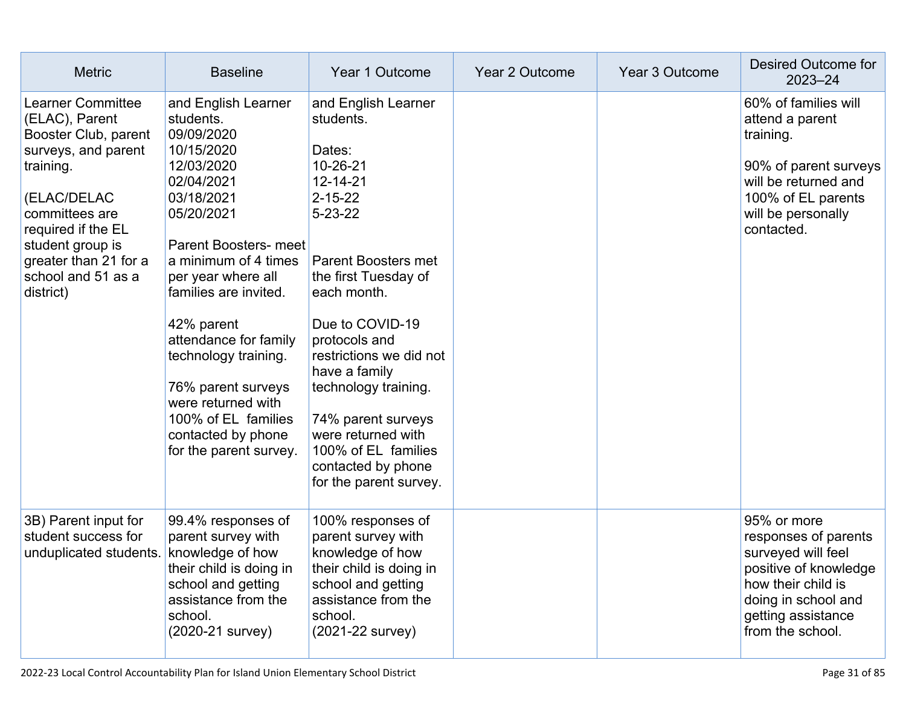| <b>Metric</b>                                                                                                                                                                                                                                 | <b>Baseline</b>                                                                                                                                                                                                                                                                                                                                                                                               | Year 1 Outcome                                                                                                                                                                                                                                                                                                                                                                                       | Year 2 Outcome | Year 3 Outcome | Desired Outcome for<br>$2023 - 24$                                                                                                                                        |
|-----------------------------------------------------------------------------------------------------------------------------------------------------------------------------------------------------------------------------------------------|---------------------------------------------------------------------------------------------------------------------------------------------------------------------------------------------------------------------------------------------------------------------------------------------------------------------------------------------------------------------------------------------------------------|------------------------------------------------------------------------------------------------------------------------------------------------------------------------------------------------------------------------------------------------------------------------------------------------------------------------------------------------------------------------------------------------------|----------------|----------------|---------------------------------------------------------------------------------------------------------------------------------------------------------------------------|
| <b>Learner Committee</b><br>(ELAC), Parent<br>Booster Club, parent<br>surveys, and parent<br>training.<br>(ELAC/DELAC<br>committees are<br>required if the EL<br>student group is<br>greater than 21 for a<br>school and 51 as a<br>district) | and English Learner<br>students.<br>09/09/2020<br>10/15/2020<br>12/03/2020<br>02/04/2021<br>03/18/2021<br>05/20/2021<br><b>Parent Boosters- meet</b><br>a minimum of 4 times<br>per year where all<br>families are invited.<br>42% parent<br>attendance for family<br>technology training.<br>76% parent surveys<br>were returned with<br>100% of EL families<br>contacted by phone<br>for the parent survey. | and English Learner<br>students.<br>Dates:<br>10-26-21<br>12-14-21<br>$2 - 15 - 22$<br>$5 - 23 - 22$<br><b>Parent Boosters met</b><br>the first Tuesday of<br>each month.<br>Due to COVID-19<br>protocols and<br>restrictions we did not<br>have a family<br>technology training.<br>74% parent surveys<br>were returned with<br>100% of EL families<br>contacted by phone<br>for the parent survey. |                |                | 60% of families will<br>attend a parent<br>training.<br>90% of parent surveys<br>will be returned and<br>100% of EL parents<br>will be personally<br>contacted.           |
| 3B) Parent input for<br>student success for<br>unduplicated students.                                                                                                                                                                         | 99.4% responses of<br>parent survey with<br>knowledge of how<br>their child is doing in<br>school and getting<br>assistance from the<br>school.<br>(2020-21 survey)                                                                                                                                                                                                                                           | 100% responses of<br>parent survey with<br>knowledge of how<br>their child is doing in<br>school and getting<br>assistance from the<br>school.<br>(2021-22 survey)                                                                                                                                                                                                                                   |                |                | 95% or more<br>responses of parents<br>surveyed will feel<br>positive of knowledge<br>how their child is<br>doing in school and<br>getting assistance<br>from the school. |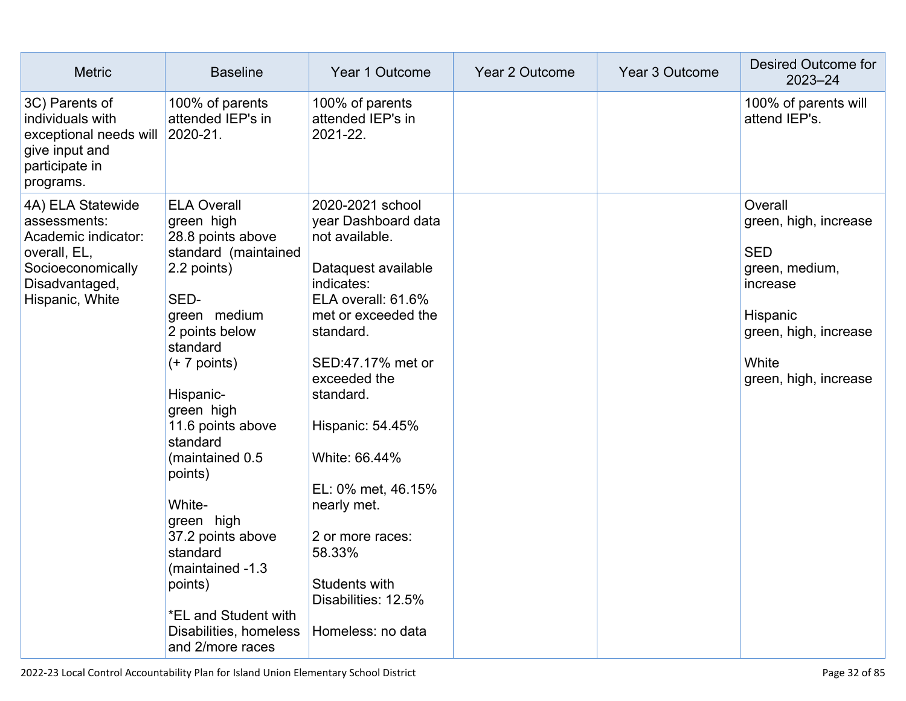| <b>Metric</b>                                                                                                                      | <b>Baseline</b>                                                                                                                                                                                                                                                                                                                                                                                                              | Year 1 Outcome                                                                                                                                                                                                                                                                                                                                                                  | Year 2 Outcome | Year 3 Outcome | Desired Outcome for<br>$2023 - 24$                                                                                                                  |
|------------------------------------------------------------------------------------------------------------------------------------|------------------------------------------------------------------------------------------------------------------------------------------------------------------------------------------------------------------------------------------------------------------------------------------------------------------------------------------------------------------------------------------------------------------------------|---------------------------------------------------------------------------------------------------------------------------------------------------------------------------------------------------------------------------------------------------------------------------------------------------------------------------------------------------------------------------------|----------------|----------------|-----------------------------------------------------------------------------------------------------------------------------------------------------|
| 3C) Parents of<br>individuals with<br>exceptional needs will<br>give input and<br>participate in<br>programs.                      | 100% of parents<br>attended IEP's in<br>2020-21.                                                                                                                                                                                                                                                                                                                                                                             | 100% of parents<br>attended IEP's in<br>2021-22.                                                                                                                                                                                                                                                                                                                                |                |                | 100% of parents will<br>attend IEP's.                                                                                                               |
| 4A) ELA Statewide<br>assessments:<br>Academic indicator:<br>overall, EL,<br>Socioeconomically<br>Disadvantaged,<br>Hispanic, White | <b>ELA Overall</b><br>green high<br>28.8 points above<br>standard (maintained<br>2.2 points)<br>SED-<br>green medium<br>2 points below<br>standard<br>$(+ 7$ points)<br>Hispanic-<br>green high<br>11.6 points above<br>standard<br>(maintained 0.5<br>points)<br>White-<br>green high<br>37.2 points above<br>standard<br>(maintained -1.3<br>points)<br>*EL and Student with<br>Disabilities, homeless<br>and 2/more races | 2020-2021 school<br>year Dashboard data<br>not available.<br>Dataquest available<br>indicates:<br>ELA overall: 61.6%<br>met or exceeded the<br>standard.<br>SED:47.17% met or<br>exceeded the<br>standard.<br>Hispanic: 54.45%<br>White: 66.44%<br>EL: 0% met, 46.15%<br>nearly met.<br>2 or more races:<br>58.33%<br>Students with<br>Disabilities: 12.5%<br>Homeless: no data |                |                | Overall<br>green, high, increase<br><b>SED</b><br>green, medium,<br>increase<br>Hispanic<br>green, high, increase<br>White<br>green, high, increase |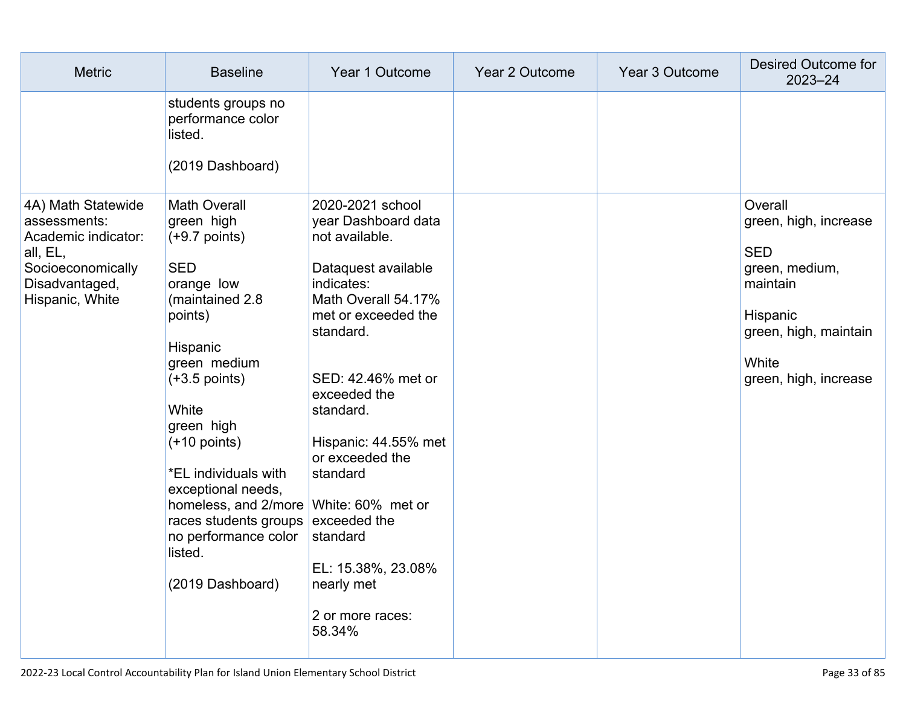| <b>Metric</b>                                                                                                                   | <b>Baseline</b>                                                                                                                                                                                                                                                                                                                                                                             | Year 1 Outcome                                                                                                                                                                                                                                                                                                                                    | Year 2 Outcome | Year 3 Outcome | Desired Outcome for<br>$2023 - 24$                                                                                                                  |
|---------------------------------------------------------------------------------------------------------------------------------|---------------------------------------------------------------------------------------------------------------------------------------------------------------------------------------------------------------------------------------------------------------------------------------------------------------------------------------------------------------------------------------------|---------------------------------------------------------------------------------------------------------------------------------------------------------------------------------------------------------------------------------------------------------------------------------------------------------------------------------------------------|----------------|----------------|-----------------------------------------------------------------------------------------------------------------------------------------------------|
|                                                                                                                                 | students groups no<br>performance color<br>listed.<br>(2019 Dashboard)                                                                                                                                                                                                                                                                                                                      |                                                                                                                                                                                                                                                                                                                                                   |                |                |                                                                                                                                                     |
| 4A) Math Statewide<br>assessments:<br>Academic indicator:<br>all, EL,<br>Socioeconomically<br>Disadvantaged,<br>Hispanic, White | <b>Math Overall</b><br>green high<br>$(+9.7$ points)<br><b>SED</b><br>orange low<br>(maintained 2.8<br>points)<br>Hispanic<br>green medium<br>$(+3.5$ points)<br>White<br>green high<br>$(+10$ points)<br>*EL individuals with<br>exceptional needs,<br>homeless, and 2/more White: 60% met or<br>races students groups exceeded the<br>no performance color<br>listed.<br>(2019 Dashboard) | 2020-2021 school<br>year Dashboard data<br>not available.<br>Dataquest available<br>indicates:<br>Math Overall 54.17%<br>met or exceeded the<br>standard.<br>SED: 42.46% met or<br>exceeded the<br>standard.<br>Hispanic: 44.55% met<br>or exceeded the<br>standard<br>standard<br>EL: 15.38%, 23.08%<br>nearly met<br>2 or more races:<br>58.34% |                |                | Overall<br>green, high, increase<br><b>SED</b><br>green, medium,<br>maintain<br>Hispanic<br>green, high, maintain<br>White<br>green, high, increase |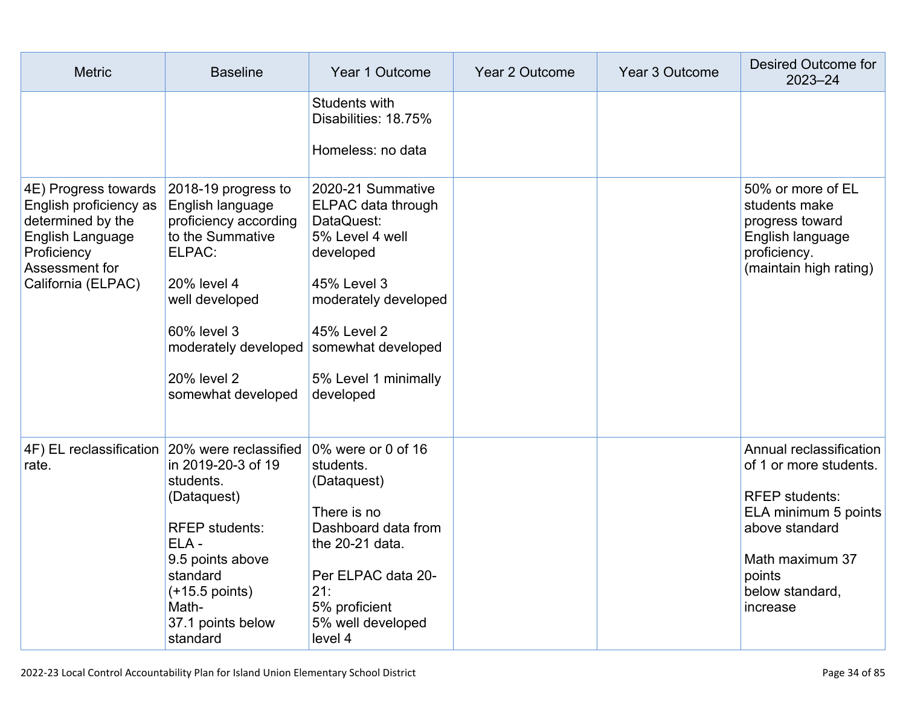| <b>Metric</b>                                                                                                                                  | <b>Baseline</b>                                                                                                                                                                                                                | Year 1 Outcome                                                                                                                                                                   | Year 2 Outcome | Year 3 Outcome | Desired Outcome for<br>$2023 - 24$                                                                                                                                               |
|------------------------------------------------------------------------------------------------------------------------------------------------|--------------------------------------------------------------------------------------------------------------------------------------------------------------------------------------------------------------------------------|----------------------------------------------------------------------------------------------------------------------------------------------------------------------------------|----------------|----------------|----------------------------------------------------------------------------------------------------------------------------------------------------------------------------------|
|                                                                                                                                                |                                                                                                                                                                                                                                | Students with<br>Disabilities: 18.75%<br>Homeless: no data                                                                                                                       |                |                |                                                                                                                                                                                  |
| 4E) Progress towards<br>English proficiency as<br>determined by the<br>English Language<br>Proficiency<br>Assessment for<br>California (ELPAC) | 2018-19 progress to<br>English language<br>proficiency according<br>to the Summative<br>ELPAC:<br>20% level 4<br>well developed<br>60% level 3<br>moderately developed somewhat developed<br>20% level 2<br>somewhat developed | 2020-21 Summative<br>ELPAC data through<br>DataQuest:<br>5% Level 4 well<br>developed<br>45% Level 3<br>moderately developed<br>45% Level 2<br>5% Level 1 minimally<br>developed |                |                | 50% or more of EL<br>students make<br>progress toward<br>English language<br>proficiency.<br>(maintain high rating)                                                              |
| 4F) EL reclassification<br>rate.                                                                                                               | 20% were reclassified 0% were or 0 of 16<br>in 2019-20-3 of 19<br>students.<br>(Dataquest)<br><b>RFEP</b> students:<br>ELA-<br>9.5 points above<br>standard<br>$(+15.5$ points)<br>Math-<br>37.1 points below<br>standard      | students.<br>(Dataquest)<br>There is no<br>Dashboard data from<br>the 20-21 data.<br>Per ELPAC data 20-<br>21:<br>5% proficient<br>5% well developed<br>level 4                  |                |                | Annual reclassification<br>of 1 or more students.<br><b>RFEP</b> students:<br>ELA minimum 5 points<br>above standard<br>Math maximum 37<br>points<br>below standard,<br>increase |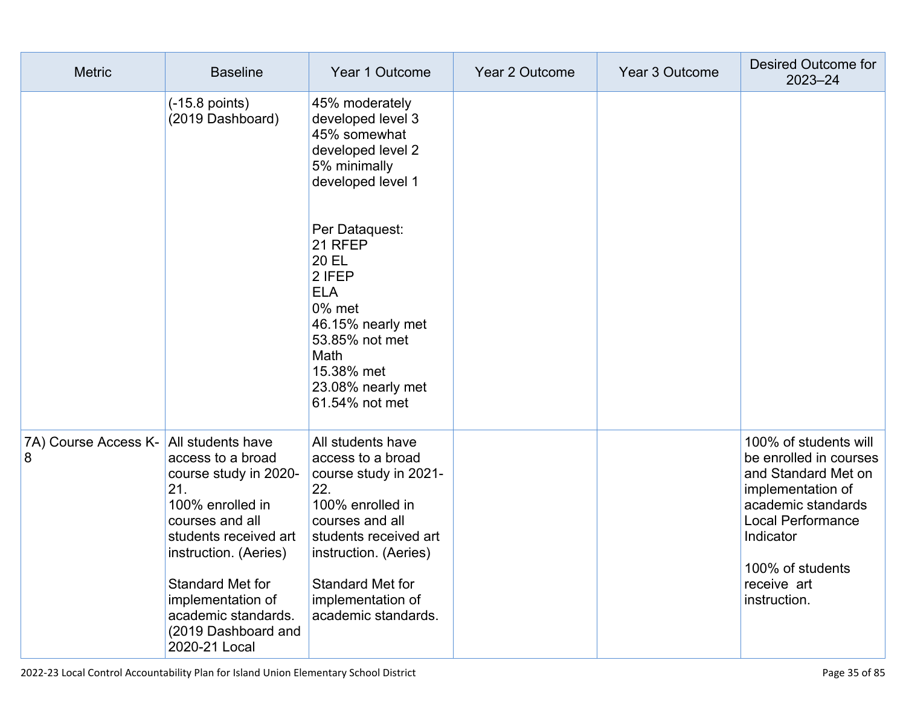| <b>Metric</b>             | <b>Baseline</b>                                                                                                                                                                                                                                                         | Year 1 Outcome                                                                                                                                                                                                                  | Year 2 Outcome | Year 3 Outcome | Desired Outcome for<br>$2023 - 24$                                                                                                                                                                     |
|---------------------------|-------------------------------------------------------------------------------------------------------------------------------------------------------------------------------------------------------------------------------------------------------------------------|---------------------------------------------------------------------------------------------------------------------------------------------------------------------------------------------------------------------------------|----------------|----------------|--------------------------------------------------------------------------------------------------------------------------------------------------------------------------------------------------------|
|                           | $(-15.8 \text{ points})$<br>(2019 Dashboard)                                                                                                                                                                                                                            | 45% moderately<br>developed level 3<br>45% somewhat<br>developed level 2<br>5% minimally<br>developed level 1                                                                                                                   |                |                |                                                                                                                                                                                                        |
|                           |                                                                                                                                                                                                                                                                         | Per Dataquest:<br>21 RFEP<br>20 EL<br>2 IFEP<br><b>ELA</b><br>0% met<br>46.15% nearly met<br>53.85% not met<br>Math<br>15.38% met<br>23.08% nearly met<br>61.54% not met                                                        |                |                |                                                                                                                                                                                                        |
| 7A) Course Access K-<br>8 | All students have<br>access to a broad<br>course study in 2020-<br>21.<br>100% enrolled in<br>courses and all<br>students received art<br>instruction. (Aeries)<br>Standard Met for<br>implementation of<br>academic standards.<br>(2019 Dashboard and<br>2020-21 Local | All students have<br>access to a broad<br>course study in 2021-<br>22.<br>100% enrolled in<br>courses and all<br>students received art<br>instruction. (Aeries)<br>Standard Met for<br>implementation of<br>academic standards. |                |                | 100% of students will<br>be enrolled in courses<br>and Standard Met on<br>implementation of<br>academic standards<br>Local Performance<br>Indicator<br>100% of students<br>receive art<br>instruction. |

2022-23 Local Control Accountability Plan for Island Union Elementary School District Page 35 of 85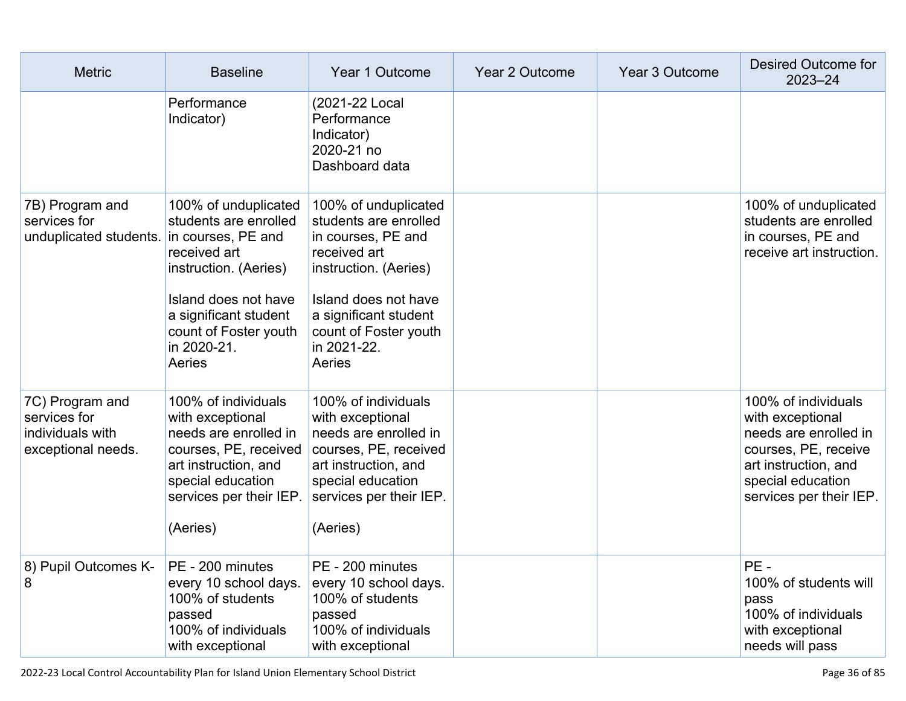| <b>Metric</b>                                                             | <b>Baseline</b>                                                                                                                                                                                                 | Year 1 Outcome                                                                                                                                                                                                  | Year 2 Outcome | Year 3 Outcome | Desired Outcome for<br>$2023 - 24$                                                                                                                               |
|---------------------------------------------------------------------------|-----------------------------------------------------------------------------------------------------------------------------------------------------------------------------------------------------------------|-----------------------------------------------------------------------------------------------------------------------------------------------------------------------------------------------------------------|----------------|----------------|------------------------------------------------------------------------------------------------------------------------------------------------------------------|
|                                                                           | Performance<br>Indicator)                                                                                                                                                                                       | (2021-22 Local<br>Performance<br>Indicator)<br>2020-21 no<br>Dashboard data                                                                                                                                     |                |                |                                                                                                                                                                  |
| 7B) Program and<br>services for<br>unduplicated students.                 | 100% of unduplicated<br>students are enrolled<br>in courses, PE and<br>received art<br>instruction. (Aeries)<br>Island does not have<br>a significant student<br>count of Foster youth<br>in 2020-21.<br>Aeries | 100% of unduplicated<br>students are enrolled<br>in courses, PE and<br>received art<br>instruction. (Aeries)<br>Island does not have<br>a significant student<br>count of Foster youth<br>in 2021-22.<br>Aeries |                |                | 100% of unduplicated<br>students are enrolled<br>in courses, PE and<br>receive art instruction.                                                                  |
| 7C) Program and<br>services for<br>individuals with<br>exceptional needs. | 100% of individuals<br>with exceptional<br>needs are enrolled in<br>courses, PE, received<br>art instruction, and<br>special education<br>services per their IEP.<br>(Aeries)                                   | 100% of individuals<br>with exceptional<br>needs are enrolled in<br>courses, PE, received<br>art instruction, and<br>special education<br>services per their IEP.<br>(Aeries)                                   |                |                | 100% of individuals<br>with exceptional<br>needs are enrolled in<br>courses, PE, receive<br>art instruction, and<br>special education<br>services per their IEP. |
| 8) Pupil Outcomes K-<br>8                                                 | PE - 200 minutes<br>every 10 school days.<br>100% of students<br>passed<br>100% of individuals<br>with exceptional                                                                                              | PE - 200 minutes<br>every 10 school days.<br>100% of students<br>passed<br>100% of individuals<br>with exceptional                                                                                              |                |                | PE-<br>100% of students will<br>pass<br>100% of individuals<br>with exceptional<br>needs will pass                                                               |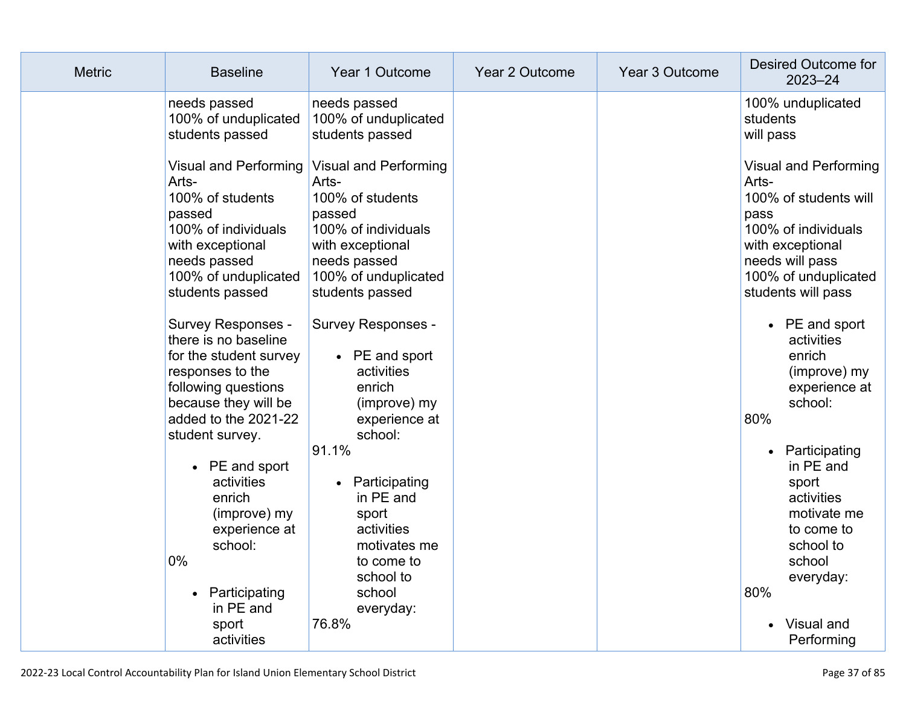| <b>Metric</b> | <b>Baseline</b>                                                                                                                                                                                                                                   | Year 1 Outcome                                                                                                                                                                                                                                    | Year 2 Outcome | Year 3 Outcome | Desired Outcome for<br>$2023 - 24$                                                                                                                                                                                                   |
|---------------|---------------------------------------------------------------------------------------------------------------------------------------------------------------------------------------------------------------------------------------------------|---------------------------------------------------------------------------------------------------------------------------------------------------------------------------------------------------------------------------------------------------|----------------|----------------|--------------------------------------------------------------------------------------------------------------------------------------------------------------------------------------------------------------------------------------|
|               | needs passed<br>100% of unduplicated<br>students passed                                                                                                                                                                                           | needs passed<br>100% of unduplicated<br>students passed                                                                                                                                                                                           |                |                | 100% unduplicated<br>students<br>will pass                                                                                                                                                                                           |
|               | Visual and Performing<br>Arts-<br>100% of students<br>passed<br>100% of individuals<br>with exceptional<br>needs passed<br>100% of unduplicated<br>students passed<br><b>Survey Responses -</b><br>there is no baseline<br>for the student survey | <b>Visual and Performing</b><br>Arts-<br>100% of students<br>passed<br>100% of individuals<br>with exceptional<br>needs passed<br>100% of unduplicated<br>students passed<br><b>Survey Responses -</b><br>PE and sport<br>$\bullet$<br>activities |                |                | <b>Visual and Performing</b><br>Arts-<br>100% of students will<br>pass<br>100% of individuals<br>with exceptional<br>needs will pass<br>100% of unduplicated<br>students will pass<br>$\bullet$ PE and sport<br>activities<br>enrich |
|               | responses to the<br>following questions<br>because they will be<br>added to the 2021-22<br>student survey.<br>$\bullet$ PE and sport<br>activities<br>enrich<br>(improve) my<br>experience at<br>school:<br>$0\%$                                 | enrich<br>(improve) my<br>experience at<br>school:<br>91.1%<br>Participating<br>$\bullet$<br>in PE and<br>sport<br>activities<br>motivates me<br>to come to<br>school to                                                                          |                |                | (improve) my<br>experience at<br>school:<br>80%<br>Participating<br>in PE and<br>sport<br>activities<br>motivate me<br>to come to<br>school to<br>school<br>everyday:                                                                |
|               | • Participating<br>in PE and<br>sport<br>activities                                                                                                                                                                                               | school<br>everyday:<br>76.8%                                                                                                                                                                                                                      |                |                | 80%<br>• Visual and<br>Performing                                                                                                                                                                                                    |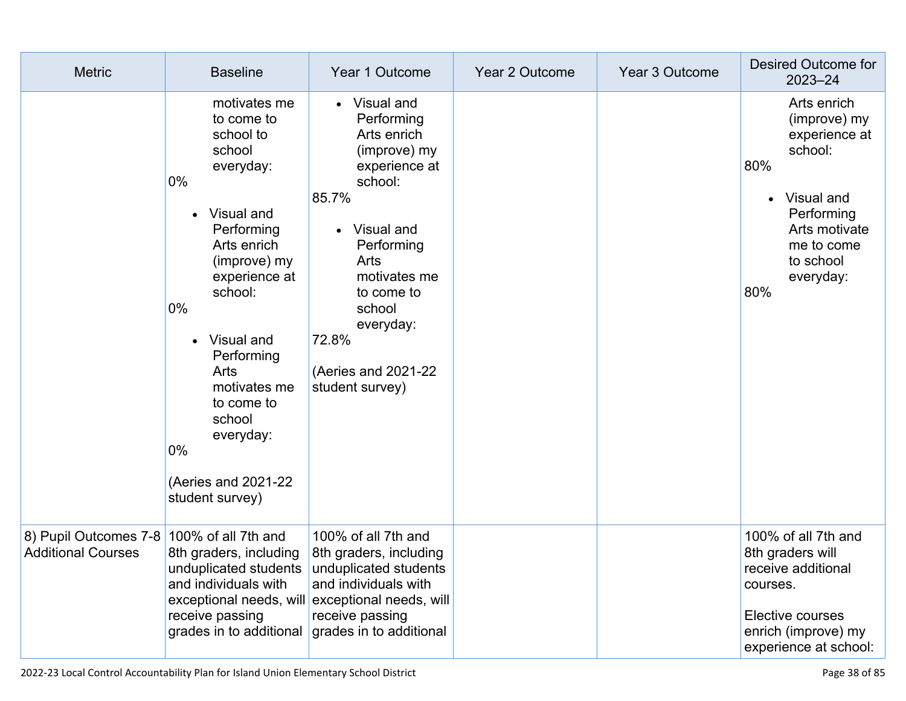| <b>Metric</b>                                                          | <b>Baseline</b>                                                                                                                                                                                                                                                                                                               | Year 1 Outcome                                                                                                                                                                                                                                           | Year 2 Outcome | Year 3 Outcome | Desired Outcome for<br>$2023 - 24$                                                                                                                         |
|------------------------------------------------------------------------|-------------------------------------------------------------------------------------------------------------------------------------------------------------------------------------------------------------------------------------------------------------------------------------------------------------------------------|----------------------------------------------------------------------------------------------------------------------------------------------------------------------------------------------------------------------------------------------------------|----------------|----------------|------------------------------------------------------------------------------------------------------------------------------------------------------------|
|                                                                        | motivates me<br>to come to<br>school to<br>school<br>everyday:<br>0%<br>Visual and<br>Performing<br>Arts enrich<br>(improve) my<br>experience at<br>school:<br>$0\%$<br>Visual and<br>$\bullet$<br>Performing<br>Arts<br>motivates me<br>to come to<br>school<br>everyday:<br>$0\%$<br>(Aeries and 2021-22<br>student survey) | • Visual and<br>Performing<br>Arts enrich<br>(improve) my<br>experience at<br>school:<br>85.7%<br>Visual and<br>$\bullet$<br>Performing<br>Arts<br>motivates me<br>to come to<br>school<br>everyday:<br>72.8%<br>(Aeries and 2021-22)<br>student survey) |                |                | Arts enrich<br>(improve) my<br>experience at<br>school:<br>80%<br>Visual and<br>Performing<br>Arts motivate<br>me to come<br>to school<br>everyday:<br>80% |
| 8) Pupil Outcomes 7-8 100% of all 7th and<br><b>Additional Courses</b> | 8th graders, including<br>unduplicated students unduplicated students<br>and individuals with<br>receive passing<br>grades in to additional                                                                                                                                                                                   | 100% of all 7th and<br>8th graders, including<br>and individuals with<br>exceptional needs, will exceptional needs, will<br>receive passing<br>grades in to additional                                                                                   |                |                | 100% of all 7th and<br>8th graders will<br>receive additional<br>courses.<br>Elective courses<br>enrich (improve) my<br>experience at school:              |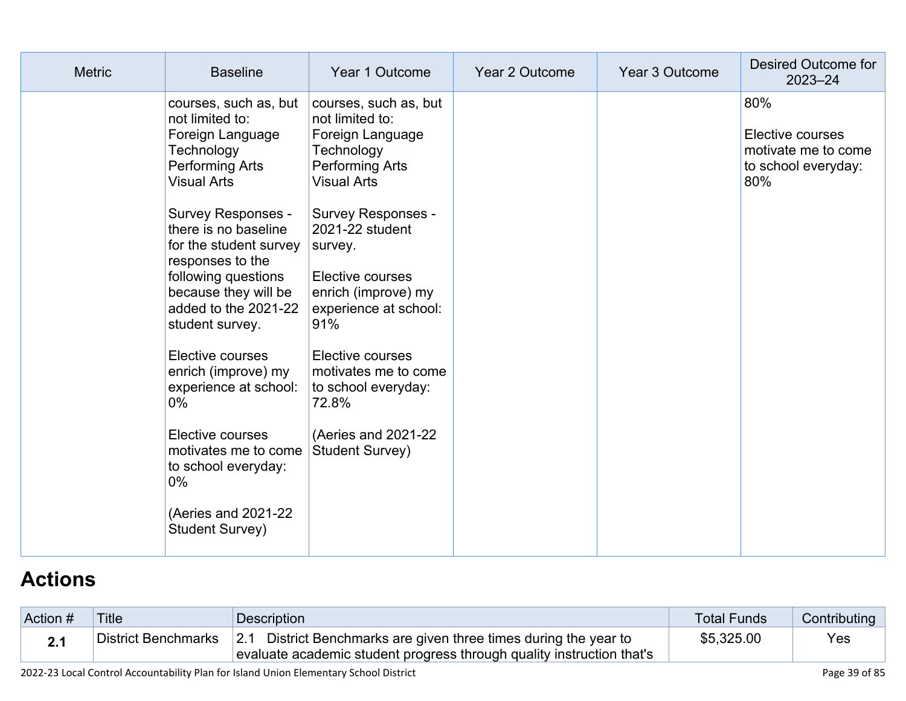| <b>Metric</b> | <b>Baseline</b>                                                                                                                                                                                                                                                                                                                                                                                                                                                        | Year 1 Outcome                                                                                                                                                                                                                                                                                                                                                                          | Year 2 Outcome | Year 3 Outcome | Desired Outcome for<br>$2023 - 24$                                           |
|---------------|------------------------------------------------------------------------------------------------------------------------------------------------------------------------------------------------------------------------------------------------------------------------------------------------------------------------------------------------------------------------------------------------------------------------------------------------------------------------|-----------------------------------------------------------------------------------------------------------------------------------------------------------------------------------------------------------------------------------------------------------------------------------------------------------------------------------------------------------------------------------------|----------------|----------------|------------------------------------------------------------------------------|
|               | courses, such as, but<br>not limited to:<br>Foreign Language<br>Technology<br>Performing Arts<br><b>Visual Arts</b><br><b>Survey Responses -</b><br>there is no baseline<br>for the student survey<br>responses to the<br>following questions<br>because they will be<br>added to the 2021-22<br>student survey.<br>Elective courses<br>enrich (improve) my<br>experience at school:<br>$0\%$<br>Elective courses<br>motivates me to come<br>to school everyday:<br>0% | courses, such as, but<br>not limited to:<br>Foreign Language<br>Technology<br>Performing Arts<br><b>Visual Arts</b><br><b>Survey Responses -</b><br>2021-22 student<br>survey.<br>Elective courses<br>enrich (improve) my<br>experience at school:<br>91%<br>Elective courses<br>motivates me to come<br>to school everyday:<br>72.8%<br>(Aeries and 2021-22)<br><b>Student Survey)</b> |                |                | 80%<br>Elective courses<br>motivate me to come<br>to school everyday:<br>80% |
|               | (Aeries and 2021-22)<br>Student Survey)                                                                                                                                                                                                                                                                                                                                                                                                                                |                                                                                                                                                                                                                                                                                                                                                                                         |                |                |                                                                              |

# **[Actions](http://www.doc-tracking.com/screenshots/22LCAP/Instructions/22LCAPInstructions.htm#actions)**

| Action # | <b>Title</b>        | <b>Description</b>                                                                                                                        | <b>Total Funds</b> | Contributing |
|----------|---------------------|-------------------------------------------------------------------------------------------------------------------------------------------|--------------------|--------------|
| 21       | District Benchmarks | 2.1 District Benchmarks are given three times during the year to<br>evaluate academic student progress through quality instruction that's | \$5,325.00         | Yes          |

2022-23 Local Control Accountability Plan for Island Union Elementary School District Page 39 of 85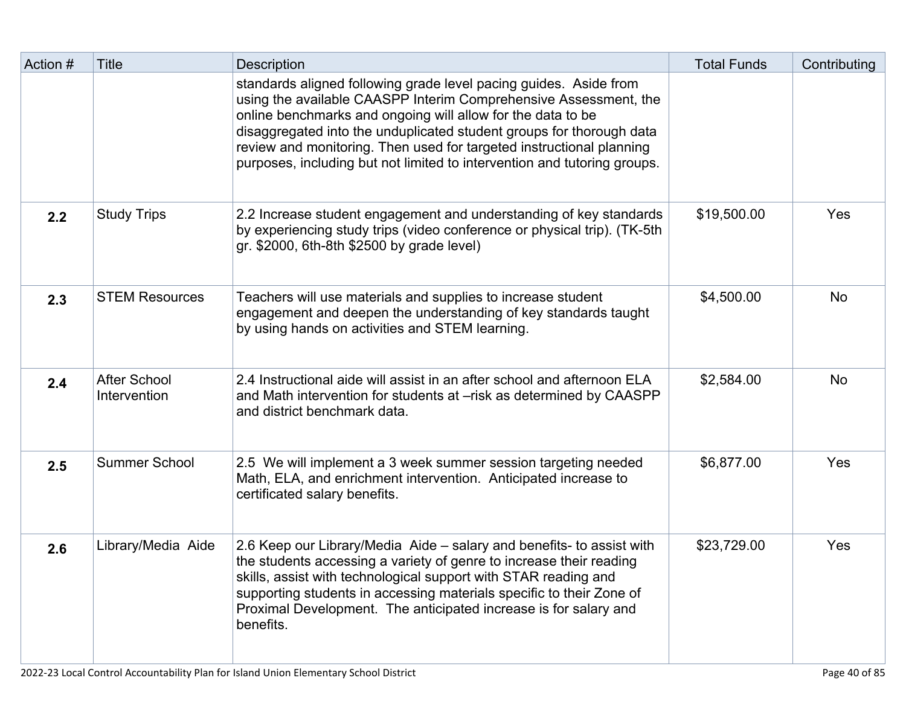| Action # | <b>Title</b>                        | <b>Description</b>                                                                                                                                                                                                                                                                                                                                                                                                               | <b>Total Funds</b> | Contributing |
|----------|-------------------------------------|----------------------------------------------------------------------------------------------------------------------------------------------------------------------------------------------------------------------------------------------------------------------------------------------------------------------------------------------------------------------------------------------------------------------------------|--------------------|--------------|
|          |                                     | standards aligned following grade level pacing guides. Aside from<br>using the available CAASPP Interim Comprehensive Assessment, the<br>online benchmarks and ongoing will allow for the data to be<br>disaggregated into the unduplicated student groups for thorough data<br>review and monitoring. Then used for targeted instructional planning<br>purposes, including but not limited to intervention and tutoring groups. |                    |              |
| 2.2      | <b>Study Trips</b>                  | 2.2 Increase student engagement and understanding of key standards<br>by experiencing study trips (video conference or physical trip). (TK-5th<br>gr. \$2000, 6th-8th \$2500 by grade level)                                                                                                                                                                                                                                     | \$19,500.00        | Yes          |
| 2.3      | <b>STEM Resources</b>               | Teachers will use materials and supplies to increase student<br>engagement and deepen the understanding of key standards taught<br>by using hands on activities and STEM learning.                                                                                                                                                                                                                                               | \$4,500.00         | <b>No</b>    |
| 2.4      | <b>After School</b><br>Intervention | 2.4 Instructional aide will assist in an after school and afternoon ELA<br>and Math intervention for students at –risk as determined by CAASPP<br>and district benchmark data.                                                                                                                                                                                                                                                   | \$2,584.00         | <b>No</b>    |
| 2.5      | <b>Summer School</b>                | 2.5 We will implement a 3 week summer session targeting needed<br>Math, ELA, and enrichment intervention. Anticipated increase to<br>certificated salary benefits.                                                                                                                                                                                                                                                               | \$6,877.00         | Yes          |
| 2.6      | Library/Media Aide                  | 2.6 Keep our Library/Media Aide - salary and benefits- to assist with<br>the students accessing a variety of genre to increase their reading<br>skills, assist with technological support with STAR reading and<br>supporting students in accessing materials specific to their Zone of<br>Proximal Development. The anticipated increase is for salary and<br>benefits.                                                         | \$23,729.00        | Yes          |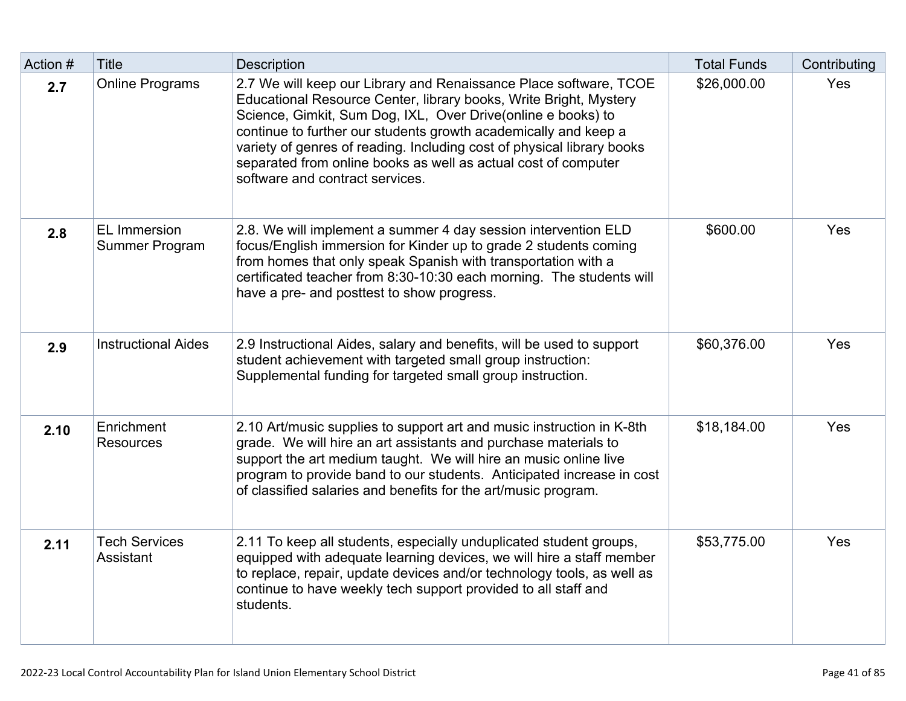| Action # | <b>Title</b>                          | <b>Description</b>                                                                                                                                                                                                                                                                                                                                                                                                                                       | <b>Total Funds</b> | Contributing |
|----------|---------------------------------------|----------------------------------------------------------------------------------------------------------------------------------------------------------------------------------------------------------------------------------------------------------------------------------------------------------------------------------------------------------------------------------------------------------------------------------------------------------|--------------------|--------------|
| 2.7      | <b>Online Programs</b>                | 2.7 We will keep our Library and Renaissance Place software, TCOE<br>Educational Resource Center, library books, Write Bright, Mystery<br>Science, Gimkit, Sum Dog, IXL, Over Drive(online e books) to<br>continue to further our students growth academically and keep a<br>variety of genres of reading. Including cost of physical library books<br>separated from online books as well as actual cost of computer<br>software and contract services. | \$26,000.00        | Yes          |
| 2.8      | <b>EL Immersion</b><br>Summer Program | 2.8. We will implement a summer 4 day session intervention ELD<br>focus/English immersion for Kinder up to grade 2 students coming<br>from homes that only speak Spanish with transportation with a<br>certificated teacher from 8:30-10:30 each morning. The students will<br>have a pre- and posttest to show progress.                                                                                                                                | \$600.00           | Yes          |
| 2.9      | <b>Instructional Aides</b>            | 2.9 Instructional Aides, salary and benefits, will be used to support<br>student achievement with targeted small group instruction:<br>Supplemental funding for targeted small group instruction.                                                                                                                                                                                                                                                        | \$60,376.00        | Yes          |
| 2.10     | Enrichment<br><b>Resources</b>        | 2.10 Art/music supplies to support art and music instruction in K-8th<br>grade. We will hire an art assistants and purchase materials to<br>support the art medium taught. We will hire an music online live<br>program to provide band to our students. Anticipated increase in cost<br>of classified salaries and benefits for the art/music program.                                                                                                  | \$18,184.00        | Yes          |
| 2.11     | <b>Tech Services</b><br>Assistant     | 2.11 To keep all students, especially unduplicated student groups,<br>equipped with adequate learning devices, we will hire a staff member<br>to replace, repair, update devices and/or technology tools, as well as<br>continue to have weekly tech support provided to all staff and<br>students.                                                                                                                                                      | \$53,775.00        | Yes          |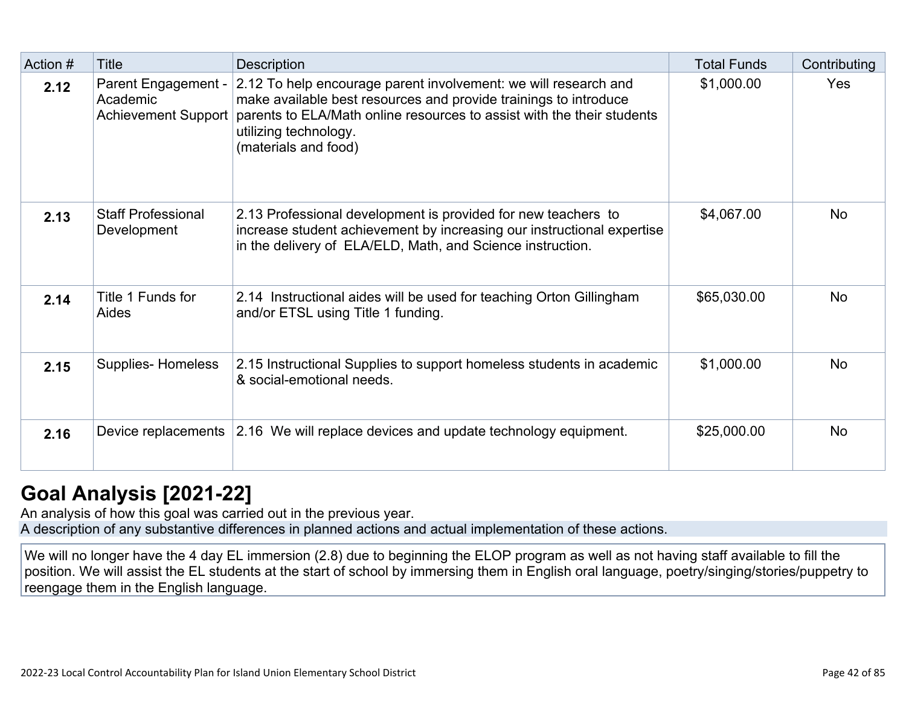| Action # | Title                                                         | <b>Description</b>                                                                                                                                                                                                                                             | <b>Total Funds</b> | Contributing |
|----------|---------------------------------------------------------------|----------------------------------------------------------------------------------------------------------------------------------------------------------------------------------------------------------------------------------------------------------------|--------------------|--------------|
| 2.12     | Parent Engagement -<br>Academic<br><b>Achievement Support</b> | 2.12 To help encourage parent involvement: we will research and<br>make available best resources and provide trainings to introduce<br>parents to ELA/Math online resources to assist with the their students<br>utilizing technology.<br>(materials and food) | \$1,000.00         | Yes          |
| 2.13     | <b>Staff Professional</b><br>Development                      | 2.13 Professional development is provided for new teachers to<br>increase student achievement by increasing our instructional expertise<br>in the delivery of ELA/ELD, Math, and Science instruction.                                                          | \$4,067.00         | <b>No</b>    |
| 2.14     | Title 1 Funds for<br>Aides                                    | 2.14 Instructional aides will be used for teaching Orton Gillingham<br>and/or ETSL using Title 1 funding.                                                                                                                                                      | \$65,030.00        | <b>No</b>    |
| 2.15     | <b>Supplies-Homeless</b>                                      | 2.15 Instructional Supplies to support homeless students in academic<br>& social-emotional needs.                                                                                                                                                              | \$1,000.00         | <b>No</b>    |
| 2.16     |                                                               | Device replacements 2.16 We will replace devices and update technology equipment.                                                                                                                                                                              | \$25,000.00        | <b>No</b>    |

## **[Goal Analysis \[2021-22\]](http://www.doc-tracking.com/screenshots/22LCAP/Instructions/22LCAPInstructions.htm#GoalAnalysis)**

An analysis of how this goal was carried out in the previous year. A description of any substantive differences in planned actions and actual implementation of these actions.

We will no longer have the 4 day EL immersion (2.8) due to beginning the ELOP program as well as not having staff available to fill the position. We will assist the EL students at the start of school by immersing them in English oral language, poetry/singing/stories/puppetry to reengage them in the English language.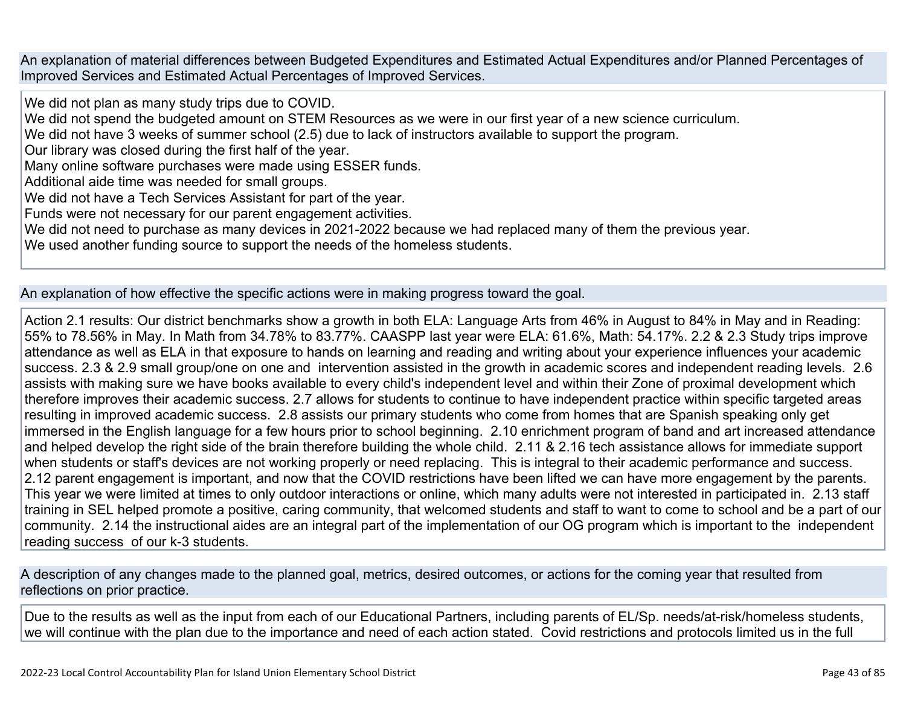An explanation of material differences between Budgeted Expenditures and Estimated Actual Expenditures and/or Planned Percentages of Improved Services and Estimated Actual Percentages of Improved Services.

We did not plan as many study trips due to COVID.

We did not spend the budgeted amount on STEM Resources as we were in our first year of a new science curriculum.

We did not have 3 weeks of summer school (2.5) due to lack of instructors available to support the program.

Our library was closed during the first half of the year.

Many online software purchases were made using ESSER funds.

Additional aide time was needed for small groups.

We did not have a Tech Services Assistant for part of the year.

Funds were not necessary for our parent engagement activities.

We did not need to purchase as many devices in 2021-2022 because we had replaced many of them the previous year.

We used another funding source to support the needs of the homeless students.

#### An explanation of how effective the specific actions were in making progress toward the goal.

Action 2.1 results: Our district benchmarks show a growth in both ELA: Language Arts from 46% in August to 84% in May and in Reading: 55% to 78.56% in May. In Math from 34.78% to 83.77%. CAASPP last year were ELA: 61.6%, Math: 54.17%. 2.2 & 2.3 Study trips improve attendance as well as ELA in that exposure to hands on learning and reading and writing about your experience influences your academic success. 2.3 & 2.9 small group/one on one and intervention assisted in the growth in academic scores and independent reading levels. 2.6 assists with making sure we have books available to every child's independent level and within their Zone of proximal development which therefore improves their academic success. 2.7 allows for students to continue to have independent practice within specific targeted areas resulting in improved academic success. 2.8 assists our primary students who come from homes that are Spanish speaking only get immersed in the English language for a few hours prior to school beginning. 2.10 enrichment program of band and art increased attendance and helped develop the right side of the brain therefore building the whole child. 2.11 & 2.16 tech assistance allows for immediate support when students or staff's devices are not working properly or need replacing. This is integral to their academic performance and success. 2.12 parent engagement is important, and now that the COVID restrictions have been lifted we can have more engagement by the parents. This year we were limited at times to only outdoor interactions or online, which many adults were not interested in participated in. 2.13 staff training in SEL helped promote a positive, caring community, that welcomed students and staff to want to come to school and be a part of our community. 2.14 the instructional aides are an integral part of the implementation of our OG program which is important to the independent reading success of our k-3 students.

A description of any changes made to the planned goal, metrics, desired outcomes, or actions for the coming year that resulted from reflections on prior practice.

Due to the results as well as the input from each of our Educational Partners, including parents of EL/Sp. needs/at-risk/homeless students, we will continue with the plan due to the importance and need of each action stated. Covid restrictions and protocols limited us in the full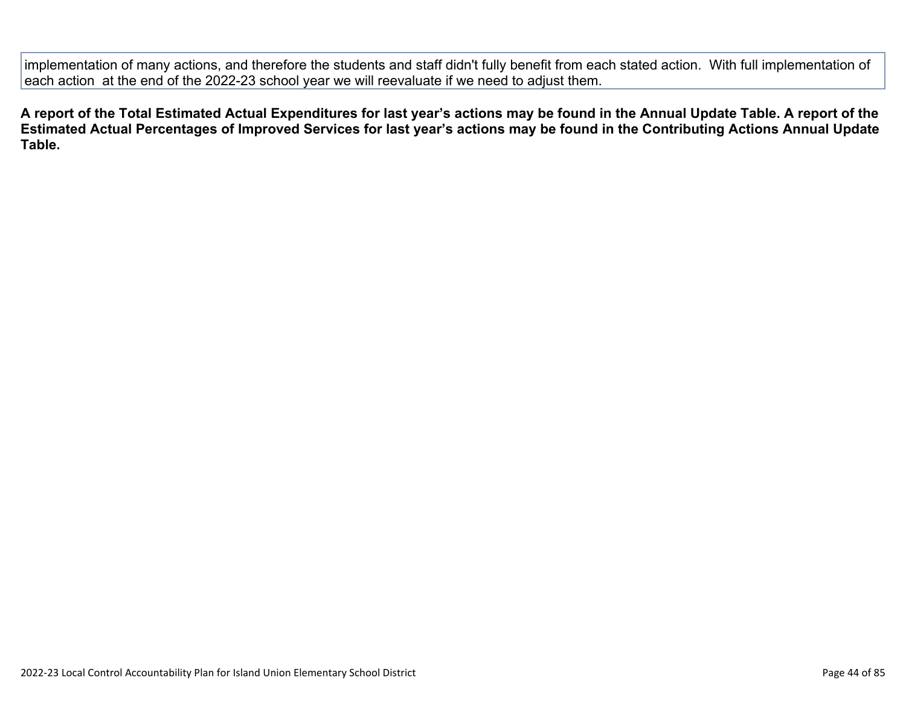implementation of many actions, and therefore the students and staff didn't fully benefit from each stated action. With full implementation of each action at the end of the 2022-23 school year we will reevaluate if we need to adjust them.

**A report of the Total Estimated Actual Expenditures for last year's actions may be found in the Annual Update Table. A report of the Estimated Actual Percentages of Improved Services for last year's actions may be found in the Contributing Actions Annual Update Table.**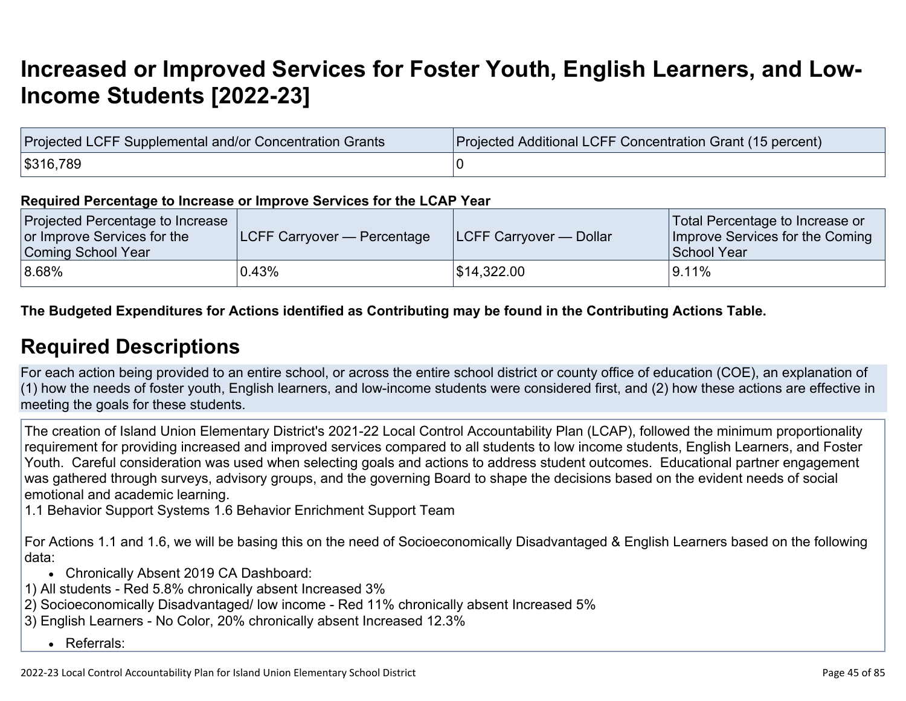# **[Increased or Improved Services for Foster Youth, English Learners, and Low-](http://www.doc-tracking.com/screenshots/22LCAP/Instructions/22LCAPInstructions.htm#IncreasedImprovedServices)[Income Students \[2022-23\]](http://www.doc-tracking.com/screenshots/22LCAP/Instructions/22LCAPInstructions.htm#IncreasedImprovedServices)**

| Projected LCFF Supplemental and/or Concentration Grants | Projected Additional LCFF Concentration Grant (15 percent) |
|---------------------------------------------------------|------------------------------------------------------------|
| \$316,789                                               |                                                            |

#### **Required Percentage to Increase or Improve Services for the LCAP Year**

| Projected Percentage to Increase<br>or Improve Services for the<br>Coming School Year | <b>LCFF Carryover — Percentage</b> | <b>ILCFF Carryover — Dollar</b> | Total Percentage to Increase or<br>Improve Services for the Coming<br>School Year |
|---------------------------------------------------------------------------------------|------------------------------------|---------------------------------|-----------------------------------------------------------------------------------|
| $ 8.68\%$                                                                             | 0.43%                              | \$14,322.00                     | $9.11\%$                                                                          |

**The Budgeted Expenditures for Actions identified as Contributing may be found in the Contributing Actions Table.**

### **[Required Descriptions](http://www.doc-tracking.com/screenshots/22LCAP/Instructions/22LCAPInstructions.htm#RequiredDescriptions)**

For each action being provided to an entire school, or across the entire school district or county office of education (COE), an explanation of (1) how the needs of foster youth, English learners, and low-income students were considered first, and (2) how these actions are effective in meeting the goals for these students.

The creation of Island Union Elementary District's 2021-22 Local Control Accountability Plan (LCAP), followed the minimum proportionality requirement for providing increased and improved services compared to all students to low income students, English Learners, and Foster Youth. Careful consideration was used when selecting goals and actions to address student outcomes. Educational partner engagement was gathered through surveys, advisory groups, and the governing Board to shape the decisions based on the evident needs of social emotional and academic learning.

1.1 Behavior Support Systems 1.6 Behavior Enrichment Support Team

For Actions 1.1 and 1.6, we will be basing this on the need of Socioeconomically Disadvantaged & English Learners based on the following data:

- Chronically Absent 2019 CA Dashboard:
- 1) All students Red 5.8% chronically absent Increased 3%
- 2) Socioeconomically Disadvantaged/ low income Red 11% chronically absent Increased 5%
- 3) English Learners No Color, 20% chronically absent Increased 12.3%
	- Referrals: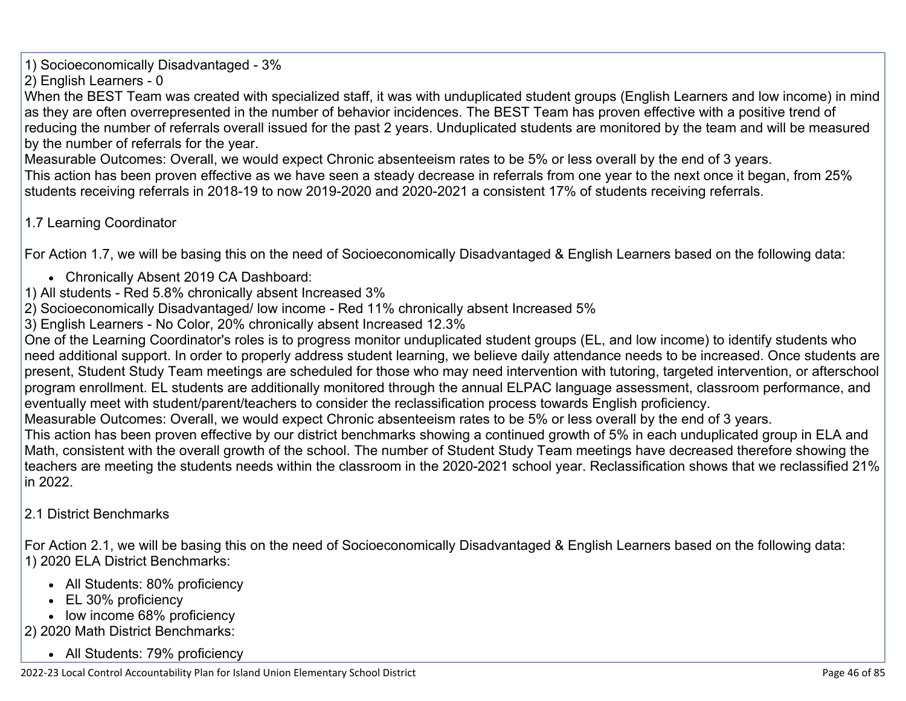1) Socioeconomically Disadvantaged - 3%

2) English Learners - 0

When the BEST Team was created with specialized staff, it was with unduplicated student groups (English Learners and low income) in mind as they are often overrepresented in the number of behavior incidences. The BEST Team has proven effective with a positive trend of reducing the number of referrals overall issued for the past 2 years. Unduplicated students are monitored by the team and will be measured by the number of referrals for the year.

Measurable Outcomes: Overall, we would expect Chronic absenteeism rates to be 5% or less overall by the end of 3 years. This action has been proven effective as we have seen a steady decrease in referrals from one year to the next once it began, from 25% students receiving referrals in 2018-19 to now 2019-2020 and 2020-2021 a consistent 17% of students receiving referrals.

1.7 Learning Coordinator

For Action 1.7, we will be basing this on the need of Socioeconomically Disadvantaged & English Learners based on the following data:

- Chronically Absent 2019 CA Dashboard:
- 1) All students Red 5.8% chronically absent Increased 3%
- 2) Socioeconomically Disadvantaged/ low income Red 11% chronically absent Increased 5%
- 3) English Learners No Color, 20% chronically absent Increased 12.3%

One of the Learning Coordinator's roles is to progress monitor unduplicated student groups (EL, and low income) to identify students who need additional support. In order to properly address student learning, we believe daily attendance needs to be increased. Once students are present, Student Study Team meetings are scheduled for those who may need intervention with tutoring, targeted intervention, or afterschool program enrollment. EL students are additionally monitored through the annual ELPAC language assessment, classroom performance, and eventually meet with student/parent/teachers to consider the reclassification process towards English proficiency.

Measurable Outcomes: Overall, we would expect Chronic absenteeism rates to be 5% or less overall by the end of 3 years.

This action has been proven effective by our district benchmarks showing a continued growth of 5% in each unduplicated group in ELA and Math, consistent with the overall growth of the school. The number of Student Study Team meetings have decreased therefore showing the teachers are meeting the students needs within the classroom in the 2020-2021 school year. Reclassification shows that we reclassified 21% in 2022.

### 2.1 District Benchmarks

For Action 2.1, we will be basing this on the need of Socioeconomically Disadvantaged & English Learners based on the following data: 1) 2020 ELA District Benchmarks:

- All Students: 80% proficiency
- EL 30% proficiency
- low income 68% proficiency
- 2) 2020 Math District Benchmarks:
	- All Students: 79% proficiency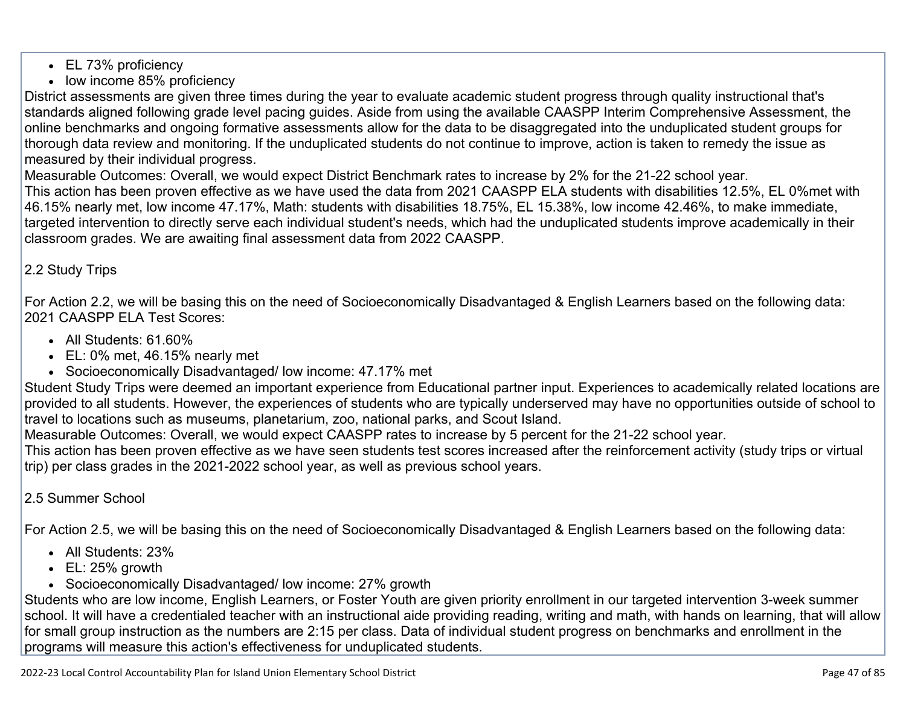- EL 73% proficiency
- low income 85% proficiency

District assessments are given three times during the year to evaluate academic student progress through quality instructional that's standards aligned following grade level pacing guides. Aside from using the available CAASPP Interim Comprehensive Assessment, the online benchmarks and ongoing formative assessments allow for the data to be disaggregated into the unduplicated student groups for thorough data review and monitoring. If the unduplicated students do not continue to improve, action is taken to remedy the issue as measured by their individual progress.

Measurable Outcomes: Overall, we would expect District Benchmark rates to increase by 2% for the 21-22 school year.

This action has been proven effective as we have used the data from 2021 CAASPP ELA students with disabilities 12.5%, EL 0%met with 46.15% nearly met, low income 47.17%, Math: students with disabilities 18.75%, EL 15.38%, low income 42.46%, to make immediate, targeted intervention to directly serve each individual student's needs, which had the unduplicated students improve academically in their classroom grades. We are awaiting final assessment data from 2022 CAASPP.

### 2.2 Study Trips

For Action 2.2, we will be basing this on the need of Socioeconomically Disadvantaged & English Learners based on the following data: 2021 CAASPP ELA Test Scores:

- All Students: 61.60%
- EL: 0% met, 46.15% nearly met
- Socioeconomically Disadvantaged/ low income: 47.17% met

Student Study Trips were deemed an important experience from Educational partner input. Experiences to academically related locations are provided to all students. However, the experiences of students who are typically underserved may have no opportunities outside of school to travel to locations such as museums, planetarium, zoo, national parks, and Scout Island.

Measurable Outcomes: Overall, we would expect CAASPP rates to increase by 5 percent for the 21-22 school year.

This action has been proven effective as we have seen students test scores increased after the reinforcement activity (study trips or virtual trip) per class grades in the 2021-2022 school year, as well as previous school years.

### 2.5 Summer School

For Action 2.5, we will be basing this on the need of Socioeconomically Disadvantaged & English Learners based on the following data:

- All Students: 23%
- EL: 25% growth
- Socioeconomically Disadvantaged/ low income: 27% growth

Students who are low income, English Learners, or Foster Youth are given priority enrollment in our targeted intervention 3-week summer school. It will have a credentialed teacher with an instructional aide providing reading, writing and math, with hands on learning, that will allow for small group instruction as the numbers are 2:15 per class. Data of individual student progress on benchmarks and enrollment in the programs will measure this action's effectiveness for unduplicated students.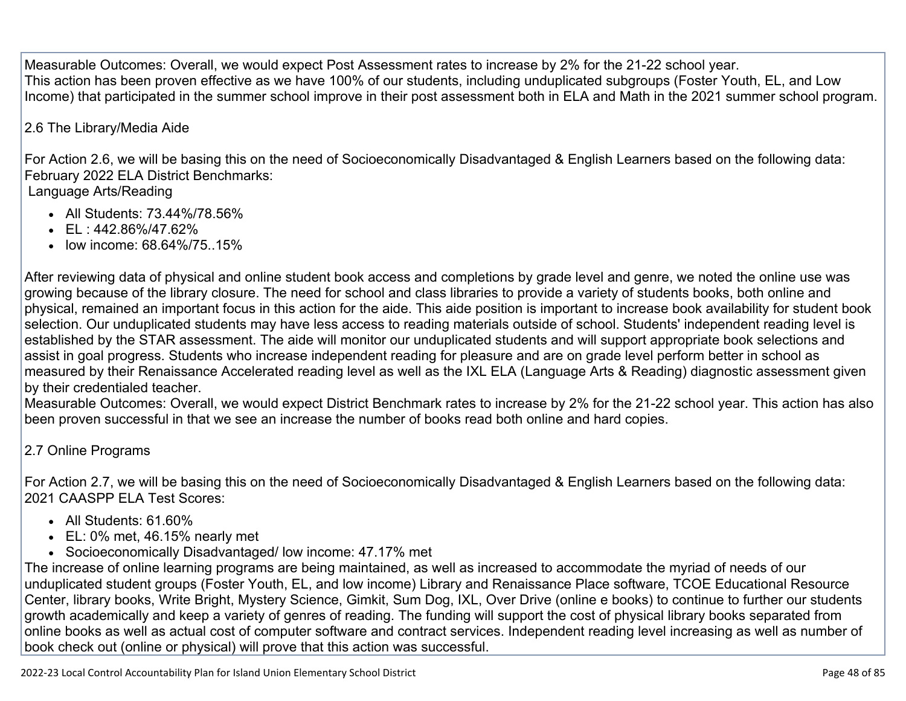Measurable Outcomes: Overall, we would expect Post Assessment rates to increase by 2% for the 21-22 school year. This action has been proven effective as we have 100% of our students, including unduplicated subgroups (Foster Youth, EL, and Low Income) that participated in the summer school improve in their post assessment both in ELA and Math in the 2021 summer school program.

### 2.6 The Library/Media Aide

For Action 2.6, we will be basing this on the need of Socioeconomically Disadvantaged & English Learners based on the following data: February 2022 ELA District Benchmarks:

### Language Arts/Reading

- All Students: 73.44%/78.56%
- $\cdot$  EL : 442.86%/47.62%
- low income: 68.64%/75..15%

After reviewing data of physical and online student book access and completions by grade level and genre, we noted the online use was growing because of the library closure. The need for school and class libraries to provide a variety of students books, both online and physical, remained an important focus in this action for the aide. This aide position is important to increase book availability for student book selection. Our unduplicated students may have less access to reading materials outside of school. Students' independent reading level is established by the STAR assessment. The aide will monitor our unduplicated students and will support appropriate book selections and assist in goal progress. Students who increase independent reading for pleasure and are on grade level perform better in school as measured by their Renaissance Accelerated reading level as well as the IXL ELA (Language Arts & Reading) diagnostic assessment given by their credentialed teacher.

Measurable Outcomes: Overall, we would expect District Benchmark rates to increase by 2% for the 21-22 school year. This action has also been proven successful in that we see an increase the number of books read both online and hard copies.

### 2.7 Online Programs

For Action 2.7, we will be basing this on the need of Socioeconomically Disadvantaged & English Learners based on the following data: 2021 CAASPP ELA Test Scores:

- All Students: 61.60%
- EL: 0% met, 46.15% nearly met
- Socioeconomically Disadvantaged/ low income: 47.17% met

The increase of online learning programs are being maintained, as well as increased to accommodate the myriad of needs of our unduplicated student groups (Foster Youth, EL, and low income) Library and Renaissance Place software, TCOE Educational Resource Center, library books, Write Bright, Mystery Science, Gimkit, Sum Dog, IXL, Over Drive (online e books) to continue to further our students growth academically and keep a variety of genres of reading. The funding will support the cost of physical library books separated from online books as well as actual cost of computer software and contract services. Independent reading level increasing as well as number of book check out (online or physical) will prove that this action was successful.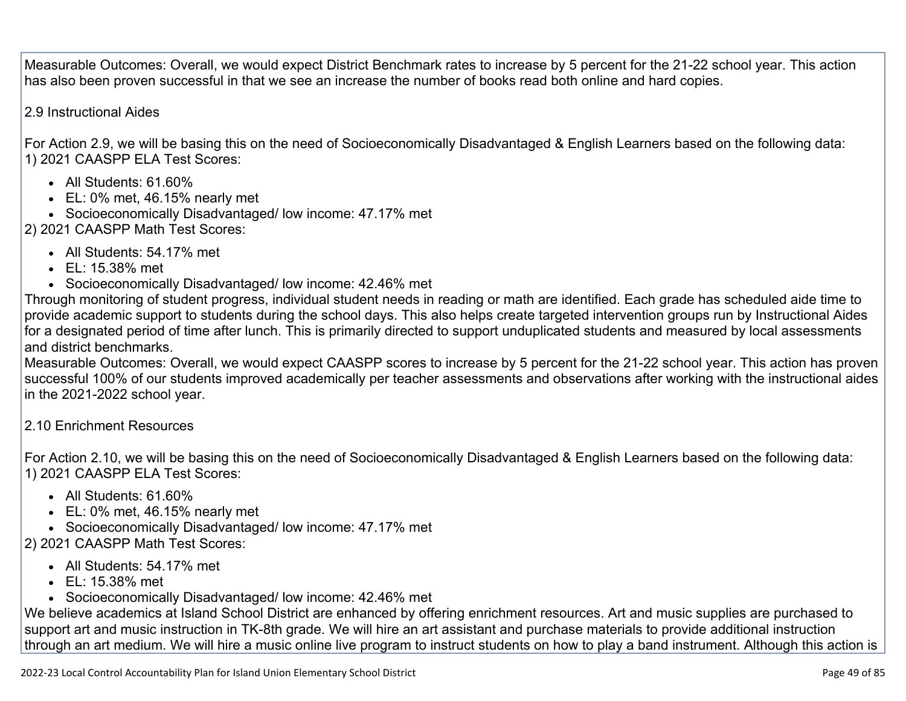Measurable Outcomes: Overall, we would expect District Benchmark rates to increase by 5 percent for the 21-22 school year. This action has also been proven successful in that we see an increase the number of books read both online and hard copies.

2.9 Instructional Aides

For Action 2.9, we will be basing this on the need of Socioeconomically Disadvantaged & English Learners based on the following data: 1) 2021 CAASPP ELA Test Scores:

- All Students: 61.60%
- EL: 0% met, 46.15% nearly met
- Socioeconomically Disadvantaged/ low income: 47.17% met
- 2) 2021 CAASPP Math Test Scores:
	- All Students: 54.17% met
	- EL: 15.38% met
	- Socioeconomically Disadvantaged/ low income: 42.46% met

Through monitoring of student progress, individual student needs in reading or math are identified. Each grade has scheduled aide time to provide academic support to students during the school days. This also helps create targeted intervention groups run by Instructional Aides for a designated period of time after lunch. This is primarily directed to support unduplicated students and measured by local assessments and district benchmarks.

Measurable Outcomes: Overall, we would expect CAASPP scores to increase by 5 percent for the 21-22 school year. This action has proven successful 100% of our students improved academically per teacher assessments and observations after working with the instructional aides in the 2021-2022 school year.

2.10 Enrichment Resources

For Action 2.10, we will be basing this on the need of Socioeconomically Disadvantaged & English Learners based on the following data: 1) 2021 CAASPP ELA Test Scores:

- All Students: 61.60%
- EL: 0% met, 46.15% nearly met
- Socioeconomically Disadvantaged/ low income: 47.17% met
- 2) 2021 CAASPP Math Test Scores:
	- All Students: 54.17% met
	- EL: 15.38% met
	- Socioeconomically Disadvantaged/ low income: 42.46% met

We believe academics at Island School District are enhanced by offering enrichment resources. Art and music supplies are purchased to support art and music instruction in TK-8th grade. We will hire an art assistant and purchase materials to provide additional instruction through an art medium. We will hire a music online live program to instruct students on how to play a band instrument. Although this action is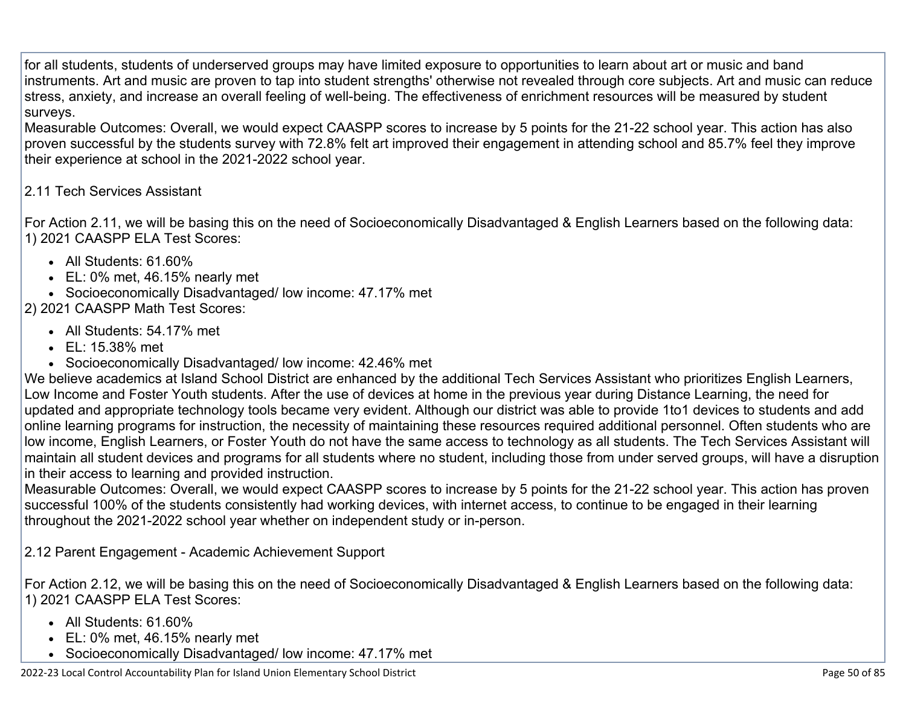for all students, students of underserved groups may have limited exposure to opportunities to learn about art or music and band instruments. Art and music are proven to tap into student strengths' otherwise not revealed through core subjects. Art and music can reduce stress, anxiety, and increase an overall feeling of well-being. The effectiveness of enrichment resources will be measured by student surveys.

Measurable Outcomes: Overall, we would expect CAASPP scores to increase by 5 points for the 21-22 school year. This action has also proven successful by the students survey with 72.8% felt art improved their engagement in attending school and 85.7% feel they improve their experience at school in the 2021-2022 school year.

### 2.11 Tech Services Assistant

For Action 2.11, we will be basing this on the need of Socioeconomically Disadvantaged & English Learners based on the following data: 1) 2021 CAASPP ELA Test Scores:

- All Students: 61.60%
- EL: 0% met, 46.15% nearly met
- Socioeconomically Disadvantaged/ low income: 47.17% met

### 2) 2021 CAASPP Math Test Scores:

- All Students: 54.17% met
- EL: 15.38% met
- Socioeconomically Disadvantaged/ low income: 42.46% met

We believe academics at Island School District are enhanced by the additional Tech Services Assistant who prioritizes English Learners, Low Income and Foster Youth students. After the use of devices at home in the previous year during Distance Learning, the need for updated and appropriate technology tools became very evident. Although our district was able to provide 1to1 devices to students and add online learning programs for instruction, the necessity of maintaining these resources required additional personnel. Often students who are low income, English Learners, or Foster Youth do not have the same access to technology as all students. The Tech Services Assistant will maintain all student devices and programs for all students where no student, including those from under served groups, will have a disruption in their access to learning and provided instruction.

Measurable Outcomes: Overall, we would expect CAASPP scores to increase by 5 points for the 21-22 school year. This action has proven successful 100% of the students consistently had working devices, with internet access, to continue to be engaged in their learning throughout the 2021-2022 school year whether on independent study or in-person.

2.12 Parent Engagement - Academic Achievement Support

For Action 2.12, we will be basing this on the need of Socioeconomically Disadvantaged & English Learners based on the following data: 1) 2021 CAASPP ELA Test Scores:

- All Students: 61.60%
- EL: 0% met, 46.15% nearly met
- Socioeconomically Disadvantaged/ low income: 47.17% met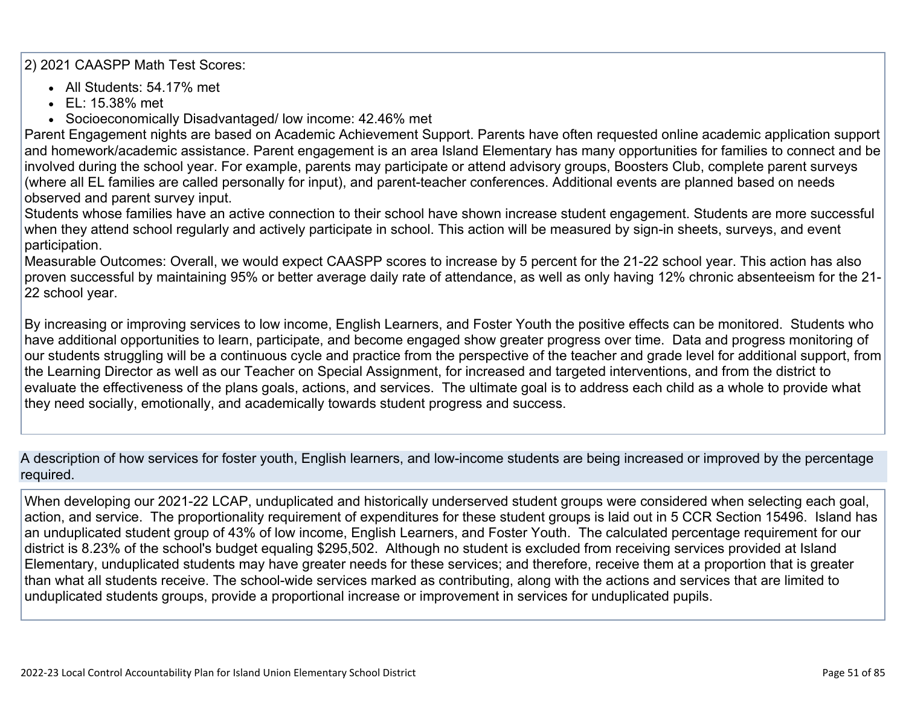2) 2021 CAASPP Math Test Scores:

- All Students: 54.17% met
- EL: 15.38% met
- Socioeconomically Disadvantaged/ low income: 42.46% met

Parent Engagement nights are based on Academic Achievement Support. Parents have often requested online academic application support and homework/academic assistance. Parent engagement is an area Island Elementary has many opportunities for families to connect and be involved during the school year. For example, parents may participate or attend advisory groups, Boosters Club, complete parent surveys (where all EL families are called personally for input), and parent-teacher conferences. Additional events are planned based on needs observed and parent survey input.

Students whose families have an active connection to their school have shown increase student engagement. Students are more successful when they attend school regularly and actively participate in school. This action will be measured by sign-in sheets, surveys, and event participation.

Measurable Outcomes: Overall, we would expect CAASPP scores to increase by 5 percent for the 21-22 school year. This action has also proven successful by maintaining 95% or better average daily rate of attendance, as well as only having 12% chronic absenteeism for the 21- 22 school year.

By increasing or improving services to low income, English Learners, and Foster Youth the positive effects can be monitored. Students who have additional opportunities to learn, participate, and become engaged show greater progress over time. Data and progress monitoring of our students struggling will be a continuous cycle and practice from the perspective of the teacher and grade level for additional support, from the Learning Director as well as our Teacher on Special Assignment, for increased and targeted interventions, and from the district to evaluate the effectiveness of the plans goals, actions, and services. The ultimate goal is to address each child as a whole to provide what they need socially, emotionally, and academically towards student progress and success.

A description of how services for foster youth, English learners, and low-income students are being increased or improved by the percentage required.

When developing our 2021-22 LCAP, unduplicated and historically underserved student groups were considered when selecting each goal, action, and service. The proportionality requirement of expenditures for these student groups is laid out in 5 CCR Section 15496. Island has an unduplicated student group of 43% of low income, English Learners, and Foster Youth. The calculated percentage requirement for our district is 8.23% of the school's budget equaling \$295,502. Although no student is excluded from receiving services provided at Island Elementary, unduplicated students may have greater needs for these services; and therefore, receive them at a proportion that is greater than what all students receive. The school-wide services marked as contributing, along with the actions and services that are limited to unduplicated students groups, provide a proportional increase or improvement in services for unduplicated pupils.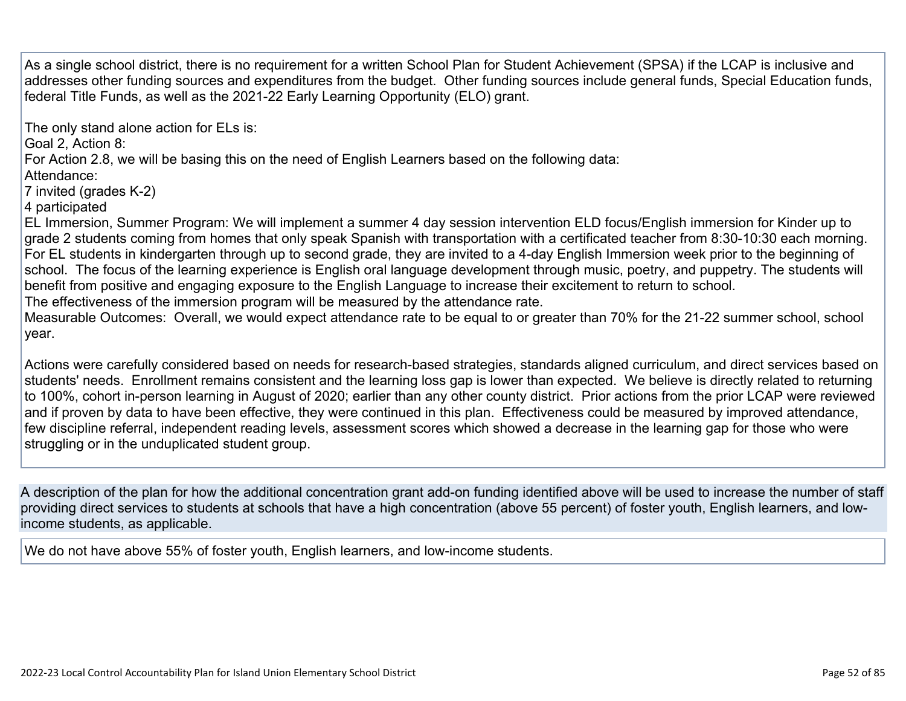As a single school district, there is no requirement for a written School Plan for Student Achievement (SPSA) if the LCAP is inclusive and addresses other funding sources and expenditures from the budget. Other funding sources include general funds, Special Education funds, federal Title Funds, as well as the 2021-22 Early Learning Opportunity (ELO) grant.

The only stand alone action for ELs is:

Goal 2, Action 8:

For Action 2.8, we will be basing this on the need of English Learners based on the following data:

Attendance:

7 invited (grades K-2)

4 participated

EL Immersion, Summer Program: We will implement a summer 4 day session intervention ELD focus/English immersion for Kinder up to grade 2 students coming from homes that only speak Spanish with transportation with a certificated teacher from 8:30-10:30 each morning. For EL students in kindergarten through up to second grade, they are invited to a 4-day English Immersion week prior to the beginning of school. The focus of the learning experience is English oral language development through music, poetry, and puppetry. The students will benefit from positive and engaging exposure to the English Language to increase their excitement to return to school.

The effectiveness of the immersion program will be measured by the attendance rate.

Measurable Outcomes: Overall, we would expect attendance rate to be equal to or greater than 70% for the 21-22 summer school, school year.

Actions were carefully considered based on needs for research-based strategies, standards aligned curriculum, and direct services based on students' needs. Enrollment remains consistent and the learning loss gap is lower than expected. We believe is directly related to returning to 100%, cohort in-person learning in August of 2020; earlier than any other county district. Prior actions from the prior LCAP were reviewed and if proven by data to have been effective, they were continued in this plan. Effectiveness could be measured by improved attendance, few discipline referral, independent reading levels, assessment scores which showed a decrease in the learning gap for those who were struggling or in the unduplicated student group.

A description of the plan for how the additional concentration grant add-on funding identified above will be used to increase the number of staff providing direct services to students at schools that have a high concentration (above 55 percent) of foster youth, English learners, and lowincome students, as applicable.

We do not have above 55% of foster youth, English learners, and low-income students.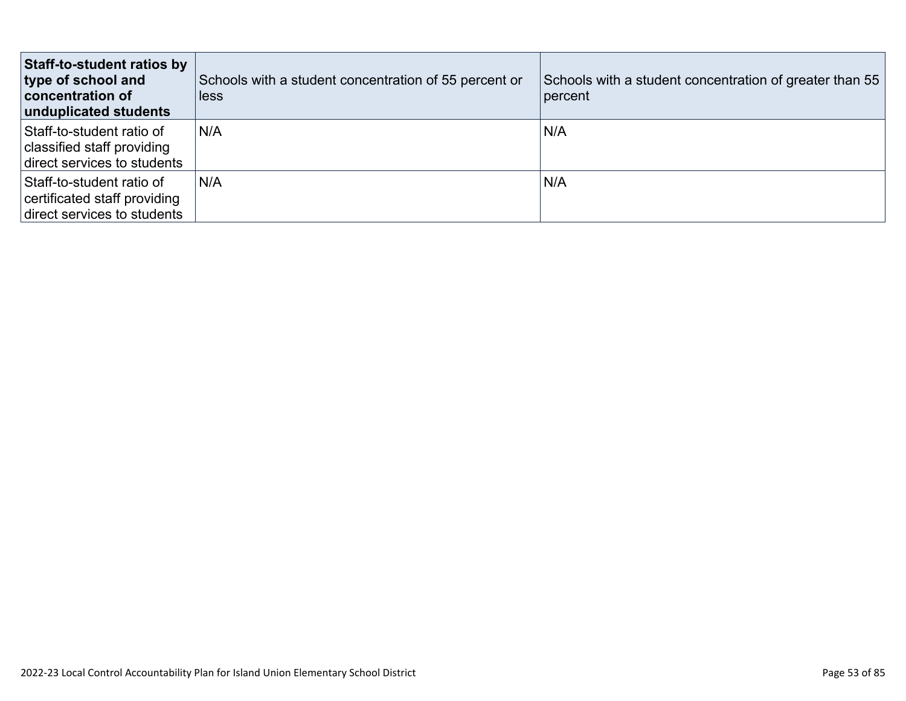| Staff-to-student ratios by<br>type of school and<br><b>concentration of</b><br>unduplicated students | Schools with a student concentration of 55 percent or<br>less | Schools with a student concentration of greater than 55<br>percent |
|------------------------------------------------------------------------------------------------------|---------------------------------------------------------------|--------------------------------------------------------------------|
| Staff-to-student ratio of<br>classified staff providing<br>direct services to students               | N/A                                                           | N/A                                                                |
| Staff-to-student ratio of<br>certificated staff providing<br>direct services to students             | N/A                                                           | N/A                                                                |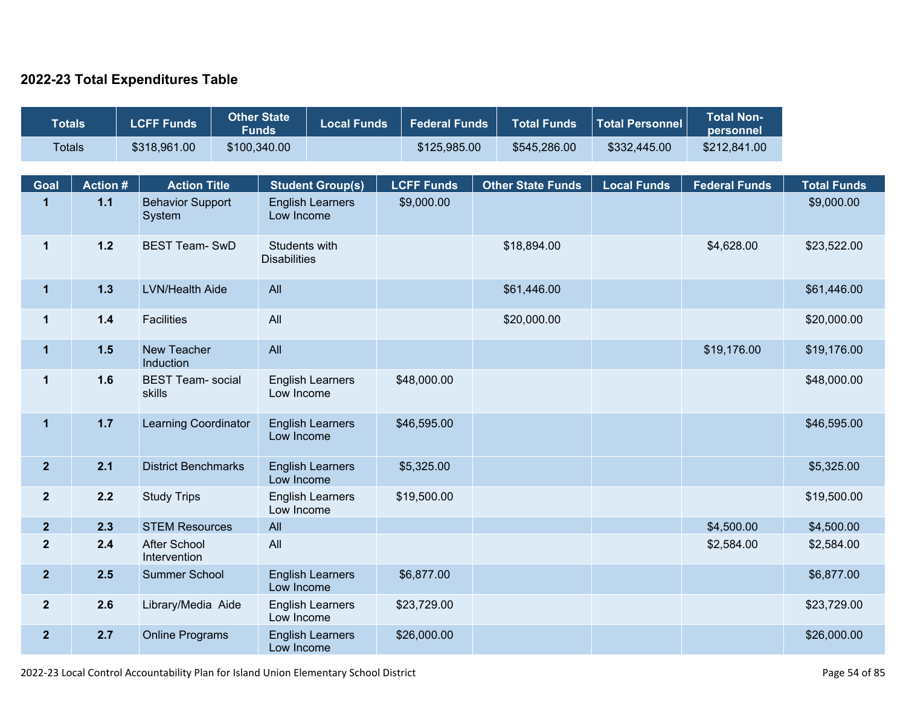### **2022-23 Total Expenditures Table**

| <b>Totals</b>           |                | <b>LCFF Funds</b>                   | <b>Other State</b><br><b>Funds</b> |                                      | <b>Local Funds</b>      | <b>Federal Funds</b> | <b>Total Funds</b>       | <b>Total Personnel</b> | <b>Total Non-</b><br>personnel |                    |
|-------------------------|----------------|-------------------------------------|------------------------------------|--------------------------------------|-------------------------|----------------------|--------------------------|------------------------|--------------------------------|--------------------|
| <b>Totals</b>           |                | \$318,961.00                        | \$100,340.00                       |                                      |                         | \$125,985.00         | \$545,286.00             | \$332,445.00           | \$212,841.00                   |                    |
|                         |                |                                     |                                    |                                      |                         |                      |                          |                        |                                |                    |
| Goal                    | <b>Action#</b> | <b>Action Title</b>                 |                                    |                                      | <b>Student Group(s)</b> | <b>LCFF Funds</b>    | <b>Other State Funds</b> | <b>Local Funds</b>     | <b>Federal Funds</b>           | <b>Total Funds</b> |
| $\overline{\mathbf{1}}$ | $1.1$          | <b>Behavior Support</b><br>System   |                                    | Low Income                           | <b>English Learners</b> | \$9,000.00           |                          |                        |                                | \$9,000.00         |
| $\mathbf{1}$            | $1.2$          | <b>BEST Team-SwD</b>                |                                    | Students with<br><b>Disabilities</b> |                         |                      | \$18,894.00              |                        | \$4,628.00                     | \$23,522.00        |
| $\overline{1}$          | $1.3$          | <b>LVN/Health Aide</b>              |                                    | All                                  |                         |                      | \$61,446.00              |                        |                                | \$61,446.00        |
| $\mathbf 1$             | $1.4$          | <b>Facilities</b>                   |                                    | All                                  |                         |                      | \$20,000.00              |                        |                                | \$20,000.00        |
| $\mathbf{1}$            | 1.5            | New Teacher<br>Induction            |                                    | All                                  |                         |                      |                          |                        | \$19,176.00                    | \$19,176.00        |
| $\mathbf{1}$            | 1.6            | <b>BEST Team- social</b><br>skills  |                                    | Low Income                           | <b>English Learners</b> | \$48,000.00          |                          |                        |                                | \$48,000.00        |
| $\overline{1}$          | $1.7$          | Learning Coordinator                |                                    | Low Income                           | <b>English Learners</b> | \$46,595.00          |                          |                        |                                | \$46,595.00        |
| $\overline{2}$          | 2.1            | <b>District Benchmarks</b>          |                                    | Low Income                           | <b>English Learners</b> | \$5,325.00           |                          |                        |                                | \$5,325.00         |
| $\overline{2}$          | 2.2            | <b>Study Trips</b>                  |                                    | Low Income                           | <b>English Learners</b> | \$19,500.00          |                          |                        |                                | \$19,500.00        |
| $\overline{2}$          | 2.3            | <b>STEM Resources</b>               |                                    | All                                  |                         |                      |                          |                        | \$4,500.00                     | \$4,500.00         |
| $\overline{2}$          | 2.4            | <b>After School</b><br>Intervention |                                    | All                                  |                         |                      |                          |                        | \$2,584.00                     | \$2,584.00         |
| $\overline{2}$          | 2.5            | <b>Summer School</b>                |                                    | Low Income                           | <b>English Learners</b> | \$6,877.00           |                          |                        |                                | \$6,877.00         |
| $\overline{2}$          | 2.6            | Library/Media Aide                  |                                    | Low Income                           | <b>English Learners</b> | \$23,729.00          |                          |                        |                                | \$23,729.00        |
| $\overline{2}$          | 2.7            | <b>Online Programs</b>              |                                    | Low Income                           | <b>English Learners</b> | \$26,000.00          |                          |                        |                                | \$26,000.00        |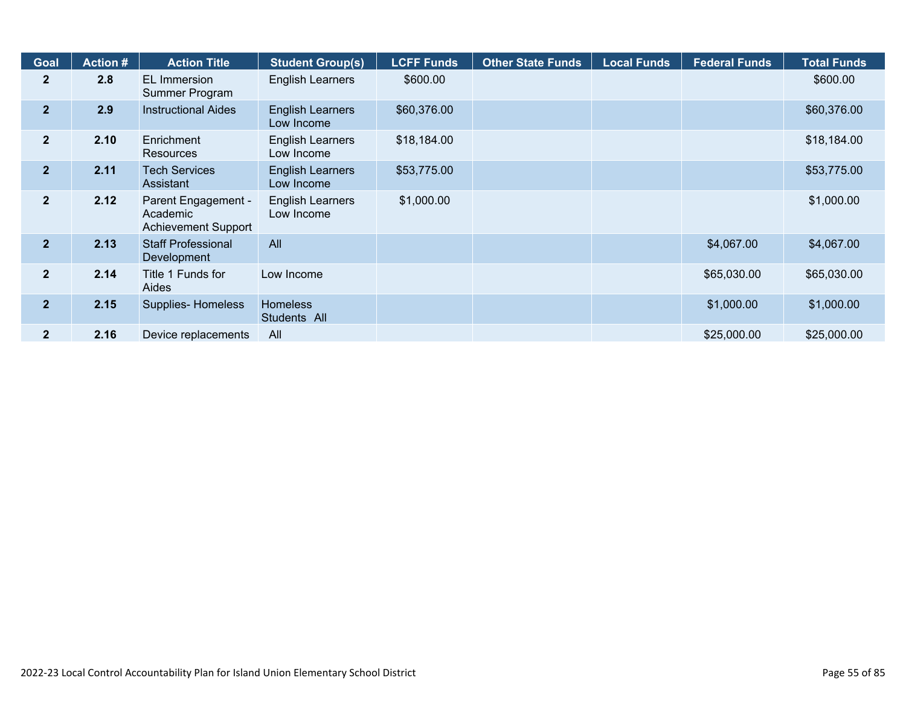| <b>Goal</b>    | <b>Action #</b> | <b>Action Title</b>                                           | <b>Student Group(s)</b>               | <b>LCFF Funds</b> | <b>Other State Funds</b> | <b>Local Funds</b> | <b>Federal Funds</b> | <b>Total Funds</b> |
|----------------|-----------------|---------------------------------------------------------------|---------------------------------------|-------------------|--------------------------|--------------------|----------------------|--------------------|
| $\overline{2}$ | 2.8             | EL Immersion<br>Summer Program                                | <b>English Learners</b>               | \$600.00          |                          |                    |                      | \$600.00           |
| 2 <sup>1</sup> | 2.9             | <b>Instructional Aides</b>                                    | <b>English Learners</b><br>Low Income | \$60,376.00       |                          |                    |                      | \$60,376.00        |
| 2 <sup>1</sup> | 2.10            | Enrichment<br>Resources                                       | English Learners<br>Low Income        | \$18,184.00       |                          |                    |                      | \$18,184.00        |
| $\mathbf{2}$   | 2.11            | <b>Tech Services</b><br>Assistant                             | <b>English Learners</b><br>Low Income | \$53,775.00       |                          |                    |                      | \$53,775.00        |
| 2 <sup>2</sup> | 2.12            | Parent Engagement -<br>Academic<br><b>Achievement Support</b> | <b>English Learners</b><br>Low Income | \$1,000.00        |                          |                    |                      | \$1,000.00         |
| 2 <sup>1</sup> | 2.13            | <b>Staff Professional</b><br>Development                      | All                                   |                   |                          |                    | \$4,067.00           | \$4,067.00         |
| 2 <sup>1</sup> | 2.14            | Title 1 Funds for<br>Aides                                    | Low Income                            |                   |                          |                    | \$65,030.00          | \$65,030.00        |
| 2 <sup>1</sup> | 2.15            | Supplies-Homeless                                             | <b>Homeless</b><br>Students All       |                   |                          |                    | \$1,000.00           | \$1,000.00         |
| 2 <sup>1</sup> | 2.16            | Device replacements                                           | All                                   |                   |                          |                    | \$25,000.00          | \$25,000.00        |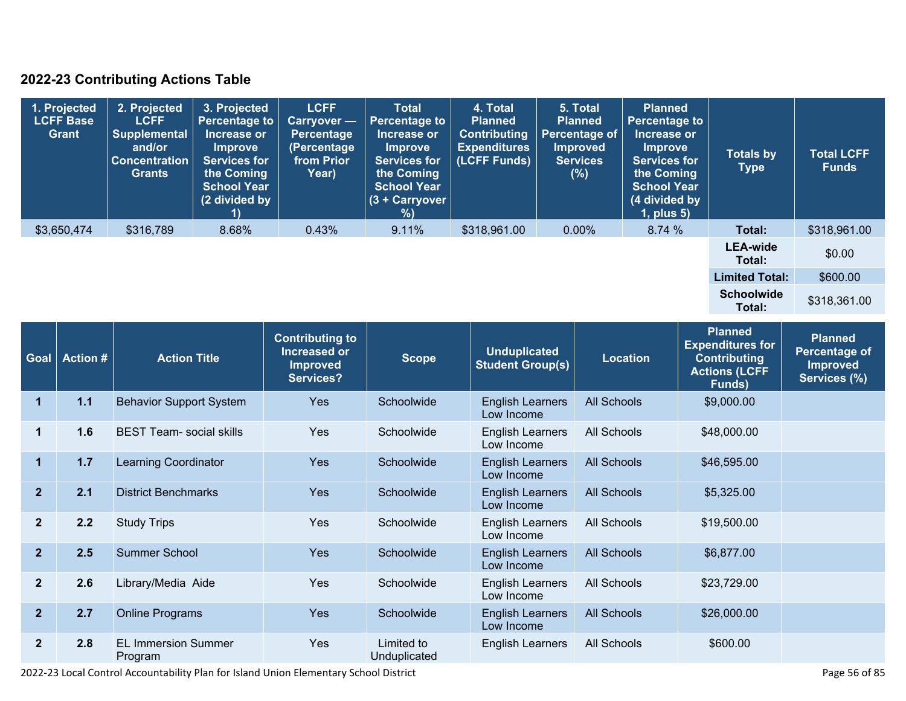### **2022-23 Contributing Actions Table**

| 1. Projected<br><b>LCFF Base</b><br>Grant | 2. Projected<br><b>LCFF</b><br>Supplemental<br>and/or<br><b>Concentration</b><br><b>Grants</b> | 3. Projected<br><b>Percentage to</b><br>Increase or<br>Improve<br><b>Services for</b><br>the Coming<br><b>School Year</b><br>(2 divided by | <b>LCFF</b><br>Carryover -<br><b>Percentage</b><br>(Percentage<br>from Prior<br>Year) | <b>Total</b><br><b>Percentage to</b><br>Increase or<br><b>Improve</b><br><b>Services for</b><br>the Coming<br><b>School Year</b><br>(3 + Carryover  <br>%) | 4. Total<br><b>Planned</b><br><b>Contributing</b><br><b>Expenditures</b><br>(LCFF Funds) | 5. Total<br><b>Planned</b><br><b>Percentage of</b><br><b>Improved</b><br><b>Services</b><br>(%) | <b>Planned</b><br><b>Percentage to</b><br>Increase or<br><b>Improve</b><br><b>Services for</b><br>the Coming<br><b>School Year</b><br>(4 divided by<br>$1$ , plus $5$ ) | <b>Totals by</b><br>Type    | <b>Total LCFF</b><br><b>Funds</b> |
|-------------------------------------------|------------------------------------------------------------------------------------------------|--------------------------------------------------------------------------------------------------------------------------------------------|---------------------------------------------------------------------------------------|------------------------------------------------------------------------------------------------------------------------------------------------------------|------------------------------------------------------------------------------------------|-------------------------------------------------------------------------------------------------|-------------------------------------------------------------------------------------------------------------------------------------------------------------------------|-----------------------------|-----------------------------------|
| \$3,650,474                               | \$316,789                                                                                      | 8.68%                                                                                                                                      | 0.43%                                                                                 | 9.11%                                                                                                                                                      | \$318,961.00                                                                             | $0.00\%$                                                                                        | 8.74%                                                                                                                                                                   | Total:                      | \$318,961.00                      |
|                                           |                                                                                                |                                                                                                                                            |                                                                                       |                                                                                                                                                            |                                                                                          |                                                                                                 |                                                                                                                                                                         | <b>LEA-wide</b><br>Total:   | \$0.00                            |
|                                           |                                                                                                |                                                                                                                                            |                                                                                       |                                                                                                                                                            |                                                                                          |                                                                                                 |                                                                                                                                                                         | <b>Limited Total:</b>       | \$600.00                          |
|                                           |                                                                                                |                                                                                                                                            |                                                                                       |                                                                                                                                                            |                                                                                          |                                                                                                 |                                                                                                                                                                         | <b>Schoolwide</b><br>Total: | \$318,361.00                      |

| <b>Goal</b>    | <b>Action #</b> | <b>Contributing to</b><br>Increased or<br><b>Action Title</b><br><b>Improved</b><br>Services? |            | <b>Scope</b>               | <b>Unduplicated</b><br><b>Student Group(s)</b> | <b>Location</b>    | <b>Planned</b><br><b>Expenditures for</b><br><b>Contributing</b><br><b>Actions (LCFF</b><br>Funds) | <b>Planned</b><br><b>Percentage of</b><br><b>Improved</b><br>Services (%) |
|----------------|-----------------|-----------------------------------------------------------------------------------------------|------------|----------------------------|------------------------------------------------|--------------------|----------------------------------------------------------------------------------------------------|---------------------------------------------------------------------------|
| 1              | $1.1$           | <b>Behavior Support System</b>                                                                | Yes        | Schoolwide                 | <b>English Learners</b><br>Low Income          | <b>All Schools</b> | \$9,000.00                                                                                         |                                                                           |
| 1              | 1.6             | <b>BEST Team- social skills</b>                                                               | Yes        | Schoolwide                 | <b>English Learners</b><br>Low Income          | <b>All Schools</b> | \$48,000.00                                                                                        |                                                                           |
| $\mathbf{1}$   | 1.7             | <b>Learning Coordinator</b>                                                                   | Yes        | Schoolwide                 | <b>English Learners</b><br>Low Income          | <b>All Schools</b> | \$46,595.00                                                                                        |                                                                           |
| $\overline{2}$ | 2.1             | <b>District Benchmarks</b>                                                                    | <b>Yes</b> | Schoolwide                 | <b>English Learners</b><br>Low Income          | <b>All Schools</b> | \$5,325.00                                                                                         |                                                                           |
| $\mathbf{2}$   | 2.2             | <b>Study Trips</b>                                                                            | Yes        | Schoolwide                 | <b>English Learners</b><br>Low Income          | <b>All Schools</b> | \$19,500.00                                                                                        |                                                                           |
| $\overline{2}$ | 2.5             | <b>Summer School</b>                                                                          | <b>Yes</b> | Schoolwide                 | <b>English Learners</b><br>Low Income          | <b>All Schools</b> | \$6,877.00                                                                                         |                                                                           |
| $\mathbf{2}$   | 2.6             | Library/Media Aide                                                                            | Yes        | Schoolwide                 | <b>English Learners</b><br>Low Income          | All Schools        | \$23,729.00                                                                                        |                                                                           |
| $\mathbf{2}$   | 2.7             | <b>Online Programs</b>                                                                        | <b>Yes</b> | Schoolwide                 | <b>English Learners</b><br>Low Income          | <b>All Schools</b> | \$26,000.00                                                                                        |                                                                           |
| $\mathbf{2}$   | 2.8             | <b>EL Immersion Summer</b><br>Program                                                         | <b>Yes</b> | Limited to<br>Unduplicated | <b>English Learners</b>                        | All Schools        | \$600.00                                                                                           |                                                                           |

2022-23 Local Control Accountability Plan for Island Union Elementary School District **Page 10 and Control Accountability Plan for Island Union Elementary School District** Page 16 of 85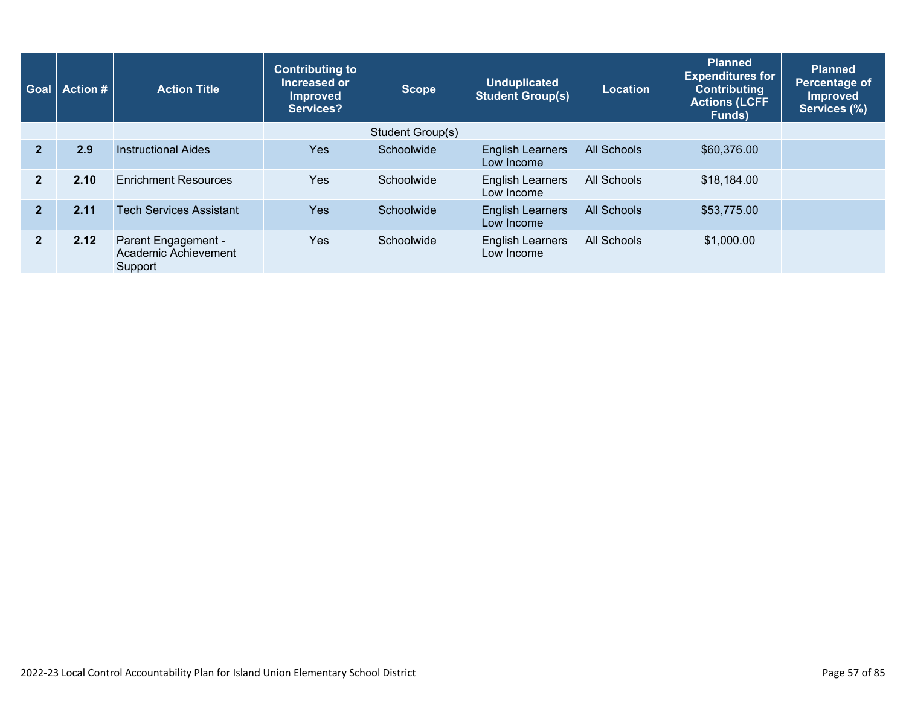| <b>Goal</b>    | <b>Action #</b> | <b>Contributing to</b><br>Increased or<br><b>Action Title</b><br><b>Improved</b><br>Services? |            | <b>Scope</b>     | <b>Unduplicated</b><br><b>Student Group(s)</b> | <b>Location</b>    | <b>Planned</b><br><b>Expenditures for</b><br><b>Contributing</b><br><b>Actions (LCFF</b><br>Funds) | <b>Planned</b><br>Percentage of<br><b>Improved</b><br>Services (%) |
|----------------|-----------------|-----------------------------------------------------------------------------------------------|------------|------------------|------------------------------------------------|--------------------|----------------------------------------------------------------------------------------------------|--------------------------------------------------------------------|
|                |                 |                                                                                               |            | Student Group(s) |                                                |                    |                                                                                                    |                                                                    |
| $\overline{2}$ | 2.9             | <b>Instructional Aides</b>                                                                    | <b>Yes</b> | Schoolwide       | <b>English Learners</b><br>Low Income          | <b>All Schools</b> | \$60,376.00                                                                                        |                                                                    |
| $\mathbf{2}$   | 2.10            | <b>Enrichment Resources</b>                                                                   | Yes        | Schoolwide       | <b>English Learners</b><br>Low Income          | All Schools        | \$18,184.00                                                                                        |                                                                    |
| $\overline{2}$ | 2.11            | <b>Tech Services Assistant</b>                                                                | <b>Yes</b> | Schoolwide       | <b>English Learners</b><br>Low Income          | All Schools        | \$53,775.00                                                                                        |                                                                    |
| $\overline{2}$ | 2.12            | Parent Engagement -<br>Academic Achievement<br>Support                                        | <b>Yes</b> | Schoolwide       | <b>English Learners</b><br>Low Income          | All Schools        | \$1,000.00                                                                                         |                                                                    |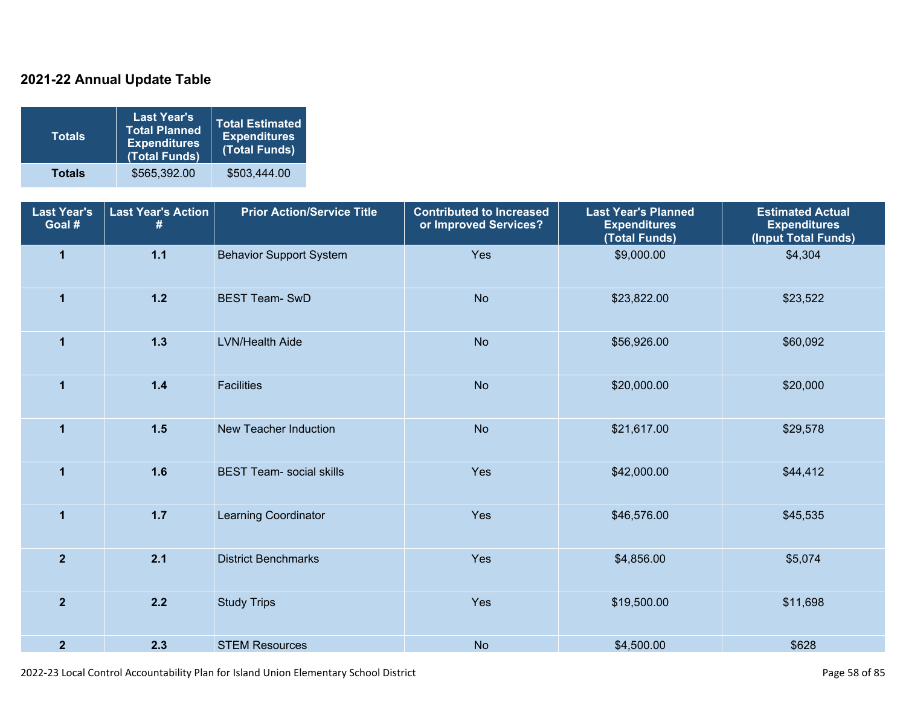### **2021-22 Annual Update Table**

| <b>Totals</b> | <b>Last Year's</b><br><b>Total Planned</b><br><b>Expenditures</b><br>(Total Funds) | <b>Total Estimated</b><br><b>Expenditures</b><br>(Total Funds) |
|---------------|------------------------------------------------------------------------------------|----------------------------------------------------------------|
| <b>Totals</b> | \$565,392.00                                                                       | \$503,444.00                                                   |

| <b>Last Year's</b><br>Goal # | <b>Last Year's Action</b><br>#  | <b>Prior Action/Service Title</b> | <b>Contributed to Increased</b><br><b>Last Year's Planned</b><br>or Improved Services?<br><b>Expenditures</b><br>(Total Funds) |             | <b>Estimated Actual</b><br><b>Expenditures</b><br>(Input Total Funds) |
|------------------------------|---------------------------------|-----------------------------------|--------------------------------------------------------------------------------------------------------------------------------|-------------|-----------------------------------------------------------------------|
| $\overline{\mathbf{1}}$      | $1.1$                           | <b>Behavior Support System</b>    | Yes                                                                                                                            | \$9,000.00  | \$4,304                                                               |
| $\mathbf 1$                  | $1.2$<br><b>BEST Team-SwD</b>   |                                   | <b>No</b>                                                                                                                      | \$23,822.00 | \$23,522                                                              |
| $\mathbf{1}$                 | $1.3$<br><b>LVN/Health Aide</b> |                                   | <b>No</b><br>\$56,926.00                                                                                                       |             | \$60,092                                                              |
| $\mathbf{1}$                 | $1.4$<br><b>Facilities</b>      |                                   | <b>No</b>                                                                                                                      | \$20,000.00 | \$20,000                                                              |
| $\mathbf{1}$                 | $1.5$                           | New Teacher Induction             | <b>No</b>                                                                                                                      | \$21,617.00 | \$29,578                                                              |
| $\mathbf 1$                  | 1.6                             | <b>BEST Team- social skills</b>   | Yes                                                                                                                            | \$42,000.00 | \$44,412                                                              |
| $\overline{1}$               | $1.7$                           | Learning Coordinator              | Yes                                                                                                                            | \$46,576.00 | \$45,535                                                              |
| $\overline{2}$               | 2.1                             | <b>District Benchmarks</b>        | Yes                                                                                                                            | \$4,856.00  | \$5,074                                                               |
| $\overline{2}$               | 2.2                             | <b>Study Trips</b>                | Yes                                                                                                                            | \$19,500.00 | \$11,698                                                              |
| $\overline{2}$               | 2.3                             | <b>STEM Resources</b>             | <b>No</b>                                                                                                                      | \$4,500.00  | \$628                                                                 |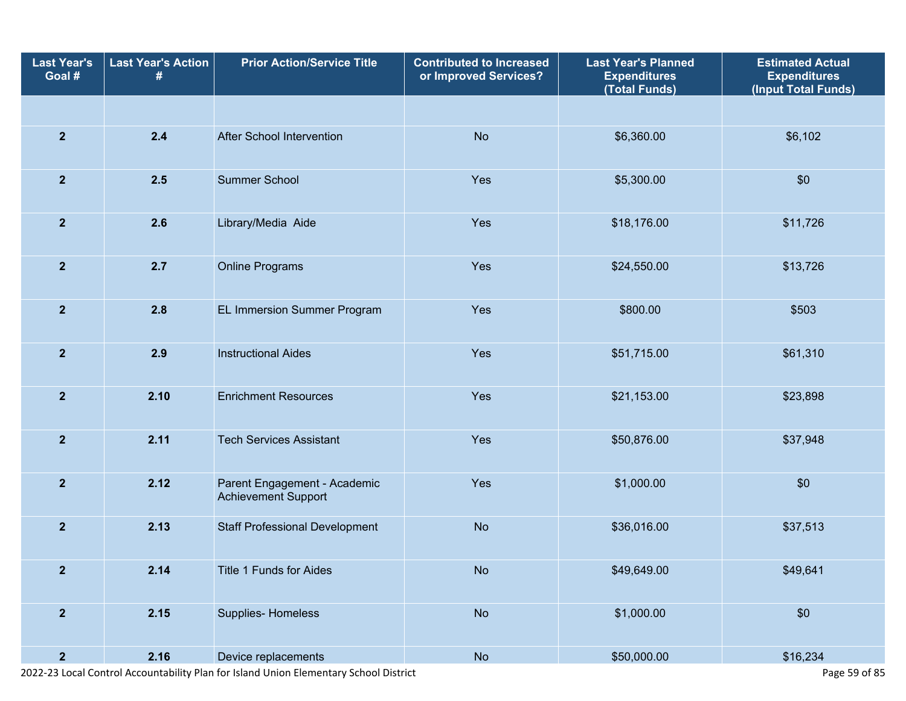| <b>Last Year's</b><br>Goal # | <b>Last Year's Action</b><br>#  | <b>Prior Action/Service Title</b>                          | <b>Contributed to Increased</b><br>or Improved Services? | <b>Last Year's Planned</b><br><b>Expenditures</b><br>(Total Funds) | <b>Estimated Actual</b><br><b>Expenditures</b><br>(Input Total Funds) |
|------------------------------|---------------------------------|------------------------------------------------------------|----------------------------------------------------------|--------------------------------------------------------------------|-----------------------------------------------------------------------|
|                              |                                 |                                                            |                                                          |                                                                    |                                                                       |
| $\overline{2}$               | 2.4                             | <b>After School Intervention</b>                           | <b>No</b>                                                | \$6,360.00                                                         | \$6,102                                                               |
| $\overline{2}$               | 2.5                             | Summer School                                              | Yes                                                      | \$5,300.00                                                         | \$0                                                                   |
| $\overline{2}$               | 2.6                             | Library/Media Aide                                         | Yes                                                      | \$18,176.00                                                        | \$11,726                                                              |
| $\overline{2}$               | 2.7                             | <b>Online Programs</b>                                     | Yes                                                      | \$24,550.00                                                        | \$13,726                                                              |
| $\mathbf{2}$                 | 2.8                             | EL Immersion Summer Program                                | Yes                                                      | \$800.00                                                           | \$503                                                                 |
| $\overline{\mathbf{2}}$      | 2.9                             | <b>Instructional Aides</b>                                 | Yes                                                      | \$51,715.00                                                        | \$61,310                                                              |
| $\overline{2}$               | 2.10                            | <b>Enrichment Resources</b>                                | Yes                                                      | \$21,153.00                                                        | \$23,898                                                              |
| $\overline{2}$               | 2.11                            | <b>Tech Services Assistant</b>                             | Yes                                                      | \$50,876.00                                                        | \$37,948                                                              |
| $\overline{2}$               | 2.12                            | Parent Engagement - Academic<br><b>Achievement Support</b> | Yes                                                      | \$1,000.00                                                         | \$0                                                                   |
| $\overline{2}$               | 2.13                            | <b>Staff Professional Development</b>                      | <b>No</b>                                                | \$36,016.00                                                        | \$37,513                                                              |
| $\overline{2}$               | 2.14<br>Title 1 Funds for Aides |                                                            | <b>No</b>                                                | \$49,649.00                                                        | \$49,641                                                              |
| $\overline{2}$               | 2.15<br>Supplies-Homeless       |                                                            | No                                                       | \$1,000.00                                                         | \$0                                                                   |
| $\overline{2}$               | 2.16                            | Device replacements                                        | <b>No</b>                                                | \$50,000.00                                                        | \$16,234                                                              |

2022-23 Local Control Accountability Plan for Island Union Elementary School District Page 59 of 85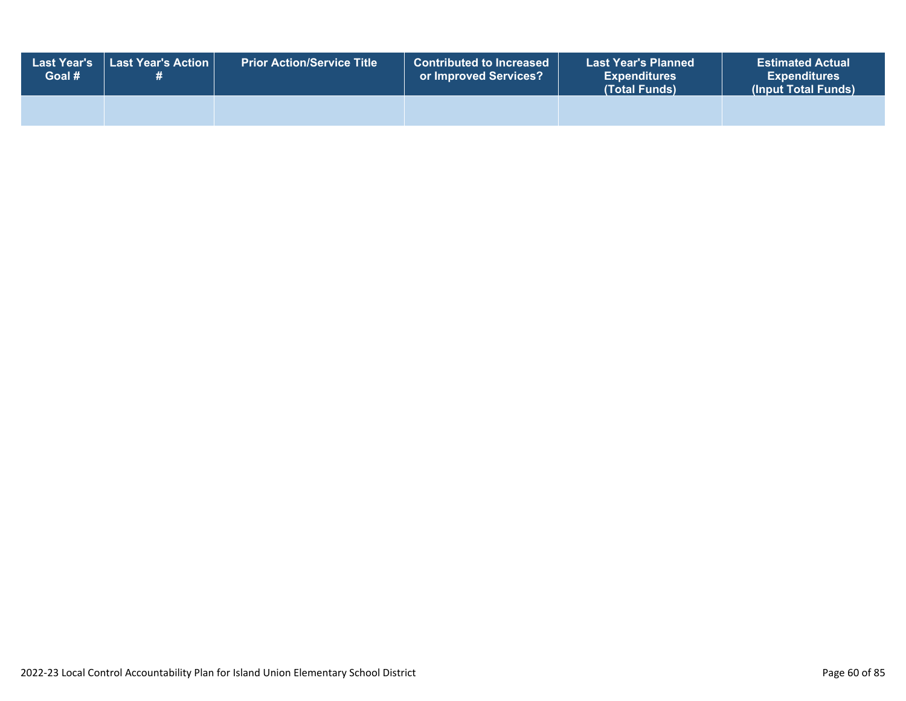| <b>Last Year's</b><br>Goal # | Last Year's Action | <b>Prior Action/Service Title</b> | <b>Contributed to Increased</b><br>or Improved Services? | <b>Last Year's Planned</b><br><b>Expenditures</b><br>(Total Funds) | <b>Estimated Actual</b><br><b>Expenditures</b><br>(Input Total Funds) |
|------------------------------|--------------------|-----------------------------------|----------------------------------------------------------|--------------------------------------------------------------------|-----------------------------------------------------------------------|
|                              |                    |                                   |                                                          |                                                                    |                                                                       |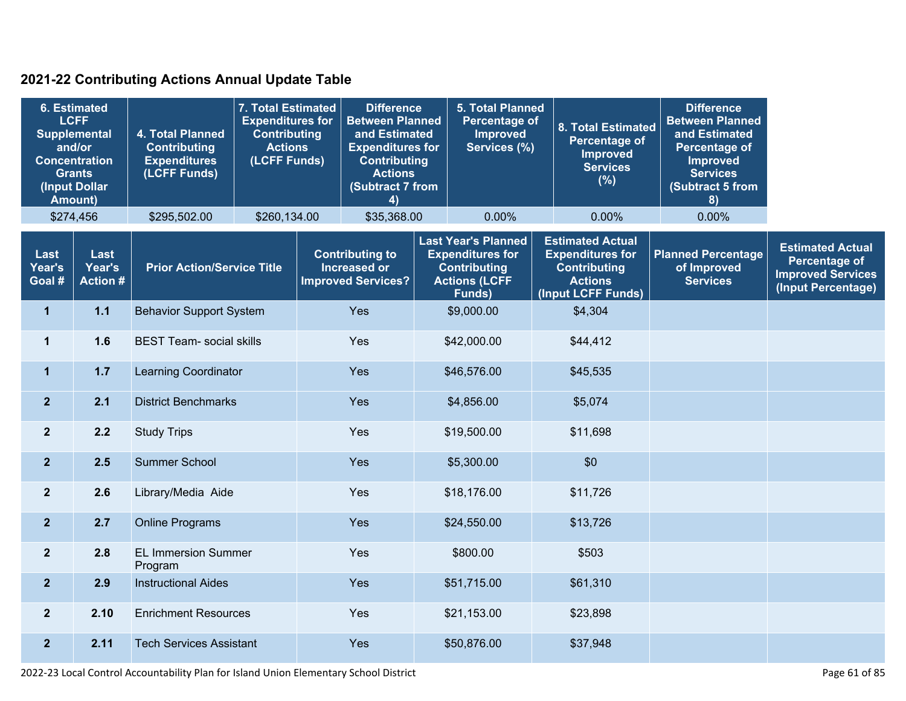### **2021-22 Contributing Actions Annual Update Table**

| <b>6. Estimated</b><br><b>LCFF</b><br><b>Supplemental</b><br>and/or<br><b>Concentration</b><br><b>Grants</b><br>(Input Dollar<br><b>Amount)</b> |                                   | 4. Total Planned<br><b>Contributing</b><br><b>Expenditures</b><br>(LCFF Funds) | 7. Total Estimated<br><b>Expenditures for</b><br><b>Contributing</b><br><b>Actions</b><br>(LCFF Funds) |             | <b>Difference</b><br><b>Between Planned</b><br>and Estimated<br><b>Expenditures for</b><br><b>Contributing</b><br><b>Actions</b><br>(Subtract 7 from<br>4) |  | 5. Total Planned<br><b>Percentage of</b><br>Improved<br>Services (%)                                                   |  | <b>8. Total Estimated</b><br><b>Percentage of</b><br><b>Improved</b><br><b>Services</b><br>(%)                    | <b>Difference</b><br><b>Between Planned</b><br>and Estimated<br><b>Percentage of</b><br><b>Improved</b><br><b>Services</b><br>(Subtract 5 from<br>8) |                                                                                                   |
|-------------------------------------------------------------------------------------------------------------------------------------------------|-----------------------------------|--------------------------------------------------------------------------------|--------------------------------------------------------------------------------------------------------|-------------|------------------------------------------------------------------------------------------------------------------------------------------------------------|--|------------------------------------------------------------------------------------------------------------------------|--|-------------------------------------------------------------------------------------------------------------------|------------------------------------------------------------------------------------------------------------------------------------------------------|---------------------------------------------------------------------------------------------------|
|                                                                                                                                                 | \$274,456                         | \$295,502.00                                                                   | \$260,134.00                                                                                           | \$35,368.00 |                                                                                                                                                            |  | 0.00%                                                                                                                  |  | 0.00%                                                                                                             | 0.00%                                                                                                                                                |                                                                                                   |
| Last<br>Year's<br>Goal #                                                                                                                        | Last<br>Year's<br><b>Action #</b> | <b>Prior Action/Service Title</b>                                              |                                                                                                        |             | <b>Contributing to</b><br>Increased or<br><b>Improved Services?</b>                                                                                        |  | <b>Last Year's Planned</b><br><b>Expenditures for</b><br><b>Contributing</b><br><b>Actions (LCFF</b><br><b>Funds</b> ) |  | <b>Estimated Actual</b><br><b>Expenditures for</b><br><b>Contributing</b><br><b>Actions</b><br>(Input LCFF Funds) | <b>Planned Percentage</b><br>of Improved<br><b>Services</b>                                                                                          | <b>Estimated Actual</b><br><b>Percentage of</b><br><b>Improved Services</b><br>(Input Percentage) |
| $\mathbf{1}$                                                                                                                                    | $1.1$                             | <b>Behavior Support System</b>                                                 |                                                                                                        |             | Yes                                                                                                                                                        |  | \$9,000.00                                                                                                             |  | \$4,304                                                                                                           |                                                                                                                                                      |                                                                                                   |
| $\mathbf{1}$                                                                                                                                    | 1.6                               | <b>BEST Team- social skills</b>                                                |                                                                                                        |             | Yes                                                                                                                                                        |  | \$42,000.00                                                                                                            |  | \$44,412                                                                                                          |                                                                                                                                                      |                                                                                                   |
| $\mathbf 1$                                                                                                                                     | 1.7                               | <b>Learning Coordinator</b>                                                    |                                                                                                        | Yes         |                                                                                                                                                            |  | \$46,576.00                                                                                                            |  | \$45,535                                                                                                          |                                                                                                                                                      |                                                                                                   |
| $\overline{2}$                                                                                                                                  | 2.1                               | <b>District Benchmarks</b>                                                     |                                                                                                        |             | Yes                                                                                                                                                        |  | \$4,856.00                                                                                                             |  | \$5,074                                                                                                           |                                                                                                                                                      |                                                                                                   |
| 2 <sup>2</sup>                                                                                                                                  | 2.2                               | <b>Study Trips</b>                                                             |                                                                                                        |             | Yes                                                                                                                                                        |  | \$19,500.00                                                                                                            |  | \$11,698                                                                                                          |                                                                                                                                                      |                                                                                                   |
| $\overline{2}$                                                                                                                                  | 2.5                               | <b>Summer School</b>                                                           |                                                                                                        |             | Yes                                                                                                                                                        |  | \$5,300.00                                                                                                             |  | \$0                                                                                                               |                                                                                                                                                      |                                                                                                   |
| $\overline{2}$                                                                                                                                  | 2.6                               | Library/Media Aide                                                             |                                                                                                        |             | Yes                                                                                                                                                        |  | \$18,176.00                                                                                                            |  | \$11,726                                                                                                          |                                                                                                                                                      |                                                                                                   |
| $\overline{2}$                                                                                                                                  | 2.7                               | <b>Online Programs</b>                                                         |                                                                                                        |             | Yes                                                                                                                                                        |  | \$24,550.00                                                                                                            |  | \$13,726                                                                                                          |                                                                                                                                                      |                                                                                                   |
| $\overline{2}$                                                                                                                                  | 2.8                               | <b>EL Immersion Summer</b><br>Program                                          |                                                                                                        |             | Yes                                                                                                                                                        |  | \$800.00                                                                                                               |  | \$503                                                                                                             |                                                                                                                                                      |                                                                                                   |
| $\overline{2}$                                                                                                                                  | 2.9                               | <b>Instructional Aides</b>                                                     |                                                                                                        |             | Yes                                                                                                                                                        |  | \$51,715.00                                                                                                            |  | \$61,310                                                                                                          |                                                                                                                                                      |                                                                                                   |
| $\overline{2}$                                                                                                                                  | 2.10                              | <b>Enrichment Resources</b>                                                    |                                                                                                        |             | Yes                                                                                                                                                        |  | \$21,153.00                                                                                                            |  | \$23,898                                                                                                          |                                                                                                                                                      |                                                                                                   |
| $\overline{2}$                                                                                                                                  | 2.11                              | <b>Tech Services Assistant</b>                                                 |                                                                                                        |             | Yes                                                                                                                                                        |  | \$50,876.00                                                                                                            |  | \$37,948                                                                                                          |                                                                                                                                                      |                                                                                                   |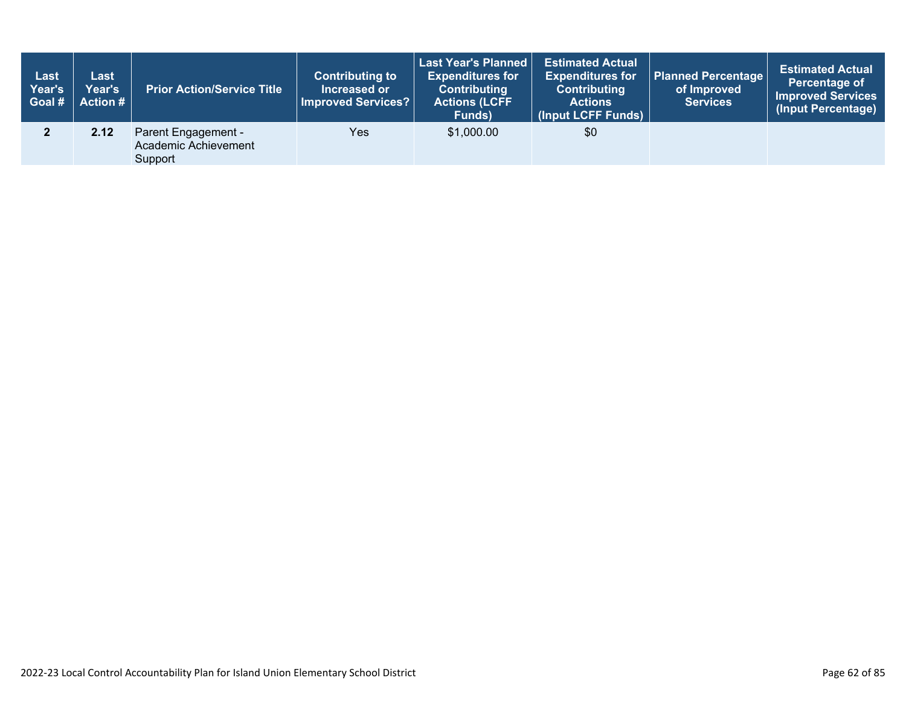| Last<br>Year's<br>Goal # | Last<br><b>Year's</b><br>Action # | <b>Prior Action/Service Title</b>                      | <b>Contributing to</b><br>Increased or<br>Improved Services? | <b>Last Year's Planned</b><br><b>Expenditures for</b><br><b>Contributing</b><br><b>Actions (LCFF</b><br>Funds) | <b>Estimated Actual</b><br><b>Expenditures for</b><br><b>Contributing</b><br><b>Actions</b><br>(Input LCFF Funds) | <b>Planned Percentage</b><br>of Improved<br><b>Services</b> | <b>Estimated Actual</b><br>Percentage of<br><b>Improved Services</b><br>(Input Percentage) |
|--------------------------|-----------------------------------|--------------------------------------------------------|--------------------------------------------------------------|----------------------------------------------------------------------------------------------------------------|-------------------------------------------------------------------------------------------------------------------|-------------------------------------------------------------|--------------------------------------------------------------------------------------------|
|                          | 2.12                              | Parent Engagement -<br>Academic Achievement<br>Support | Yes                                                          | \$1,000.00                                                                                                     | \$0                                                                                                               |                                                             |                                                                                            |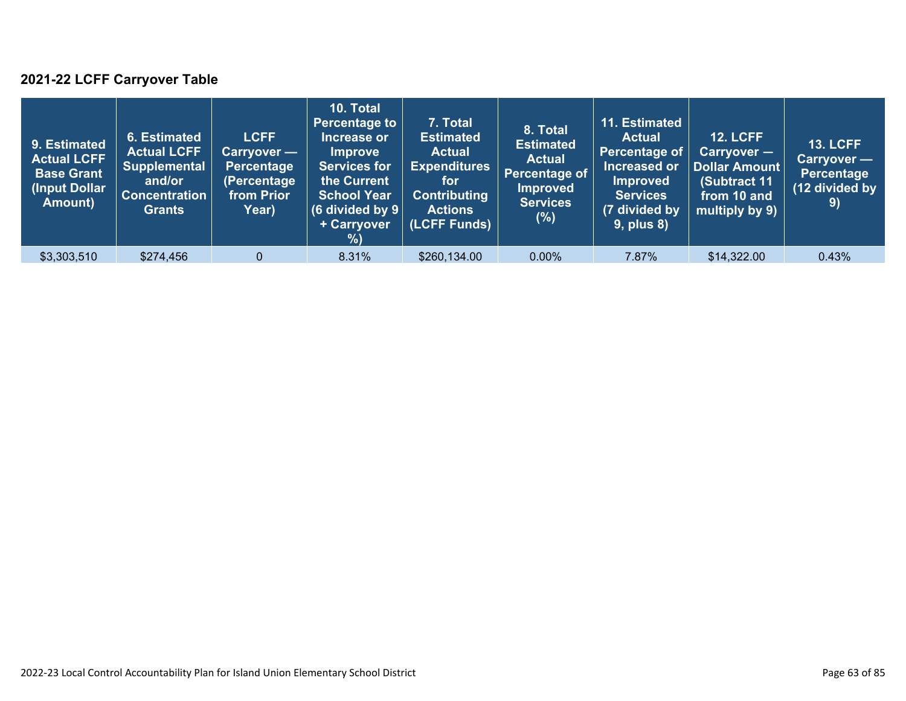### **2021-22 LCFF Carryover Table**

| 9. Estimated<br><b>Actual LCFF</b><br><b>Base Grant</b><br>(Input Dollar)<br>Amount) | 6. Estimated<br><b>Actual LCFF</b><br><b>Supplemental</b><br>and/or<br><b>Concentration</b><br><b>Grants</b> | <b>LCFF</b><br>Carryover —<br>Percentage<br>(Percentage<br>from Prior<br>Year) | 10. Total<br><b>Percentage to</b><br>Increase or<br><b>Improve</b><br><b>Services for</b><br>the Current<br><b>School Year</b><br>(6 divided by $9$ $ $<br>+ Carryover<br>% | 7. Total<br><b>Estimated</b><br><b>Actual</b><br><b>Expenditures</b><br>for<br><b>Contributing</b><br><b>Actions</b><br>(LCFF Funds) | 8. Total<br><b>Estimated</b><br><b>Actual</b><br>Percentage of<br><b>Improved</b><br><b>Services</b><br>$(\%)$ | 11. Estimated<br><b>Actual</b><br><b>Percentage of</b><br>Increased or<br><b>Improved</b><br><b>Services</b><br>(7 divided by<br><b>9, plus 8)</b> | <b>12. LCFF</b><br>Carryover -<br>Dollar Amount<br>(Subtract 11<br>from 10 and<br>multiply by 9) | <b>13. LCFF</b><br>Carryover —<br><b>Percentage</b><br>(12 divided by<br>$\left( 9\right)$ |
|--------------------------------------------------------------------------------------|--------------------------------------------------------------------------------------------------------------|--------------------------------------------------------------------------------|-----------------------------------------------------------------------------------------------------------------------------------------------------------------------------|--------------------------------------------------------------------------------------------------------------------------------------|----------------------------------------------------------------------------------------------------------------|----------------------------------------------------------------------------------------------------------------------------------------------------|--------------------------------------------------------------------------------------------------|--------------------------------------------------------------------------------------------|
| \$3,303,510                                                                          | \$274,456                                                                                                    | $\Omega$                                                                       | 8.31%                                                                                                                                                                       | \$260,134.00                                                                                                                         | 0.00%                                                                                                          | 7.87%                                                                                                                                              | \$14,322.00                                                                                      | 0.43%                                                                                      |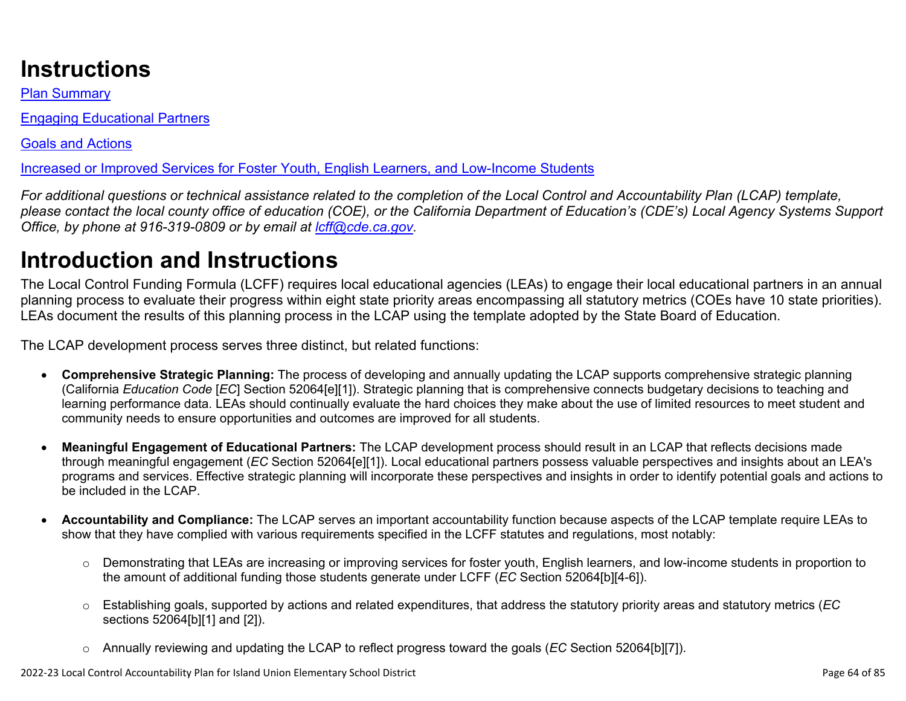# **Instructions**

Plan Summary

Engaging Educational Partners

Goals and Actions

Increased or Improved Services for Foster Youth, English Learners, and Low-Income Students

*For additional questions or technical assistance related to the completion of the Local Control and Accountability Plan (LCAP) template, please contact the local county office of education (COE), or the California Department of Education's (CDE's) Local Agency Systems Support Office, by phone at 916-319-0809 or by email at [lcff@cde.ca.gov](mailto:lcff@cde.ca.gov).*

# **Introduction and Instructions**

The Local Control Funding Formula (LCFF) requires local educational agencies (LEAs) to engage their local educational partners in an annual planning process to evaluate their progress within eight state priority areas encompassing all statutory metrics (COEs have 10 state priorities). LEAs document the results of this planning process in the LCAP using the template adopted by the State Board of Education.

The LCAP development process serves three distinct, but related functions:

- **Comprehensive Strategic Planning:** The process of developing and annually updating the LCAP supports comprehensive strategic planning (California *Education Code* [*EC*] Section 52064[e][1]). Strategic planning that is comprehensive connects budgetary decisions to teaching and learning performance data. LEAs should continually evaluate the hard choices they make about the use of limited resources to meet student and community needs to ensure opportunities and outcomes are improved for all students.
- **Meaningful Engagement of Educational Partners:** The LCAP development process should result in an LCAP that reflects decisions made through meaningful engagement (*EC* Section 52064[e][1]). Local educational partners possess valuable perspectives and insights about an LEA's programs and services. Effective strategic planning will incorporate these perspectives and insights in order to identify potential goals and actions to be included in the LCAP.
- **Accountability and Compliance:** The LCAP serves an important accountability function because aspects of the LCAP template require LEAs to show that they have complied with various requirements specified in the LCFF statutes and regulations, most notably:
	- o Demonstrating that LEAs are increasing or improving services for foster youth, English learners, and low-income students in proportion to the amount of additional funding those students generate under LCFF (*EC* Section 52064[b][4-6]).
	- o Establishing goals, supported by actions and related expenditures, that address the statutory priority areas and statutory metrics (*EC* sections 52064[b][1] and [2]).
	- o Annually reviewing and updating the LCAP to reflect progress toward the goals (*EC* Section 52064[b][7]).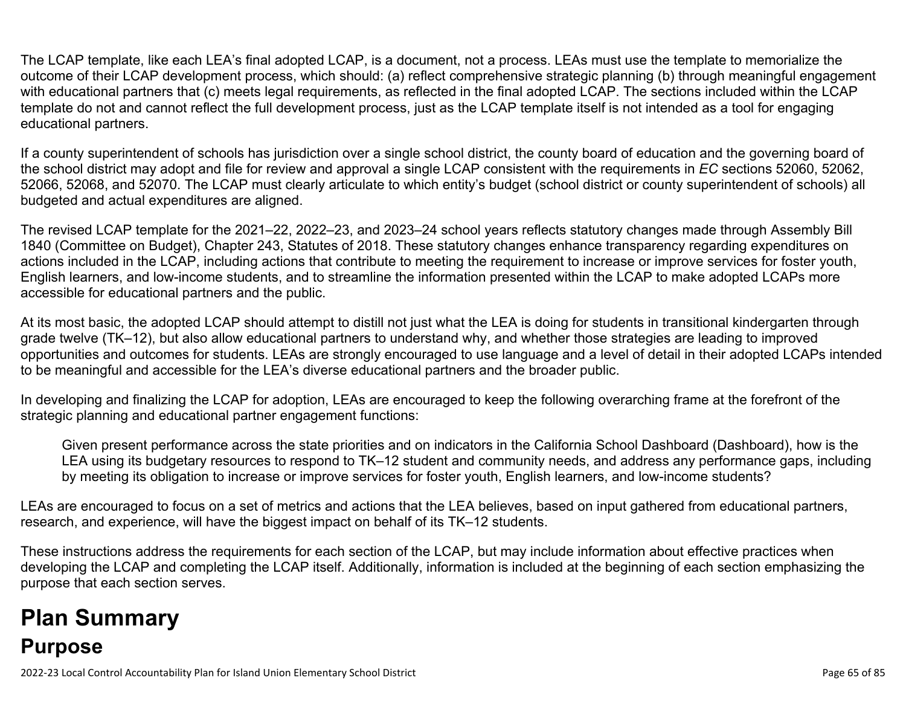The LCAP template, like each LEA's final adopted LCAP, is a document, not a process. LEAs must use the template to memorialize the outcome of their LCAP development process, which should: (a) reflect comprehensive strategic planning (b) through meaningful engagement with educational partners that (c) meets legal requirements, as reflected in the final adopted LCAP. The sections included within the LCAP template do not and cannot reflect the full development process, just as the LCAP template itself is not intended as a tool for engaging educational partners.

If a county superintendent of schools has jurisdiction over a single school district, the county board of education and the governing board of the school district may adopt and file for review and approval a single LCAP consistent with the requirements in *EC* sections 52060, 52062, 52066, 52068, and 52070. The LCAP must clearly articulate to which entity's budget (school district or county superintendent of schools) all budgeted and actual expenditures are aligned.

The revised LCAP template for the 2021–22, 2022–23, and 2023–24 school years reflects statutory changes made through Assembly Bill 1840 (Committee on Budget), Chapter 243, Statutes of 2018. These statutory changes enhance transparency regarding expenditures on actions included in the LCAP, including actions that contribute to meeting the requirement to increase or improve services for foster youth, English learners, and low-income students, and to streamline the information presented within the LCAP to make adopted LCAPs more accessible for educational partners and the public.

At its most basic, the adopted LCAP should attempt to distill not just what the LEA is doing for students in transitional kindergarten through grade twelve (TK–12), but also allow educational partners to understand why, and whether those strategies are leading to improved opportunities and outcomes for students. LEAs are strongly encouraged to use language and a level of detail in their adopted LCAPs intended to be meaningful and accessible for the LEA's diverse educational partners and the broader public.

In developing and finalizing the LCAP for adoption, LEAs are encouraged to keep the following overarching frame at the forefront of the strategic planning and educational partner engagement functions:

Given present performance across the state priorities and on indicators in the California School Dashboard (Dashboard), how is the LEA using its budgetary resources to respond to TK–12 student and community needs, and address any performance gaps, including by meeting its obligation to increase or improve services for foster youth, English learners, and low-income students?

LEAs are encouraged to focus on a set of metrics and actions that the LEA believes, based on input gathered from educational partners, research, and experience, will have the biggest impact on behalf of its TK–12 students.

These instructions address the requirements for each section of the LCAP, but may include information about effective practices when developing the LCAP and completing the LCAP itself. Additionally, information is included at the beginning of each section emphasizing the purpose that each section serves.

# **Plan Summary Purpose**

2022-23 Local Control Accountability Plan for Island Union Elementary School District **Page 67 of 85** of 85 of 85 of 85 of 85 of 85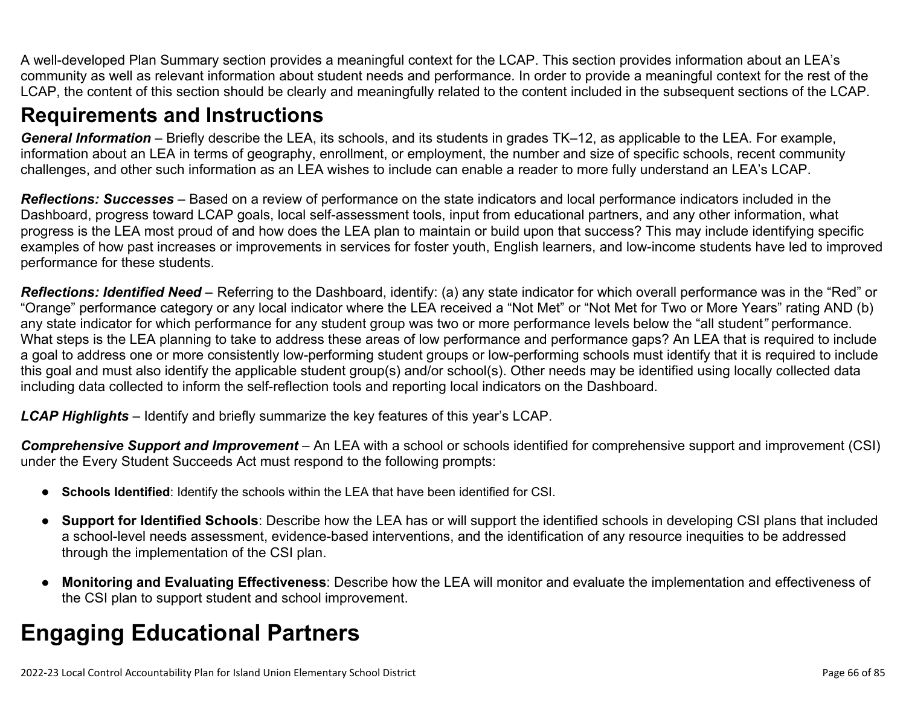A well-developed Plan Summary section provides a meaningful context for the LCAP. This section provides information about an LEA's community as well as relevant information about student needs and performance. In order to provide a meaningful context for the rest of the LCAP, the content of this section should be clearly and meaningfully related to the content included in the subsequent sections of the LCAP.

## **Requirements and Instructions**

*General Information* – Briefly describe the LEA, its schools, and its students in grades TK–12, as applicable to the LEA. For example, information about an LEA in terms of geography, enrollment, or employment, the number and size of specific schools, recent community challenges, and other such information as an LEA wishes to include can enable a reader to more fully understand an LEA's LCAP.

*Reflections: Successes* – Based on a review of performance on the state indicators and local performance indicators included in the Dashboard, progress toward LCAP goals, local self-assessment tools, input from educational partners, and any other information, what progress is the LEA most proud of and how does the LEA plan to maintain or build upon that success? This may include identifying specific examples of how past increases or improvements in services for foster youth, English learners, and low-income students have led to improved performance for these students.

*Reflections: Identified Need* – Referring to the Dashboard, identify: (a) any state indicator for which overall performance was in the "Red" or "Orange" performance category or any local indicator where the LEA received a "Not Met" or "Not Met for Two or More Years" rating AND (b) any state indicator for which performance for any student group was two or more performance levels below the "all student*"* performance. What steps is the LEA planning to take to address these areas of low performance and performance gaps? An LEA that is required to include a goal to address one or more consistently low-performing student groups or low-performing schools must identify that it is required to include this goal and must also identify the applicable student group(s) and/or school(s). Other needs may be identified using locally collected data including data collected to inform the self-reflection tools and reporting local indicators on the Dashboard.

*LCAP Highlights* – Identify and briefly summarize the key features of this year's LCAP.

*Comprehensive Support and Improvement* – An LEA with a school or schools identified for comprehensive support and improvement (CSI) under the Every Student Succeeds Act must respond to the following prompts:

- **Schools Identified**: Identify the schools within the LEA that have been identified for CSI.
- **Support for Identified Schools**: Describe how the LEA has or will support the identified schools in developing CSI plans that included a school-level needs assessment, evidence-based interventions, and the identification of any resource inequities to be addressed through the implementation of the CSI plan.
- **Monitoring and Evaluating Effectiveness**: Describe how the LEA will monitor and evaluate the implementation and effectiveness of the CSI plan to support student and school improvement.

# **Engaging Educational Partners**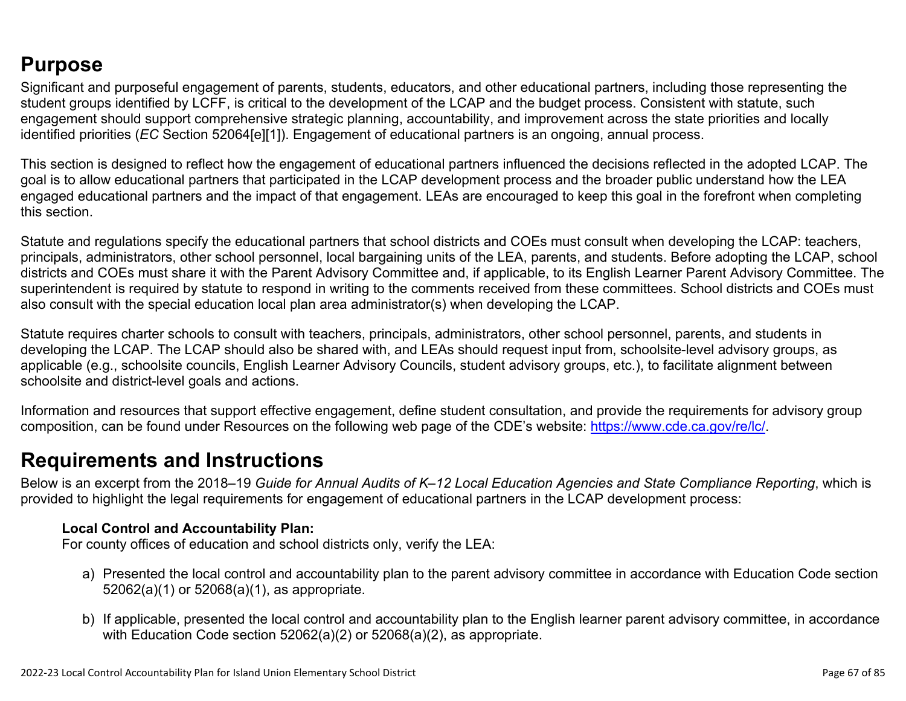## **Purpose**

Significant and purposeful engagement of parents, students, educators, and other educational partners, including those representing the student groups identified by LCFF, is critical to the development of the LCAP and the budget process. Consistent with statute, such engagement should support comprehensive strategic planning, accountability, and improvement across the state priorities and locally identified priorities (*EC* Section 52064[e][1]). Engagement of educational partners is an ongoing, annual process.

This section is designed to reflect how the engagement of educational partners influenced the decisions reflected in the adopted LCAP. The goal is to allow educational partners that participated in the LCAP development process and the broader public understand how the LEA engaged educational partners and the impact of that engagement. LEAs are encouraged to keep this goal in the forefront when completing this section.

Statute and regulations specify the educational partners that school districts and COEs must consult when developing the LCAP: teachers, principals, administrators, other school personnel, local bargaining units of the LEA, parents, and students. Before adopting the LCAP, school districts and COEs must share it with the Parent Advisory Committee and, if applicable, to its English Learner Parent Advisory Committee. The superintendent is required by statute to respond in writing to the comments received from these committees. School districts and COEs must also consult with the special education local plan area administrator(s) when developing the LCAP.

Statute requires charter schools to consult with teachers, principals, administrators, other school personnel, parents, and students in developing the LCAP. The LCAP should also be shared with, and LEAs should request input from, schoolsite-level advisory groups, as applicable (e.g., schoolsite councils, English Learner Advisory Councils, student advisory groups, etc.), to facilitate alignment between schoolsite and district-level goals and actions.

Information and resources that support effective engagement, define student consultation, and provide the requirements for advisory group composition, can be found under Resources on the following web page of the CDE's website: <https://www.cde.ca.gov/re/lc/>.

## **Requirements and Instructions**

Below is an excerpt from the 2018–19 *Guide for Annual Audits of K–12 Local Education Agencies and State Compliance Reporting*, which is provided to highlight the legal requirements for engagement of educational partners in the LCAP development process:

#### **Local Control and Accountability Plan:**

For county offices of education and school districts only, verify the LEA:

- a) Presented the local control and accountability plan to the parent advisory committee in accordance with Education Code section 52062(a)(1) or 52068(a)(1), as appropriate.
- b) If applicable, presented the local control and accountability plan to the English learner parent advisory committee, in accordance with Education Code section 52062(a)(2) or 52068(a)(2), as appropriate.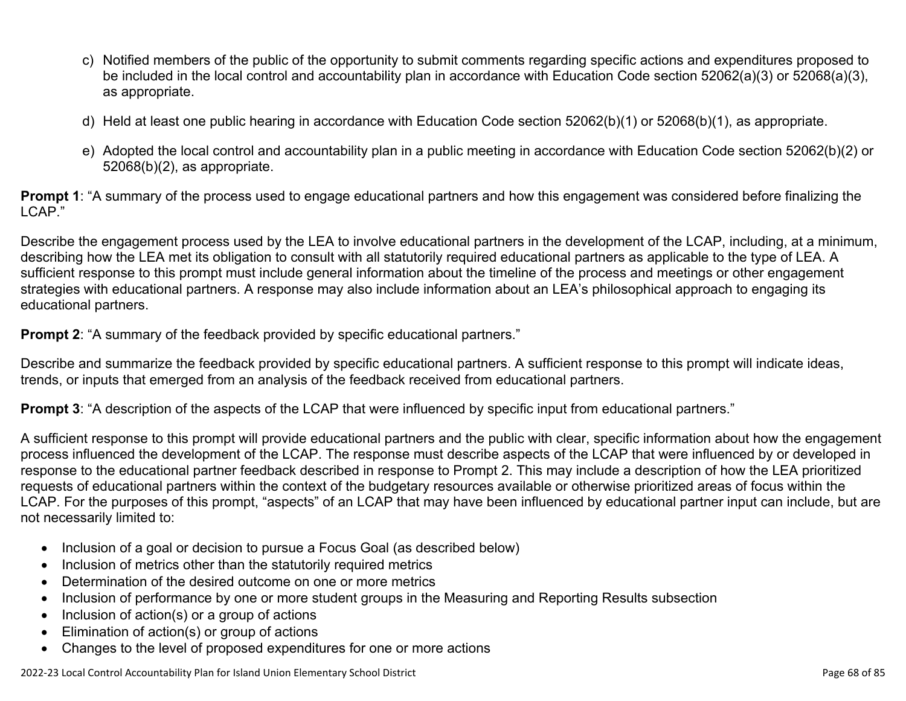- c) Notified members of the public of the opportunity to submit comments regarding specific actions and expenditures proposed to be included in the local control and accountability plan in accordance with Education Code section 52062(a)(3) or 52068(a)(3), as appropriate.
- d) Held at least one public hearing in accordance with Education Code section 52062(b)(1) or 52068(b)(1), as appropriate.
- e) Adopted the local control and accountability plan in a public meeting in accordance with Education Code section 52062(b)(2) or 52068(b)(2), as appropriate.

**Prompt 1**: "A summary of the process used to engage educational partners and how this engagement was considered before finalizing the LCAP."

Describe the engagement process used by the LEA to involve educational partners in the development of the LCAP, including, at a minimum, describing how the LEA met its obligation to consult with all statutorily required educational partners as applicable to the type of LEA. A sufficient response to this prompt must include general information about the timeline of the process and meetings or other engagement strategies with educational partners. A response may also include information about an LEA's philosophical approach to engaging its educational partners.

**Prompt 2:** "A summary of the feedback provided by specific educational partners."

Describe and summarize the feedback provided by specific educational partners. A sufficient response to this prompt will indicate ideas, trends, or inputs that emerged from an analysis of the feedback received from educational partners.

**Prompt 3**: "A description of the aspects of the LCAP that were influenced by specific input from educational partners."

A sufficient response to this prompt will provide educational partners and the public with clear, specific information about how the engagement process influenced the development of the LCAP. The response must describe aspects of the LCAP that were influenced by or developed in response to the educational partner feedback described in response to Prompt 2. This may include a description of how the LEA prioritized requests of educational partners within the context of the budgetary resources available or otherwise prioritized areas of focus within the LCAP. For the purposes of this prompt, "aspects" of an LCAP that may have been influenced by educational partner input can include, but are not necessarily limited to:

- Inclusion of a goal or decision to pursue a Focus Goal (as described below)
- Inclusion of metrics other than the statutorily required metrics
- Determination of the desired outcome on one or more metrics
- Inclusion of performance by one or more student groups in the Measuring and Reporting Results subsection
- Inclusion of action(s) or a group of actions
- Elimination of action(s) or group of actions
- Changes to the level of proposed expenditures for one or more actions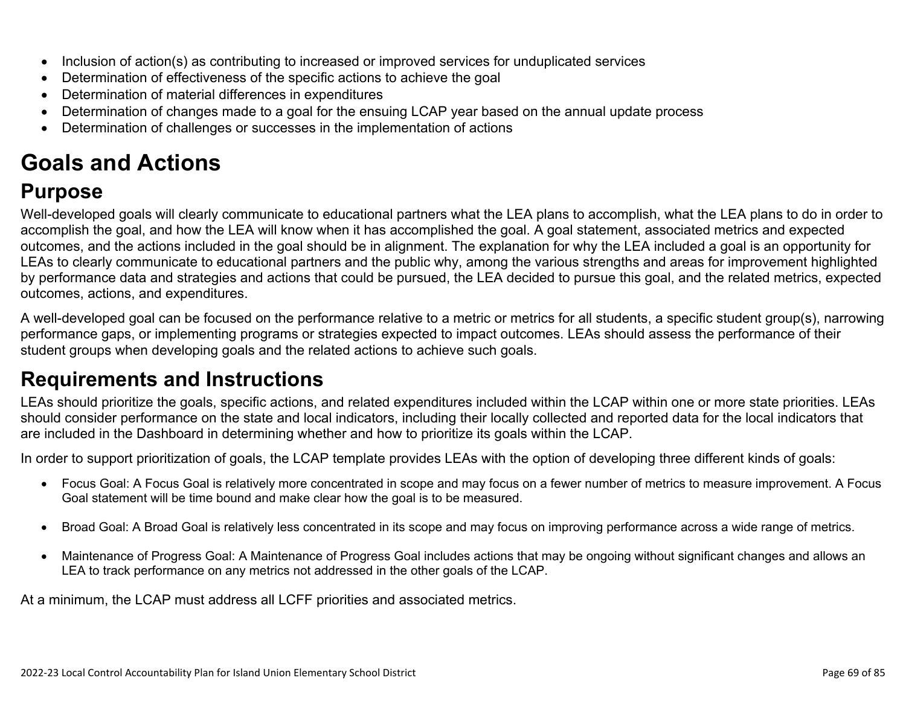- Inclusion of action(s) as contributing to increased or improved services for unduplicated services
- Determination of effectiveness of the specific actions to achieve the goal
- Determination of material differences in expenditures
- Determination of changes made to a goal for the ensuing LCAP year based on the annual update process
- Determination of challenges or successes in the implementation of actions

# **Goals and Actions**

## **Purpose**

Well-developed goals will clearly communicate to educational partners what the LEA plans to accomplish, what the LEA plans to do in order to accomplish the goal, and how the LEA will know when it has accomplished the goal. A goal statement, associated metrics and expected outcomes, and the actions included in the goal should be in alignment. The explanation for why the LEA included a goal is an opportunity for LEAs to clearly communicate to educational partners and the public why, among the various strengths and areas for improvement highlighted by performance data and strategies and actions that could be pursued, the LEA decided to pursue this goal, and the related metrics, expected outcomes, actions, and expenditures.

A well-developed goal can be focused on the performance relative to a metric or metrics for all students, a specific student group(s), narrowing performance gaps, or implementing programs or strategies expected to impact outcomes. LEAs should assess the performance of their student groups when developing goals and the related actions to achieve such goals.

## **Requirements and Instructions**

LEAs should prioritize the goals, specific actions, and related expenditures included within the LCAP within one or more state priorities. LEAs should consider performance on the state and local indicators, including their locally collected and reported data for the local indicators that are included in the Dashboard in determining whether and how to prioritize its goals within the LCAP.

In order to support prioritization of goals, the LCAP template provides LEAs with the option of developing three different kinds of goals:

- Focus Goal: A Focus Goal is relatively more concentrated in scope and may focus on a fewer number of metrics to measure improvement. A Focus Goal statement will be time bound and make clear how the goal is to be measured.
- Broad Goal: A Broad Goal is relatively less concentrated in its scope and may focus on improving performance across a wide range of metrics.
- Maintenance of Progress Goal: A Maintenance of Progress Goal includes actions that may be ongoing without significant changes and allows an LEA to track performance on any metrics not addressed in the other goals of the LCAP.

At a minimum, the LCAP must address all LCFF priorities and associated metrics.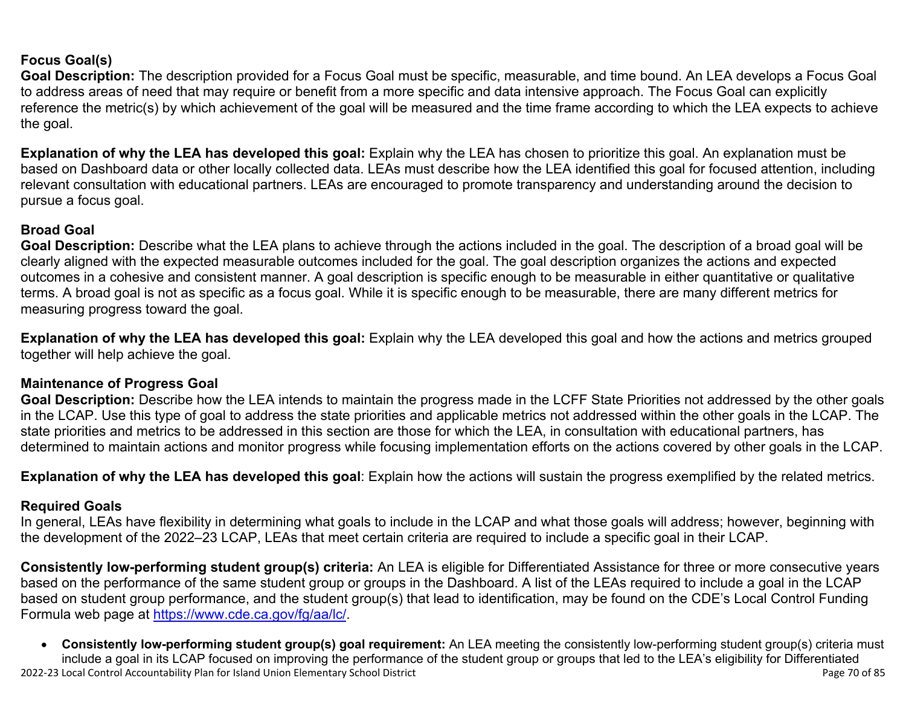### **Focus Goal(s)**

**Goal Description:** The description provided for a Focus Goal must be specific, measurable, and time bound. An LEA develops a Focus Goal to address areas of need that may require or benefit from a more specific and data intensive approach. The Focus Goal can explicitly reference the metric(s) by which achievement of the goal will be measured and the time frame according to which the LEA expects to achieve the goal.

**Explanation of why the LEA has developed this goal:** Explain why the LEA has chosen to prioritize this goal. An explanation must be based on Dashboard data or other locally collected data. LEAs must describe how the LEA identified this goal for focused attention, including relevant consultation with educational partners. LEAs are encouraged to promote transparency and understanding around the decision to pursue a focus goal.

#### **Broad Goal**

Goal Description: Describe what the LEA plans to achieve through the actions included in the goal. The description of a broad goal will be clearly aligned with the expected measurable outcomes included for the goal. The goal description organizes the actions and expected outcomes in a cohesive and consistent manner. A goal description is specific enough to be measurable in either quantitative or qualitative terms. A broad goal is not as specific as a focus goal. While it is specific enough to be measurable, there are many different metrics for measuring progress toward the goal.

**Explanation of why the LEA has developed this goal:** Explain why the LEA developed this goal and how the actions and metrics grouped together will help achieve the goal.

#### **Maintenance of Progress Goal**

**Goal Description:** Describe how the LEA intends to maintain the progress made in the LCFF State Priorities not addressed by the other goals in the LCAP. Use this type of goal to address the state priorities and applicable metrics not addressed within the other goals in the LCAP. The state priorities and metrics to be addressed in this section are those for which the LEA, in consultation with educational partners, has determined to maintain actions and monitor progress while focusing implementation efforts on the actions covered by other goals in the LCAP.

**Explanation of why the LEA has developed this goal**: Explain how the actions will sustain the progress exemplified by the related metrics.

#### **Required Goals**

In general, LEAs have flexibility in determining what goals to include in the LCAP and what those goals will address; however, beginning with the development of the 2022–23 LCAP, LEAs that meet certain criteria are required to include a specific goal in their LCAP.

**Consistently low-performing student group(s) criteria:** An LEA is eligible for Differentiated Assistance for three or more consecutive years based on the performance of the same student group or groups in the Dashboard. A list of the LEAs required to include a goal in the LCAP based on student group performance, and the student group(s) that lead to identification, may be found on the CDE's Local Control Funding Formula web page at [https://www.cde.ca.gov/fg/aa/lc/.](https://www.cde.ca.gov/fg/aa/lc/)

2022-23 Local Control Accountability Plan for Island Union Elementary School District Page 70 of 85 • **Consistently low-performing student group(s) goal requirement:** An LEA meeting the consistently low-performing student group(s) criteria must include a goal in its LCAP focused on improving the performance of the student group or groups that led to the LEA's eligibility for Differentiated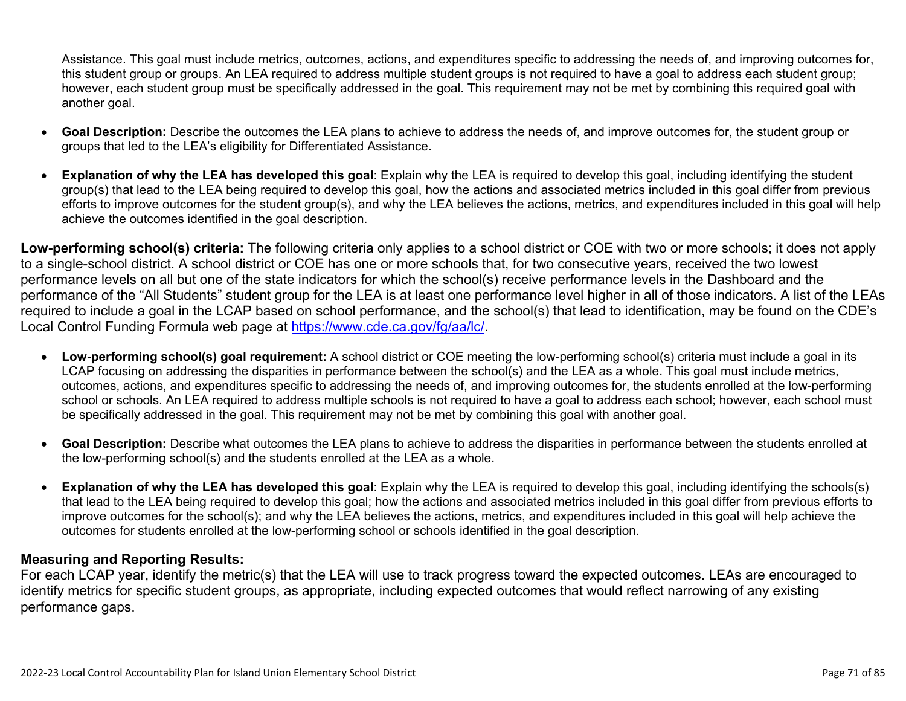Assistance. This goal must include metrics, outcomes, actions, and expenditures specific to addressing the needs of, and improving outcomes for, this student group or groups. An LEA required to address multiple student groups is not required to have a goal to address each student group; however, each student group must be specifically addressed in the goal. This requirement may not be met by combining this required goal with another goal.

- **Goal Description:** Describe the outcomes the LEA plans to achieve to address the needs of, and improve outcomes for, the student group or groups that led to the LEA's eligibility for Differentiated Assistance.
- **Explanation of why the LEA has developed this goal**: Explain why the LEA is required to develop this goal, including identifying the student group(s) that lead to the LEA being required to develop this goal, how the actions and associated metrics included in this goal differ from previous efforts to improve outcomes for the student group(s), and why the LEA believes the actions, metrics, and expenditures included in this goal will help achieve the outcomes identified in the goal description.

**Low-performing school(s) criteria:** The following criteria only applies to a school district or COE with two or more schools; it does not apply to a single-school district. A school district or COE has one or more schools that, for two consecutive years, received the two lowest performance levels on all but one of the state indicators for which the school(s) receive performance levels in the Dashboard and the performance of the "All Students" student group for the LEA is at least one performance level higher in all of those indicators. A list of the LEAs required to include a goal in the LCAP based on school performance, and the school(s) that lead to identification, may be found on the CDE's Local Control Funding Formula web page at [https://www.cde.ca.gov/fg/aa/lc/.](https://www.cde.ca.gov/fg/aa/lc/)

- **Low-performing school(s) goal requirement:** A school district or COE meeting the low-performing school(s) criteria must include a goal in its LCAP focusing on addressing the disparities in performance between the school(s) and the LEA as a whole. This goal must include metrics, outcomes, actions, and expenditures specific to addressing the needs of, and improving outcomes for, the students enrolled at the low-performing school or schools. An LEA required to address multiple schools is not required to have a goal to address each school; however, each school must be specifically addressed in the goal. This requirement may not be met by combining this goal with another goal.
- **Goal Description:** Describe what outcomes the LEA plans to achieve to address the disparities in performance between the students enrolled at the low-performing school(s) and the students enrolled at the LEA as a whole.
- **Explanation of why the LEA has developed this goal**: Explain why the LEA is required to develop this goal, including identifying the schools(s) that lead to the LEA being required to develop this goal; how the actions and associated metrics included in this goal differ from previous efforts to improve outcomes for the school(s); and why the LEA believes the actions, metrics, and expenditures included in this goal will help achieve the outcomes for students enrolled at the low-performing school or schools identified in the goal description.

#### **Measuring and Reporting Results:**

For each LCAP year, identify the metric(s) that the LEA will use to track progress toward the expected outcomes. LEAs are encouraged to identify metrics for specific student groups, as appropriate, including expected outcomes that would reflect narrowing of any existing performance gaps.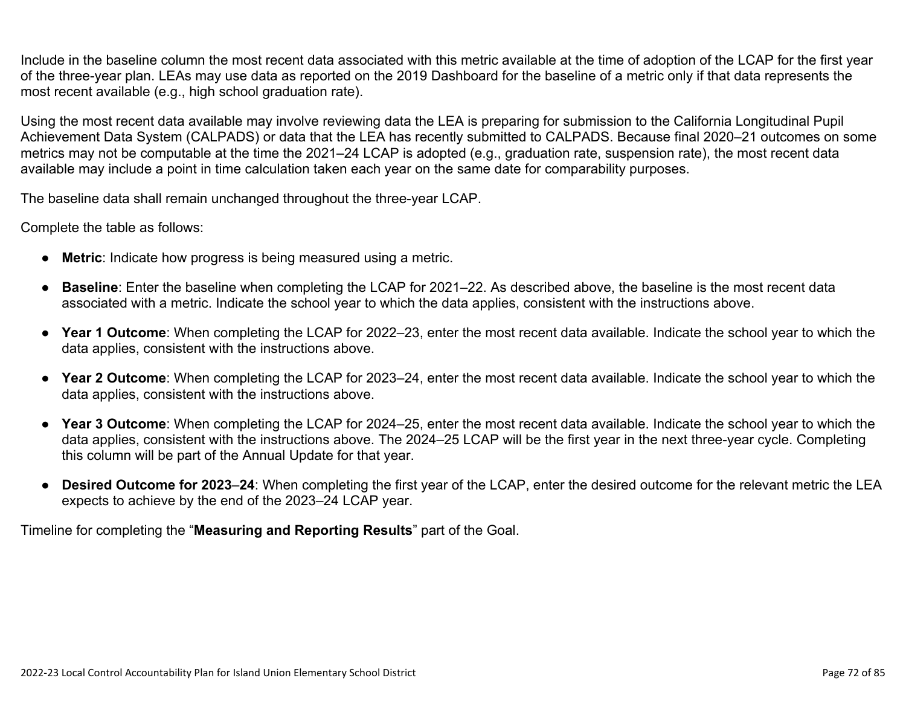Include in the baseline column the most recent data associated with this metric available at the time of adoption of the LCAP for the first year of the three-year plan. LEAs may use data as reported on the 2019 Dashboard for the baseline of a metric only if that data represents the most recent available (e.g., high school graduation rate).

Using the most recent data available may involve reviewing data the LEA is preparing for submission to the California Longitudinal Pupil Achievement Data System (CALPADS) or data that the LEA has recently submitted to CALPADS. Because final 2020–21 outcomes on some metrics may not be computable at the time the 2021–24 LCAP is adopted (e.g., graduation rate, suspension rate), the most recent data available may include a point in time calculation taken each year on the same date for comparability purposes.

The baseline data shall remain unchanged throughout the three-year LCAP.

Complete the table as follows:

- **Metric**: Indicate how progress is being measured using a metric.
- **Baseline**: Enter the baseline when completing the LCAP for 2021–22. As described above, the baseline is the most recent data associated with a metric. Indicate the school year to which the data applies, consistent with the instructions above.
- **Year 1 Outcome**: When completing the LCAP for 2022–23, enter the most recent data available. Indicate the school year to which the data applies, consistent with the instructions above.
- **Year 2 Outcome**: When completing the LCAP for 2023–24, enter the most recent data available. Indicate the school year to which the data applies, consistent with the instructions above.
- **Year 3 Outcome**: When completing the LCAP for 2024–25, enter the most recent data available. Indicate the school year to which the data applies, consistent with the instructions above. The 2024–25 LCAP will be the first year in the next three-year cycle. Completing this column will be part of the Annual Update for that year.
- **Desired Outcome for 2023**–**24**: When completing the first year of the LCAP, enter the desired outcome for the relevant metric the LEA expects to achieve by the end of the 2023–24 LCAP year.

Timeline for completing the "**Measuring and Reporting Results**" part of the Goal.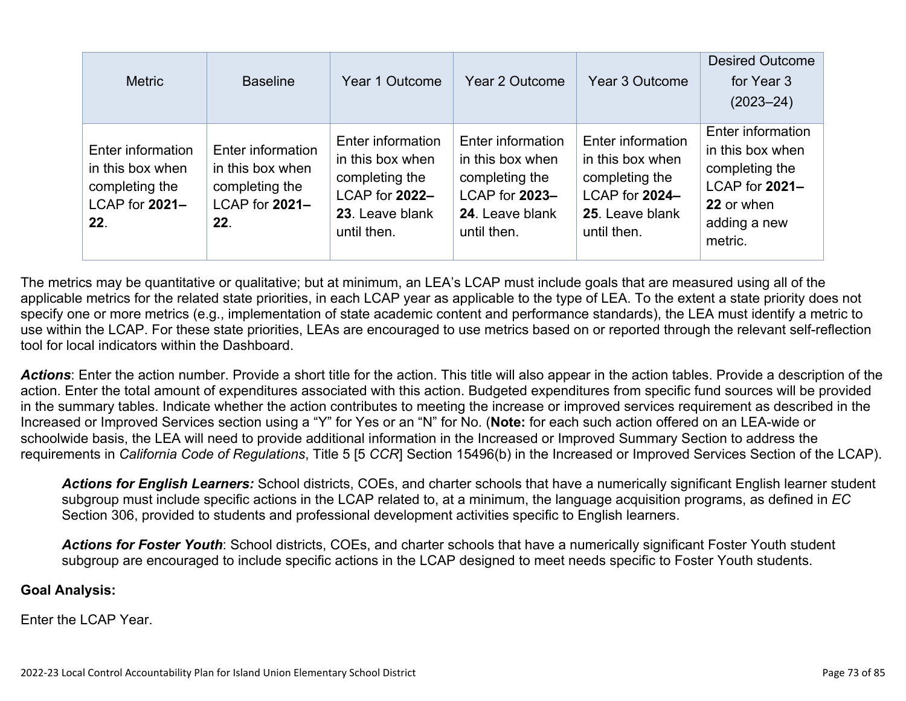| <b>Metric</b>                                                                    | <b>Baseline</b>                                                                  | Year 1 Outcome                                                                                              | Year 2 Outcome                                                                                              | Year 3 Outcome                                                                                              | <b>Desired Outcome</b><br>for Year 3<br>$(2023 - 24)$                                                              |
|----------------------------------------------------------------------------------|----------------------------------------------------------------------------------|-------------------------------------------------------------------------------------------------------------|-------------------------------------------------------------------------------------------------------------|-------------------------------------------------------------------------------------------------------------|--------------------------------------------------------------------------------------------------------------------|
| Enter information<br>in this box when<br>completing the<br>LCAP for 2021-<br>22. | Enter information<br>in this box when<br>completing the<br>LCAP for 2021-<br>22. | Enter information<br>in this box when<br>completing the<br>LCAP for 2022-<br>23. Leave blank<br>until then. | Enter information<br>in this box when<br>completing the<br>LCAP for 2023-<br>24. Leave blank<br>until then. | Enter information<br>in this box when<br>completing the<br>LCAP for 2024-<br>25. Leave blank<br>until then. | Enter information<br>in this box when<br>completing the<br>LCAP for 2021-<br>22 or when<br>adding a new<br>metric. |

The metrics may be quantitative or qualitative; but at minimum, an LEA's LCAP must include goals that are measured using all of the applicable metrics for the related state priorities, in each LCAP year as applicable to the type of LEA. To the extent a state priority does not specify one or more metrics (e.g., implementation of state academic content and performance standards), the LEA must identify a metric to use within the LCAP. For these state priorities, LEAs are encouraged to use metrics based on or reported through the relevant self-reflection tool for local indicators within the Dashboard.

*Actions*: Enter the action number. Provide a short title for the action. This title will also appear in the action tables. Provide a description of the action. Enter the total amount of expenditures associated with this action. Budgeted expenditures from specific fund sources will be provided in the summary tables. Indicate whether the action contributes to meeting the increase or improved services requirement as described in the Increased or Improved Services section using a "Y" for Yes or an "N" for No. (**Note:** for each such action offered on an LEA-wide or schoolwide basis, the LEA will need to provide additional information in the Increased or Improved Summary Section to address the requirements in *California Code of Regulations*, Title 5 [5 *CCR*] Section 15496(b) in the Increased or Improved Services Section of the LCAP).

*Actions for English Learners:* School districts, COEs, and charter schools that have a numerically significant English learner student subgroup must include specific actions in the LCAP related to, at a minimum, the language acquisition programs, as defined in *EC* Section 306, provided to students and professional development activities specific to English learners.

*Actions for Foster Youth*: School districts, COEs, and charter schools that have a numerically significant Foster Youth student subgroup are encouraged to include specific actions in the LCAP designed to meet needs specific to Foster Youth students.

#### **Goal Analysis:**

Enter the LCAP Year.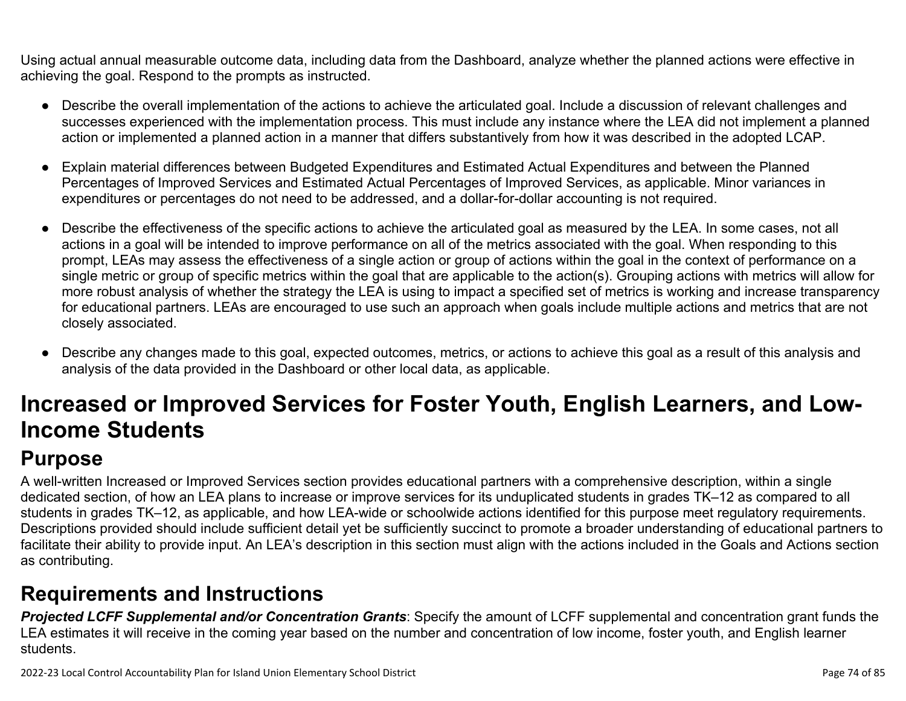Using actual annual measurable outcome data, including data from the Dashboard, analyze whether the planned actions were effective in achieving the goal. Respond to the prompts as instructed.

- Describe the overall implementation of the actions to achieve the articulated goal. Include a discussion of relevant challenges and successes experienced with the implementation process. This must include any instance where the LEA did not implement a planned action or implemented a planned action in a manner that differs substantively from how it was described in the adopted LCAP.
- Explain material differences between Budgeted Expenditures and Estimated Actual Expenditures and between the Planned Percentages of Improved Services and Estimated Actual Percentages of Improved Services, as applicable. Minor variances in expenditures or percentages do not need to be addressed, and a dollar-for-dollar accounting is not required.
- Describe the effectiveness of the specific actions to achieve the articulated goal as measured by the LEA. In some cases, not all actions in a goal will be intended to improve performance on all of the metrics associated with the goal. When responding to this prompt, LEAs may assess the effectiveness of a single action or group of actions within the goal in the context of performance on a single metric or group of specific metrics within the goal that are applicable to the action(s). Grouping actions with metrics will allow for more robust analysis of whether the strategy the LEA is using to impact a specified set of metrics is working and increase transparency for educational partners. LEAs are encouraged to use such an approach when goals include multiple actions and metrics that are not closely associated.
- Describe any changes made to this goal, expected outcomes, metrics, or actions to achieve this goal as a result of this analysis and analysis of the data provided in the Dashboard or other local data, as applicable.

# **Increased or Improved Services for Foster Youth, English Learners, and Low-Income Students**

## **Purpose**

A well-written Increased or Improved Services section provides educational partners with a comprehensive description, within a single dedicated section, of how an LEA plans to increase or improve services for its unduplicated students in grades TK–12 as compared to all students in grades TK–12, as applicable, and how LEA-wide or schoolwide actions identified for this purpose meet regulatory requirements. Descriptions provided should include sufficient detail yet be sufficiently succinct to promote a broader understanding of educational partners to facilitate their ability to provide input. An LEA's description in this section must align with the actions included in the Goals and Actions section as contributing.

## **Requirements and Instructions**

*Projected LCFF Supplemental and/or Concentration Grants*: Specify the amount of LCFF supplemental and concentration grant funds the LEA estimates it will receive in the coming year based on the number and concentration of low income, foster youth, and English learner students.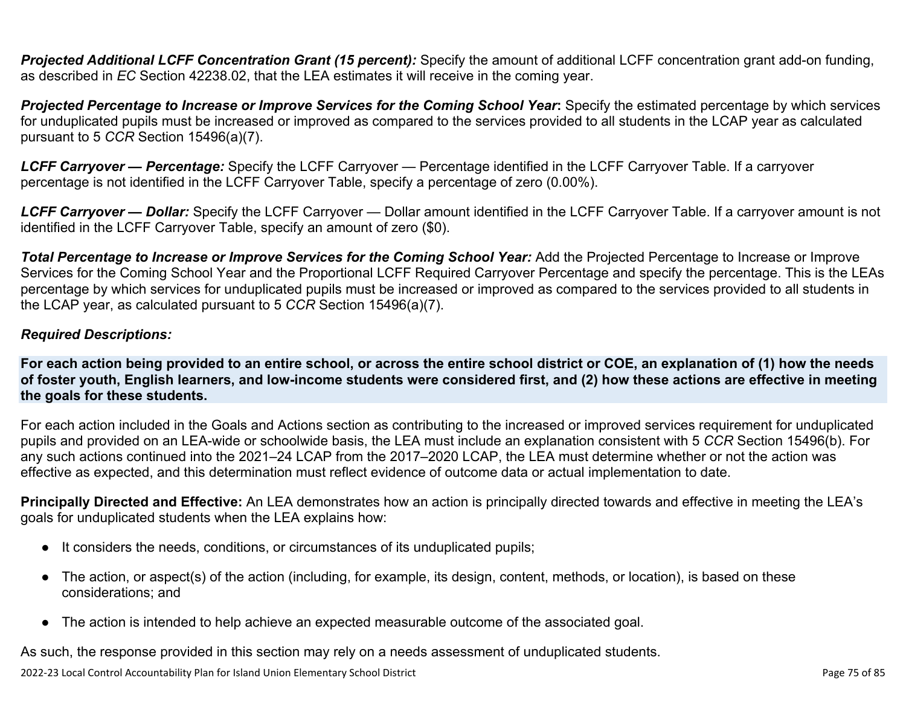**Projected Additional LCFF Concentration Grant (15 percent):** Specify the amount of additional LCFF concentration grant add-on funding, as described in *EC* Section 42238.02, that the LEA estimates it will receive in the coming year.

*Projected Percentage to Increase or Improve Services for the Coming School Year***:** Specify the estimated percentage by which services for unduplicated pupils must be increased or improved as compared to the services provided to all students in the LCAP year as calculated pursuant to 5 *CCR* Section 15496(a)(7).

*LCFF Carryover — Percentage:* Specify the LCFF Carryover — Percentage identified in the LCFF Carryover Table. If a carryover percentage is not identified in the LCFF Carryover Table, specify a percentage of zero (0.00%).

*LCFF Carryover — Dollar:* Specify the LCFF Carryover — Dollar amount identified in the LCFF Carryover Table. If a carryover amount is not identified in the LCFF Carryover Table, specify an amount of zero (\$0).

**Total Percentage to Increase or Improve Services for the Coming School Year:** Add the Projected Percentage to Increase or Improve Services for the Coming School Year and the Proportional LCFF Required Carryover Percentage and specify the percentage. This is the LEAs percentage by which services for unduplicated pupils must be increased or improved as compared to the services provided to all students in the LCAP year, as calculated pursuant to 5 *CCR* Section 15496(a)(7).

### *Required Descriptions:*

**For each action being provided to an entire school, or across the entire school district or COE, an explanation of (1) how the needs of foster youth, English learners, and low-income students were considered first, and (2) how these actions are effective in meeting the goals for these students.**

For each action included in the Goals and Actions section as contributing to the increased or improved services requirement for unduplicated pupils and provided on an LEA-wide or schoolwide basis, the LEA must include an explanation consistent with 5 *CCR* Section 15496(b). For any such actions continued into the 2021–24 LCAP from the 2017–2020 LCAP, the LEA must determine whether or not the action was effective as expected, and this determination must reflect evidence of outcome data or actual implementation to date.

**Principally Directed and Effective:** An LEA demonstrates how an action is principally directed towards and effective in meeting the LEA's goals for unduplicated students when the LEA explains how:

- It considers the needs, conditions, or circumstances of its unduplicated pupils;
- The action, or aspect(s) of the action (including, for example, its design, content, methods, or location), is based on these considerations; and
- The action is intended to help achieve an expected measurable outcome of the associated goal.

As such, the response provided in this section may rely on a needs assessment of unduplicated students.

2022-23 Local Control Accountability Plan for Island Union Elementary School District **Page 75** of 85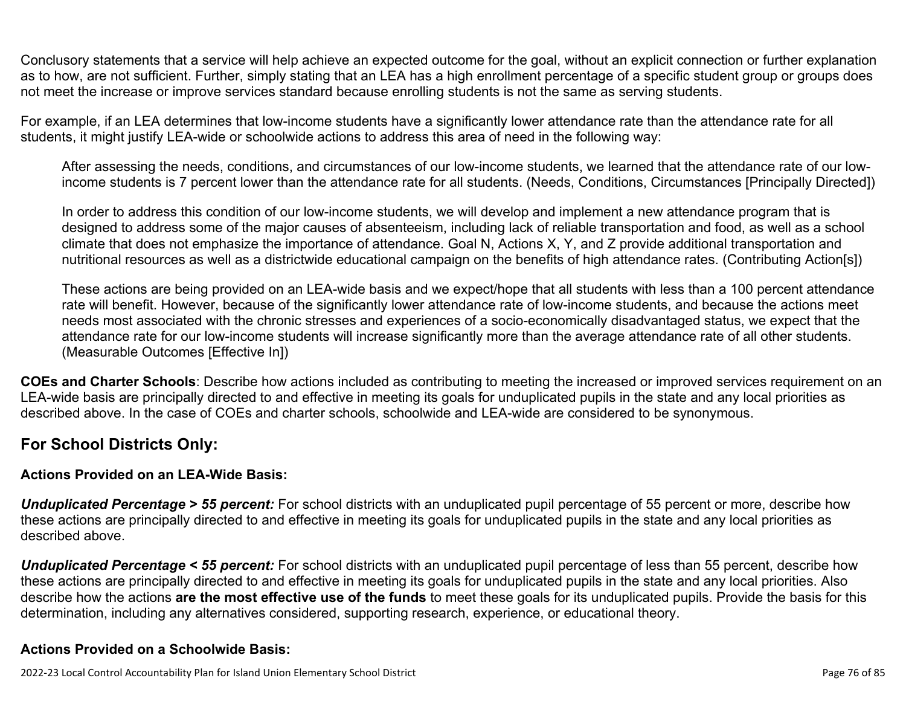Conclusory statements that a service will help achieve an expected outcome for the goal, without an explicit connection or further explanation as to how, are not sufficient. Further, simply stating that an LEA has a high enrollment percentage of a specific student group or groups does not meet the increase or improve services standard because enrolling students is not the same as serving students.

For example, if an LEA determines that low-income students have a significantly lower attendance rate than the attendance rate for all students, it might justify LEA-wide or schoolwide actions to address this area of need in the following way:

After assessing the needs, conditions, and circumstances of our low-income students, we learned that the attendance rate of our lowincome students is 7 percent lower than the attendance rate for all students. (Needs, Conditions, Circumstances [Principally Directed])

In order to address this condition of our low-income students, we will develop and implement a new attendance program that is designed to address some of the major causes of absenteeism, including lack of reliable transportation and food, as well as a school climate that does not emphasize the importance of attendance. Goal N, Actions X, Y, and Z provide additional transportation and nutritional resources as well as a districtwide educational campaign on the benefits of high attendance rates. (Contributing Action[s])

These actions are being provided on an LEA-wide basis and we expect/hope that all students with less than a 100 percent attendance rate will benefit. However, because of the significantly lower attendance rate of low-income students, and because the actions meet needs most associated with the chronic stresses and experiences of a socio-economically disadvantaged status, we expect that the attendance rate for our low-income students will increase significantly more than the average attendance rate of all other students. (Measurable Outcomes [Effective In])

**COEs and Charter Schools**: Describe how actions included as contributing to meeting the increased or improved services requirement on an LEA-wide basis are principally directed to and effective in meeting its goals for unduplicated pupils in the state and any local priorities as described above. In the case of COEs and charter schools, schoolwide and LEA-wide are considered to be synonymous.

### **For School Districts Only:**

### **Actions Provided on an LEA-Wide Basis:**

*Unduplicated Percentage > 55 percent:* For school districts with an unduplicated pupil percentage of 55 percent or more, describe how these actions are principally directed to and effective in meeting its goals for unduplicated pupils in the state and any local priorities as described above.

*Unduplicated Percentage < 55 percent:* For school districts with an unduplicated pupil percentage of less than 55 percent, describe how these actions are principally directed to and effective in meeting its goals for unduplicated pupils in the state and any local priorities. Also describe how the actions **are the most effective use of the funds** to meet these goals for its unduplicated pupils. Provide the basis for this determination, including any alternatives considered, supporting research, experience, or educational theory.

### **Actions Provided on a Schoolwide Basis:**

2022-23 Local Control Accountability Plan for Island Union Elementary School District **Page 76** of 85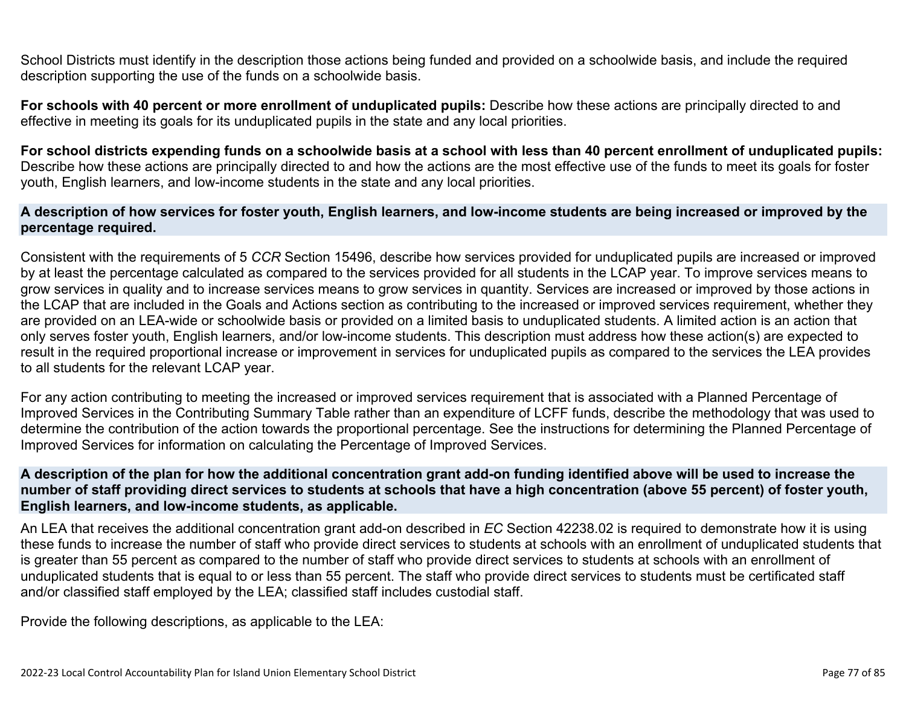School Districts must identify in the description those actions being funded and provided on a schoolwide basis, and include the required description supporting the use of the funds on a schoolwide basis.

**For schools with 40 percent or more enrollment of unduplicated pupils:** Describe how these actions are principally directed to and effective in meeting its goals for its unduplicated pupils in the state and any local priorities.

**For school districts expending funds on a schoolwide basis at a school with less than 40 percent enrollment of unduplicated pupils:** Describe how these actions are principally directed to and how the actions are the most effective use of the funds to meet its goals for foster youth, English learners, and low-income students in the state and any local priorities.

#### **A description of how services for foster youth, English learners, and low-income students are being increased or improved by the percentage required.**

Consistent with the requirements of 5 *CCR* Section 15496, describe how services provided for unduplicated pupils are increased or improved by at least the percentage calculated as compared to the services provided for all students in the LCAP year. To improve services means to grow services in quality and to increase services means to grow services in quantity. Services are increased or improved by those actions in the LCAP that are included in the Goals and Actions section as contributing to the increased or improved services requirement, whether they are provided on an LEA-wide or schoolwide basis or provided on a limited basis to unduplicated students. A limited action is an action that only serves foster youth, English learners, and/or low-income students. This description must address how these action(s) are expected to result in the required proportional increase or improvement in services for unduplicated pupils as compared to the services the LEA provides to all students for the relevant LCAP year.

For any action contributing to meeting the increased or improved services requirement that is associated with a Planned Percentage of Improved Services in the Contributing Summary Table rather than an expenditure of LCFF funds, describe the methodology that was used to determine the contribution of the action towards the proportional percentage. See the instructions for determining the Planned Percentage of Improved Services for information on calculating the Percentage of Improved Services.

#### **A description of the plan for how the additional concentration grant add-on funding identified above will be used to increase the number of staff providing direct services to students at schools that have a high concentration (above 55 percent) of foster youth, English learners, and low-income students, as applicable.**

An LEA that receives the additional concentration grant add-on described in *EC* Section 42238.02 is required to demonstrate how it is using these funds to increase the number of staff who provide direct services to students at schools with an enrollment of unduplicated students that is greater than 55 percent as compared to the number of staff who provide direct services to students at schools with an enrollment of unduplicated students that is equal to or less than 55 percent. The staff who provide direct services to students must be certificated staff and/or classified staff employed by the LEA; classified staff includes custodial staff.

Provide the following descriptions, as applicable to the LEA: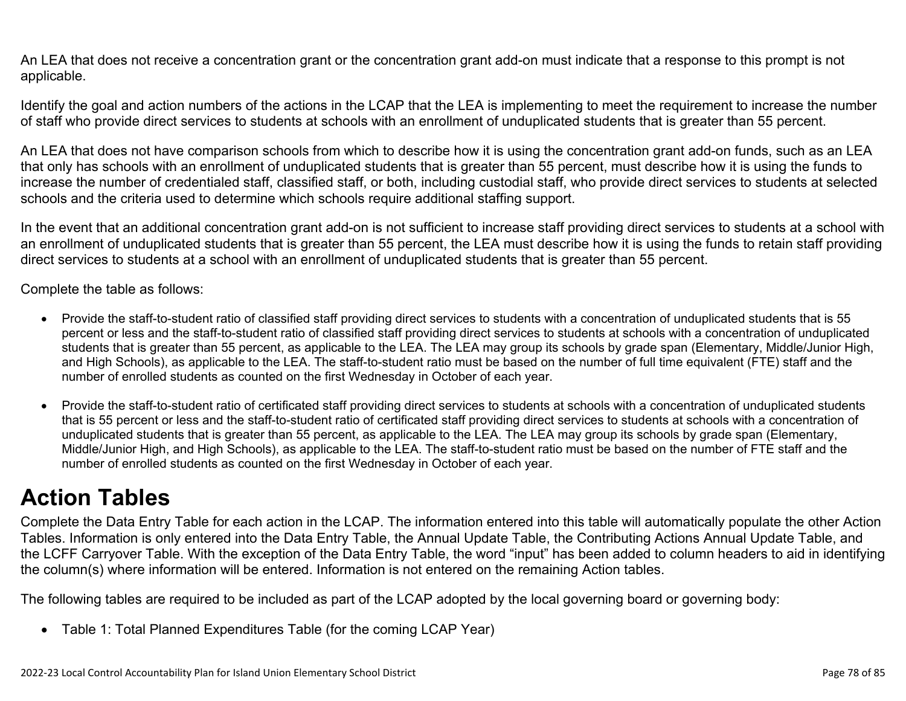An LEA that does not receive a concentration grant or the concentration grant add-on must indicate that a response to this prompt is not applicable.

Identify the goal and action numbers of the actions in the LCAP that the LEA is implementing to meet the requirement to increase the number of staff who provide direct services to students at schools with an enrollment of unduplicated students that is greater than 55 percent.

An LEA that does not have comparison schools from which to describe how it is using the concentration grant add-on funds, such as an LEA that only has schools with an enrollment of unduplicated students that is greater than 55 percent, must describe how it is using the funds to increase the number of credentialed staff, classified staff, or both, including custodial staff, who provide direct services to students at selected schools and the criteria used to determine which schools require additional staffing support.

In the event that an additional concentration grant add-on is not sufficient to increase staff providing direct services to students at a school with an enrollment of unduplicated students that is greater than 55 percent, the LEA must describe how it is using the funds to retain staff providing direct services to students at a school with an enrollment of unduplicated students that is greater than 55 percent.

Complete the table as follows:

- Provide the staff-to-student ratio of classified staff providing direct services to students with a concentration of unduplicated students that is 55 percent or less and the staff-to-student ratio of classified staff providing direct services to students at schools with a concentration of unduplicated students that is greater than 55 percent, as applicable to the LEA. The LEA may group its schools by grade span (Elementary, Middle/Junior High, and High Schools), as applicable to the LEA. The staff-to-student ratio must be based on the number of full time equivalent (FTE) staff and the number of enrolled students as counted on the first Wednesday in October of each year.
- Provide the staff-to-student ratio of certificated staff providing direct services to students at schools with a concentration of unduplicated students that is 55 percent or less and the staff-to-student ratio of certificated staff providing direct services to students at schools with a concentration of unduplicated students that is greater than 55 percent, as applicable to the LEA. The LEA may group its schools by grade span (Elementary, Middle/Junior High, and High Schools), as applicable to the LEA. The staff-to-student ratio must be based on the number of FTE staff and the number of enrolled students as counted on the first Wednesday in October of each year.

## **Action Tables**

Complete the Data Entry Table for each action in the LCAP. The information entered into this table will automatically populate the other Action Tables. Information is only entered into the Data Entry Table, the Annual Update Table, the Contributing Actions Annual Update Table, and the LCFF Carryover Table. With the exception of the Data Entry Table, the word "input" has been added to column headers to aid in identifying the column(s) where information will be entered. Information is not entered on the remaining Action tables.

The following tables are required to be included as part of the LCAP adopted by the local governing board or governing body:

• Table 1: Total Planned Expenditures Table (for the coming LCAP Year)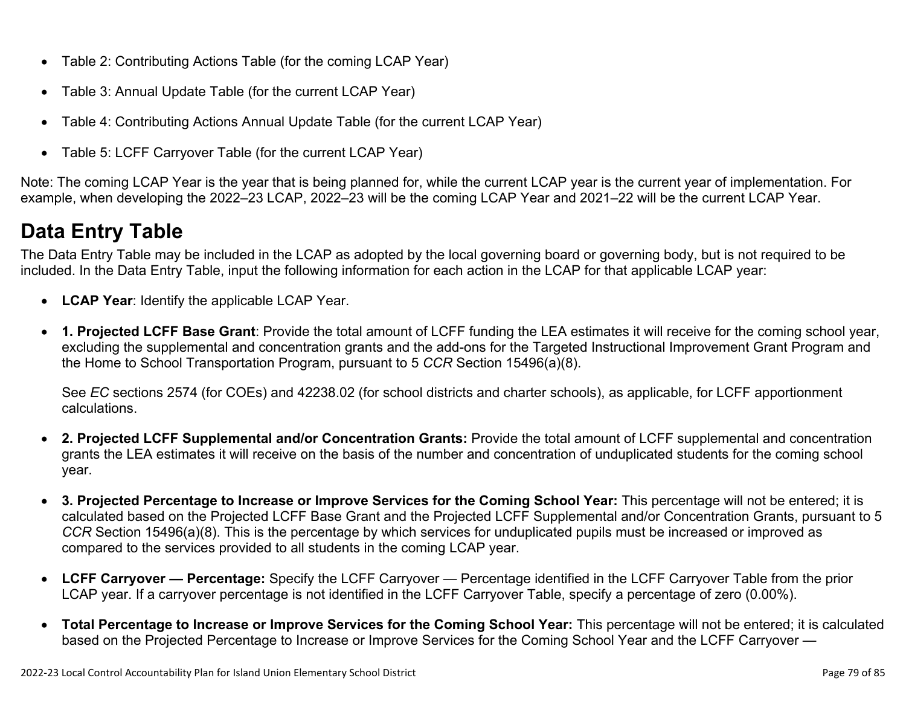- Table 2: Contributing Actions Table (for the coming LCAP Year)
- Table 3: Annual Update Table (for the current LCAP Year)
- Table 4: Contributing Actions Annual Update Table (for the current LCAP Year)
- Table 5: LCFF Carryover Table (for the current LCAP Year)

Note: The coming LCAP Year is the year that is being planned for, while the current LCAP year is the current year of implementation. For example, when developing the 2022–23 LCAP, 2022–23 will be the coming LCAP Year and 2021–22 will be the current LCAP Year.

## **Data Entry Table**

The Data Entry Table may be included in the LCAP as adopted by the local governing board or governing body, but is not required to be included. In the Data Entry Table, input the following information for each action in the LCAP for that applicable LCAP year:

- **LCAP Year**: Identify the applicable LCAP Year.
- **1. Projected LCFF Base Grant**: Provide the total amount of LCFF funding the LEA estimates it will receive for the coming school year, excluding the supplemental and concentration grants and the add-ons for the Targeted Instructional Improvement Grant Program and the Home to School Transportation Program, pursuant to 5 *CCR* Section 15496(a)(8).

See *EC* sections 2574 (for COEs) and 42238.02 (for school districts and charter schools), as applicable, for LCFF apportionment calculations.

- **2. Projected LCFF Supplemental and/or Concentration Grants:** Provide the total amount of LCFF supplemental and concentration grants the LEA estimates it will receive on the basis of the number and concentration of unduplicated students for the coming school year.
- **3. Projected Percentage to Increase or Improve Services for the Coming School Year:** This percentage will not be entered; it is calculated based on the Projected LCFF Base Grant and the Projected LCFF Supplemental and/or Concentration Grants, pursuant to 5 *CCR* Section 15496(a)(8). This is the percentage by which services for unduplicated pupils must be increased or improved as compared to the services provided to all students in the coming LCAP year.
- **LCFF Carryover Percentage:** Specify the LCFF Carryover Percentage identified in the LCFF Carryover Table from the prior LCAP year. If a carryover percentage is not identified in the LCFF Carryover Table, specify a percentage of zero (0.00%).
- **Total Percentage to Increase or Improve Services for the Coming School Year:** This percentage will not be entered; it is calculated based on the Projected Percentage to Increase or Improve Services for the Coming School Year and the LCFF Carryover —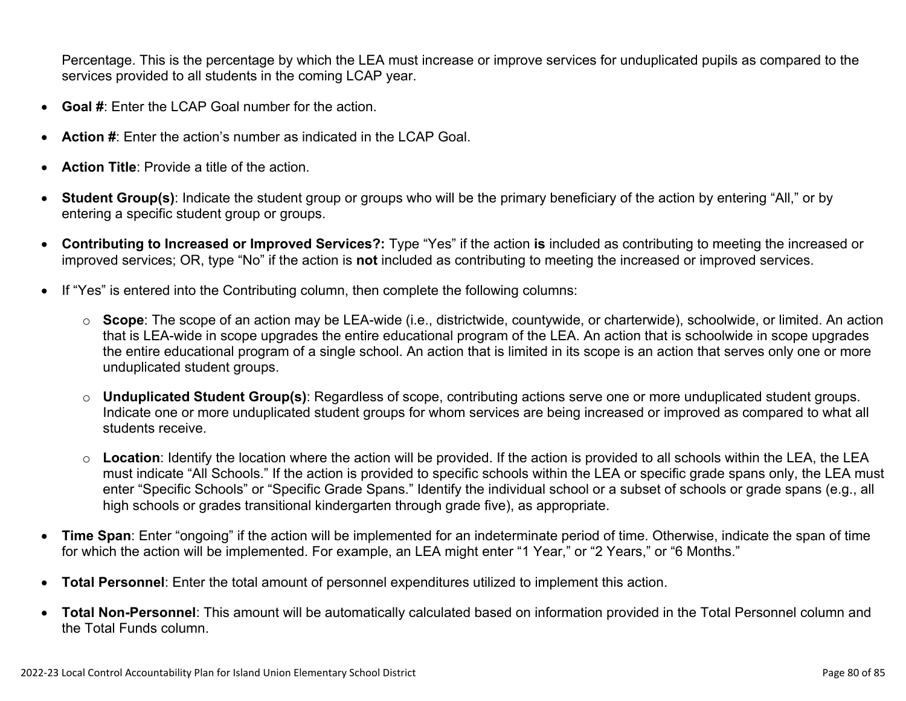Percentage. This is the percentage by which the LEA must increase or improve services for unduplicated pupils as compared to the services provided to all students in the coming LCAP year.

- **Goal #**: Enter the LCAP Goal number for the action.
- **Action #**: Enter the action's number as indicated in the LCAP Goal.
- **Action Title**: Provide a title of the action.
- **Student Group(s)**: Indicate the student group or groups who will be the primary beneficiary of the action by entering "All," or by entering a specific student group or groups.
- **Contributing to Increased or Improved Services?:** Type "Yes" if the action **is** included as contributing to meeting the increased or improved services; OR, type "No" if the action is **not** included as contributing to meeting the increased or improved services.
- If "Yes" is entered into the Contributing column, then complete the following columns:
	- o **Scope**: The scope of an action may be LEA-wide (i.e., districtwide, countywide, or charterwide), schoolwide, or limited. An action that is LEA-wide in scope upgrades the entire educational program of the LEA. An action that is schoolwide in scope upgrades the entire educational program of a single school. An action that is limited in its scope is an action that serves only one or more unduplicated student groups.
	- o **Unduplicated Student Group(s)**: Regardless of scope, contributing actions serve one or more unduplicated student groups. Indicate one or more unduplicated student groups for whom services are being increased or improved as compared to what all students receive.
	- o **Location**: Identify the location where the action will be provided. If the action is provided to all schools within the LEA, the LEA must indicate "All Schools." If the action is provided to specific schools within the LEA or specific grade spans only, the LEA must enter "Specific Schools" or "Specific Grade Spans." Identify the individual school or a subset of schools or grade spans (e.g., all high schools or grades transitional kindergarten through grade five), as appropriate.
- **Time Span**: Enter "ongoing" if the action will be implemented for an indeterminate period of time. Otherwise, indicate the span of time for which the action will be implemented. For example, an LEA might enter "1 Year," or "2 Years," or "6 Months."
- **Total Personnel**: Enter the total amount of personnel expenditures utilized to implement this action.
- **Total Non-Personnel**: This amount will be automatically calculated based on information provided in the Total Personnel column and the Total Funds column.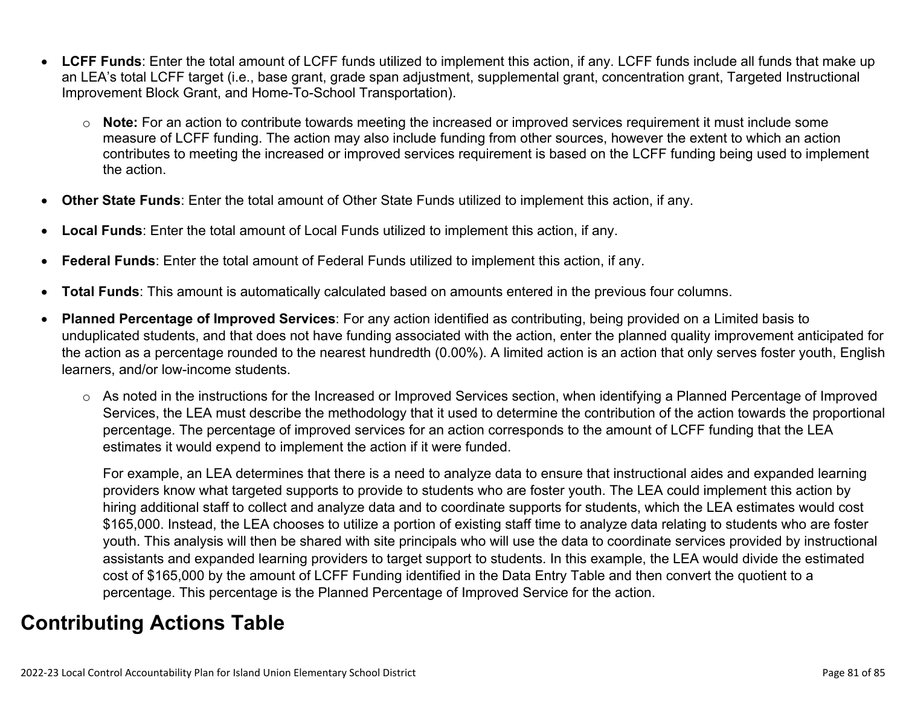- **LCFF Funds**: Enter the total amount of LCFF funds utilized to implement this action, if any. LCFF funds include all funds that make up an LEA's total LCFF target (i.e., base grant, grade span adjustment, supplemental grant, concentration grant, Targeted Instructional Improvement Block Grant, and Home-To-School Transportation).
	- o **Note:** For an action to contribute towards meeting the increased or improved services requirement it must include some measure of LCFF funding. The action may also include funding from other sources, however the extent to which an action contributes to meeting the increased or improved services requirement is based on the LCFF funding being used to implement the action.
- **Other State Funds**: Enter the total amount of Other State Funds utilized to implement this action, if any.
- **Local Funds**: Enter the total amount of Local Funds utilized to implement this action, if any.
- **Federal Funds**: Enter the total amount of Federal Funds utilized to implement this action, if any.
- **Total Funds**: This amount is automatically calculated based on amounts entered in the previous four columns.
- **Planned Percentage of Improved Services**: For any action identified as contributing, being provided on a Limited basis to unduplicated students, and that does not have funding associated with the action, enter the planned quality improvement anticipated for the action as a percentage rounded to the nearest hundredth (0.00%). A limited action is an action that only serves foster youth, English learners, and/or low-income students.
	- o As noted in the instructions for the Increased or Improved Services section, when identifying a Planned Percentage of Improved Services, the LEA must describe the methodology that it used to determine the contribution of the action towards the proportional percentage. The percentage of improved services for an action corresponds to the amount of LCFF funding that the LEA estimates it would expend to implement the action if it were funded.

For example, an LEA determines that there is a need to analyze data to ensure that instructional aides and expanded learning providers know what targeted supports to provide to students who are foster youth. The LEA could implement this action by hiring additional staff to collect and analyze data and to coordinate supports for students, which the LEA estimates would cost \$165,000. Instead, the LEA chooses to utilize a portion of existing staff time to analyze data relating to students who are foster youth. This analysis will then be shared with site principals who will use the data to coordinate services provided by instructional assistants and expanded learning providers to target support to students. In this example, the LEA would divide the estimated cost of \$165,000 by the amount of LCFF Funding identified in the Data Entry Table and then convert the quotient to a percentage. This percentage is the Planned Percentage of Improved Service for the action.

### **Contributing Actions Table**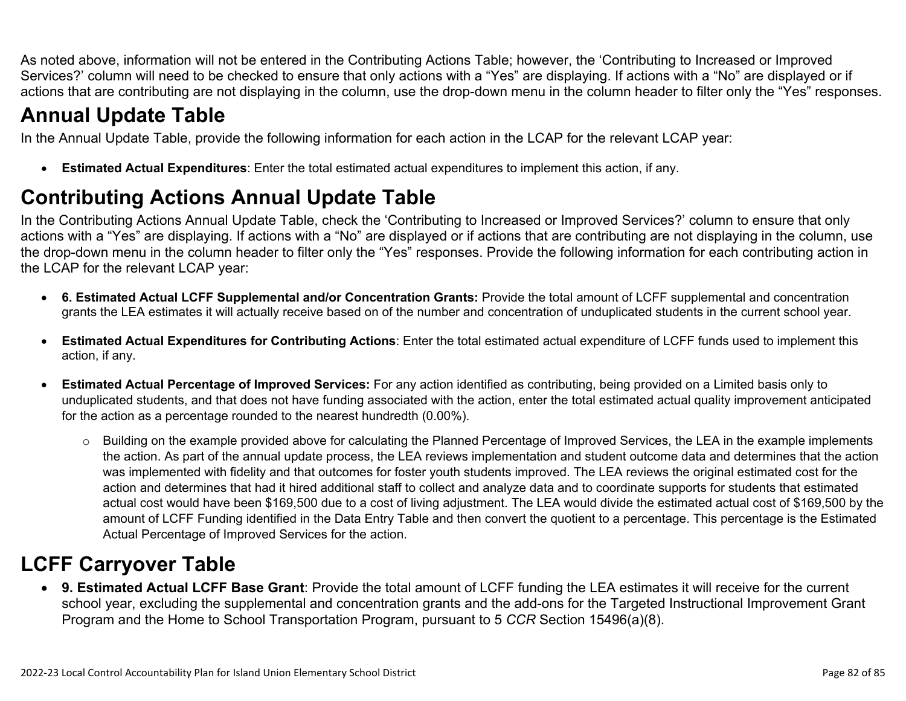As noted above, information will not be entered in the Contributing Actions Table; however, the 'Contributing to Increased or Improved Services?' column will need to be checked to ensure that only actions with a "Yes" are displaying. If actions with a "No" are displayed or if actions that are contributing are not displaying in the column, use the drop-down menu in the column header to filter only the "Yes" responses.

## **Annual Update Table**

In the Annual Update Table, provide the following information for each action in the LCAP for the relevant LCAP year:

• **Estimated Actual Expenditures**: Enter the total estimated actual expenditures to implement this action, if any.

## **Contributing Actions Annual Update Table**

In the Contributing Actions Annual Update Table, check the 'Contributing to Increased or Improved Services?' column to ensure that only actions with a "Yes" are displaying. If actions with a "No" are displayed or if actions that are contributing are not displaying in the column, use the drop-down menu in the column header to filter only the "Yes" responses. Provide the following information for each contributing action in the LCAP for the relevant LCAP year:

- **6. Estimated Actual LCFF Supplemental and/or Concentration Grants:** Provide the total amount of LCFF supplemental and concentration grants the LEA estimates it will actually receive based on of the number and concentration of unduplicated students in the current school year.
- **Estimated Actual Expenditures for Contributing Actions**: Enter the total estimated actual expenditure of LCFF funds used to implement this action, if any.
- **Estimated Actual Percentage of Improved Services:** For any action identified as contributing, being provided on a Limited basis only to unduplicated students, and that does not have funding associated with the action, enter the total estimated actual quality improvement anticipated for the action as a percentage rounded to the nearest hundredth (0.00%).
	- o Building on the example provided above for calculating the Planned Percentage of Improved Services, the LEA in the example implements the action. As part of the annual update process, the LEA reviews implementation and student outcome data and determines that the action was implemented with fidelity and that outcomes for foster youth students improved. The LEA reviews the original estimated cost for the action and determines that had it hired additional staff to collect and analyze data and to coordinate supports for students that estimated actual cost would have been \$169,500 due to a cost of living adjustment. The LEA would divide the estimated actual cost of \$169,500 by the amount of LCFF Funding identified in the Data Entry Table and then convert the quotient to a percentage. This percentage is the Estimated Actual Percentage of Improved Services for the action.

## **LCFF Carryover Table**

• **9. Estimated Actual LCFF Base Grant**: Provide the total amount of LCFF funding the LEA estimates it will receive for the current school year, excluding the supplemental and concentration grants and the add-ons for the Targeted Instructional Improvement Grant Program and the Home to School Transportation Program, pursuant to 5 *CCR* Section 15496(a)(8).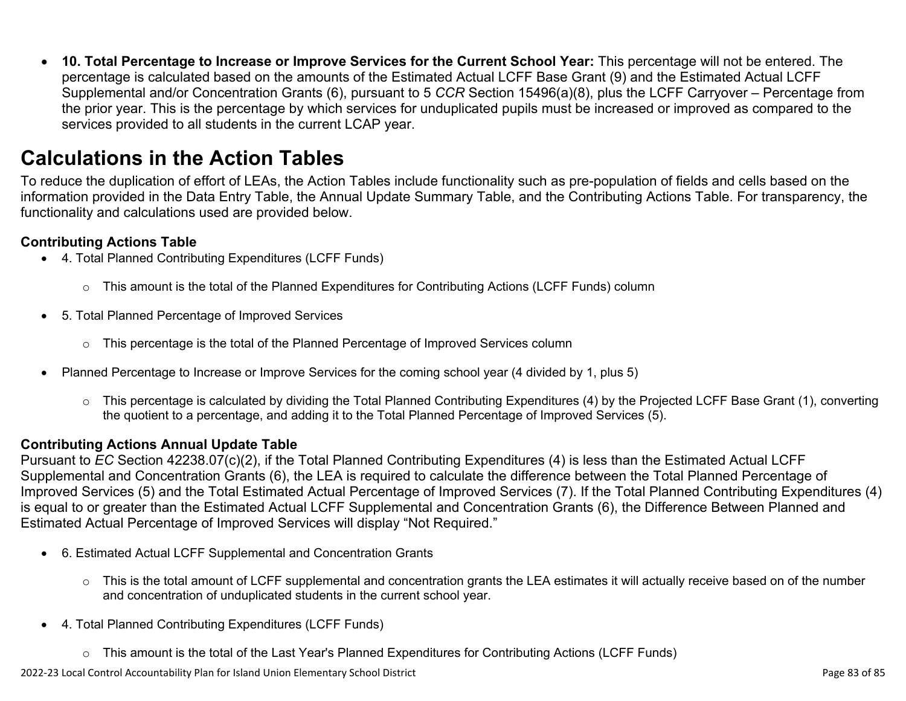• **10. Total Percentage to Increase or Improve Services for the Current School Year:** This percentage will not be entered. The percentage is calculated based on the amounts of the Estimated Actual LCFF Base Grant (9) and the Estimated Actual LCFF Supplemental and/or Concentration Grants (6), pursuant to 5 *CCR* Section 15496(a)(8), plus the LCFF Carryover – Percentage from the prior year. This is the percentage by which services for unduplicated pupils must be increased or improved as compared to the services provided to all students in the current LCAP year.

### **Calculations in the Action Tables**

To reduce the duplication of effort of LEAs, the Action Tables include functionality such as pre-population of fields and cells based on the information provided in the Data Entry Table, the Annual Update Summary Table, and the Contributing Actions Table. For transparency, the functionality and calculations used are provided below.

### **Contributing Actions Table**

- 4. Total Planned Contributing Expenditures (LCFF Funds)
	- $\circ$  This amount is the total of the Planned Expenditures for Contributing Actions (LCFF Funds) column
- 5. Total Planned Percentage of Improved Services
	- $\circ$  This percentage is the total of the Planned Percentage of Improved Services column
- Planned Percentage to Increase or Improve Services for the coming school year (4 divided by 1, plus 5)
	- o This percentage is calculated by dividing the Total Planned Contributing Expenditures (4) by the Projected LCFF Base Grant (1), converting the quotient to a percentage, and adding it to the Total Planned Percentage of Improved Services (5).

### **Contributing Actions Annual Update Table**

Pursuant to *EC* Section 42238.07(c)(2), if the Total Planned Contributing Expenditures (4) is less than the Estimated Actual LCFF Supplemental and Concentration Grants (6), the LEA is required to calculate the difference between the Total Planned Percentage of Improved Services (5) and the Total Estimated Actual Percentage of Improved Services (7). If the Total Planned Contributing Expenditures (4) is equal to or greater than the Estimated Actual LCFF Supplemental and Concentration Grants (6), the Difference Between Planned and Estimated Actual Percentage of Improved Services will display "Not Required."

- 6. Estimated Actual LCFF Supplemental and Concentration Grants
	- $\circ$  This is the total amount of LCFF supplemental and concentration grants the LEA estimates it will actually receive based on of the number and concentration of unduplicated students in the current school year.
- 4. Total Planned Contributing Expenditures (LCFF Funds)
	- $\circ$  This amount is the total of the Last Year's Planned Expenditures for Contributing Actions (LCFF Funds)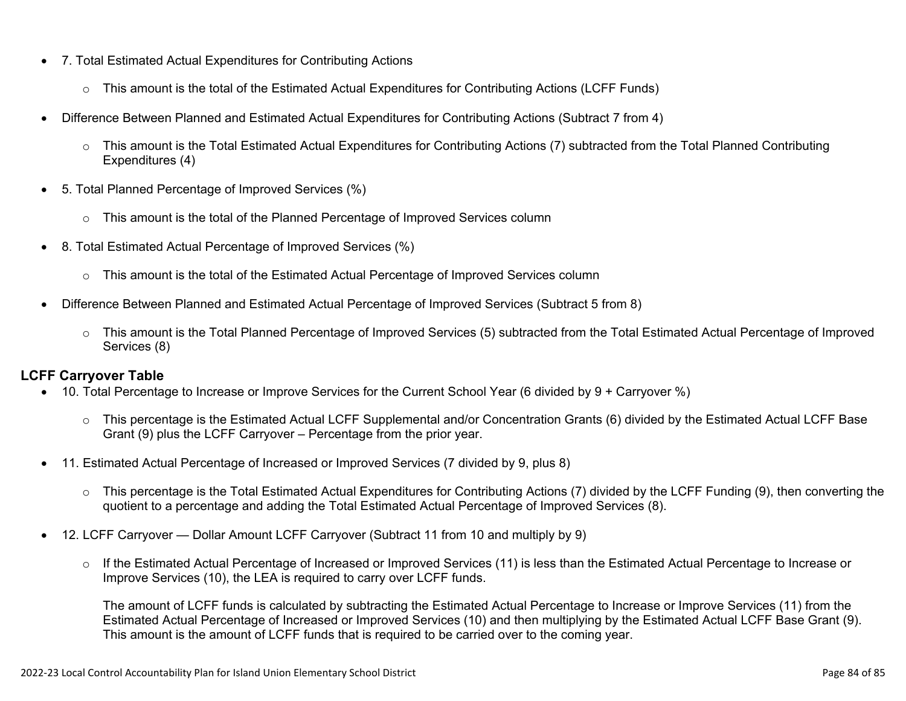- 7. Total Estimated Actual Expenditures for Contributing Actions
	- o This amount is the total of the Estimated Actual Expenditures for Contributing Actions (LCFF Funds)
- Difference Between Planned and Estimated Actual Expenditures for Contributing Actions (Subtract 7 from 4)
	- $\circ$  This amount is the Total Estimated Actual Expenditures for Contributing Actions (7) subtracted from the Total Planned Contributing Expenditures (4)
- 5. Total Planned Percentage of Improved Services (%)
	- o This amount is the total of the Planned Percentage of Improved Services column
- 8. Total Estimated Actual Percentage of Improved Services (%)
	- o This amount is the total of the Estimated Actual Percentage of Improved Services column
- Difference Between Planned and Estimated Actual Percentage of Improved Services (Subtract 5 from 8)
	- o This amount is the Total Planned Percentage of Improved Services (5) subtracted from the Total Estimated Actual Percentage of Improved Services (8)

### **LCFF Carryover Table**

- 10. Total Percentage to Increase or Improve Services for the Current School Year (6 divided by 9 + Carryover %)
	- $\circ$  This percentage is the Estimated Actual LCFF Supplemental and/or Concentration Grants (6) divided by the Estimated Actual LCFF Base Grant (9) plus the LCFF Carryover – Percentage from the prior year.
- 11. Estimated Actual Percentage of Increased or Improved Services (7 divided by 9, plus 8)
	- o This percentage is the Total Estimated Actual Expenditures for Contributing Actions (7) divided by the LCFF Funding (9), then converting the quotient to a percentage and adding the Total Estimated Actual Percentage of Improved Services (8).
- 12. LCFF Carryover Dollar Amount LCFF Carryover (Subtract 11 from 10 and multiply by 9)
	- $\circ$  If the Estimated Actual Percentage of Increased or Improved Services (11) is less than the Estimated Actual Percentage to Increase or Improve Services (10), the LEA is required to carry over LCFF funds.

The amount of LCFF funds is calculated by subtracting the Estimated Actual Percentage to Increase or Improve Services (11) from the Estimated Actual Percentage of Increased or Improved Services (10) and then multiplying by the Estimated Actual LCFF Base Grant (9). This amount is the amount of LCFF funds that is required to be carried over to the coming year.